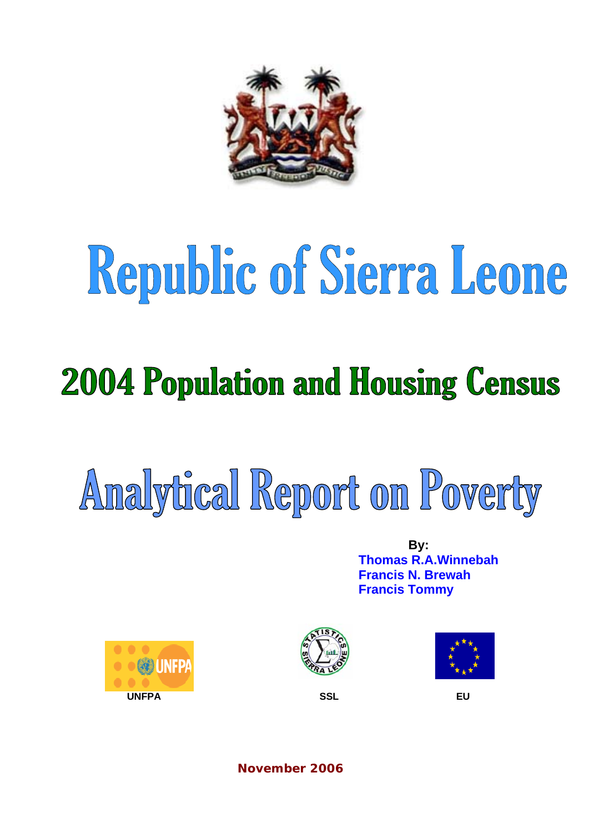

# Republic of Sierra Leone

## **2004 Population and Housing Census**

## Analytical Report on Poverty

**By: Thomas R.A.Winnebah Francis N. Brewah Francis Tommy** 







**November 2006**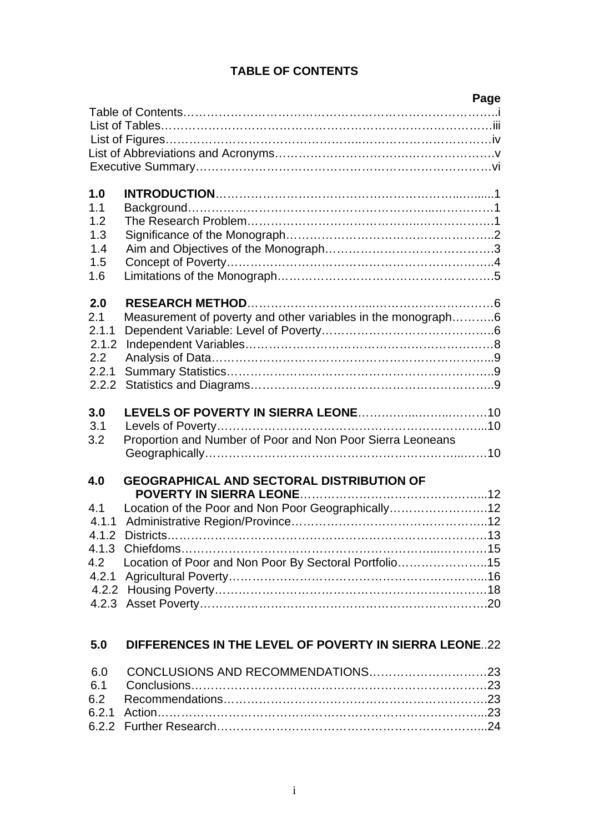## **TABLE OF CONTENTS**

|                                                       |                                                                                                                                                                     | Page |
|-------------------------------------------------------|---------------------------------------------------------------------------------------------------------------------------------------------------------------------|------|
|                                                       |                                                                                                                                                                     |      |
| 1.0<br>1.1<br>1.2<br>1.3<br>1.4<br>1.5<br>1.6         |                                                                                                                                                                     |      |
| 2.0<br>2.1<br>2.1.1<br>2.1.2<br>2.2<br>2.2.1<br>2.2.2 | Measurement of poverty and other variables in the monograph6                                                                                                        |      |
| 3.0<br>3.1<br>3.2                                     | Proportion and Number of Poor and Non Poor Sierra Leoneans                                                                                                          |      |
| 4.0<br>4.1<br>4.1.1<br>4.1.2                          | <b>GEOGRAPHICAL AND SECTORAL DISTRIBUTION OF</b><br>Location of the Poor and Non Poor Geographically12<br>4.2 Location of Poor and Non Poor By Sectoral Portfolio15 |      |
| 5.0                                                   | DIFFERENCES IN THE LEVEL OF POVERTY IN SIERRA LEONE22                                                                                                               |      |
| 6.0<br>6.1                                            |                                                                                                                                                                     |      |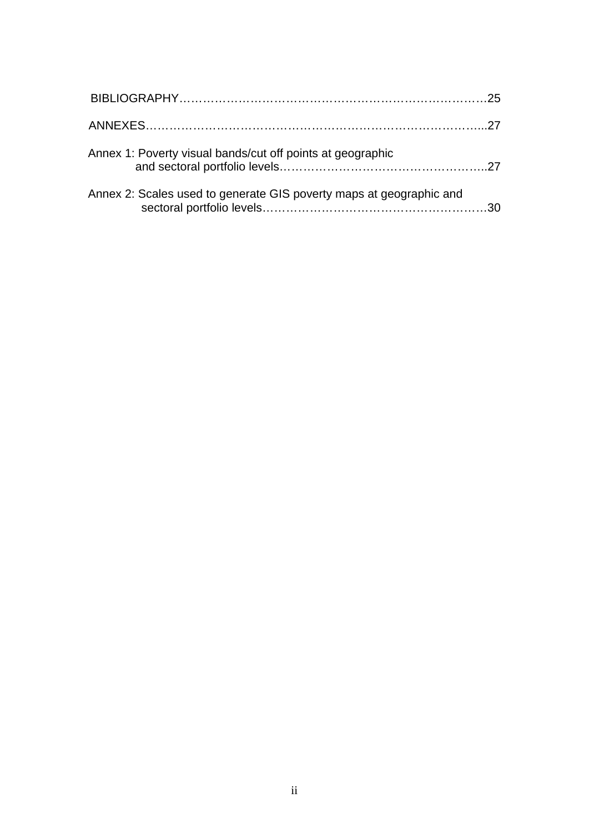| Annex 1: Poverty visual bands/cut off points at geographic          |  |
|---------------------------------------------------------------------|--|
| Annex 2: Scales used to generate GIS poverty maps at geographic and |  |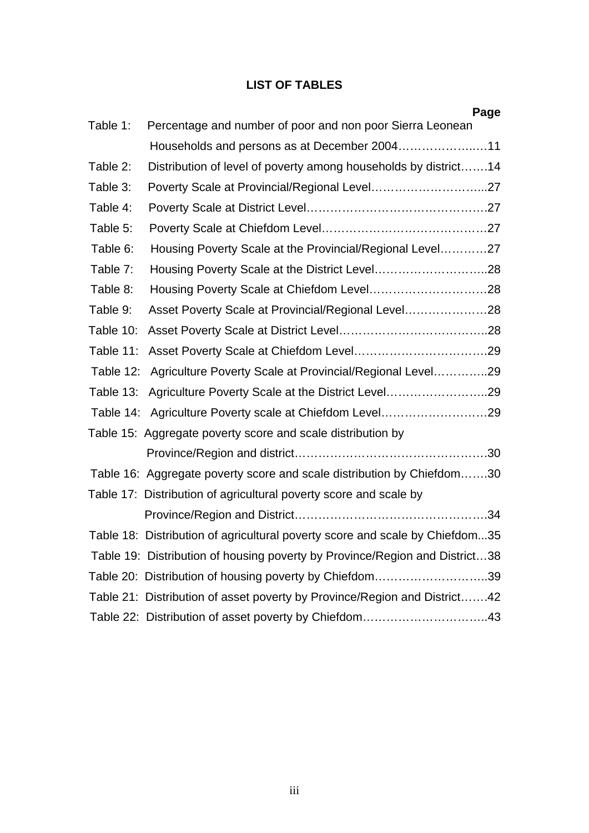## **LIST OF TABLES**

|           | Page                                                                         |
|-----------|------------------------------------------------------------------------------|
| Table 1:  | Percentage and number of poor and non poor Sierra Leonean                    |
|           | Households and persons as at December 200411                                 |
| Table 2:  | Distribution of level of poverty among households by district14              |
| Table 3:  |                                                                              |
| Table 4:  |                                                                              |
| Table 5:  |                                                                              |
| Table 6:  | Housing Poverty Scale at the Provincial/Regional Level27                     |
| Table 7:  |                                                                              |
| Table 8:  |                                                                              |
| Table 9:  | Asset Poverty Scale at Provincial/Regional Level28                           |
| Table 10: |                                                                              |
| Table 11: |                                                                              |
| Table 12: | Agriculture Poverty Scale at Provincial/Regional Level29                     |
| Table 13: | Agriculture Poverty Scale at the District Level29                            |
|           | Table 14: Agriculture Poverty scale at Chiefdom Level29                      |
|           | Table 15: Aggregate poverty score and scale distribution by                  |
|           |                                                                              |
|           | Table 16: Aggregate poverty score and scale distribution by Chiefdom30       |
|           | Table 17: Distribution of agricultural poverty score and scale by            |
|           |                                                                              |
|           | Table 18: Distribution of agricultural poverty score and scale by Chiefdom35 |
|           | Table 19: Distribution of housing poverty by Province/Region and District38  |
|           | Table 20: Distribution of housing poverty by Chiefdom39                      |
|           | Table 21: Distribution of asset poverty by Province/Region and District42    |
|           | Table 22: Distribution of asset poverty by Chiefdom43                        |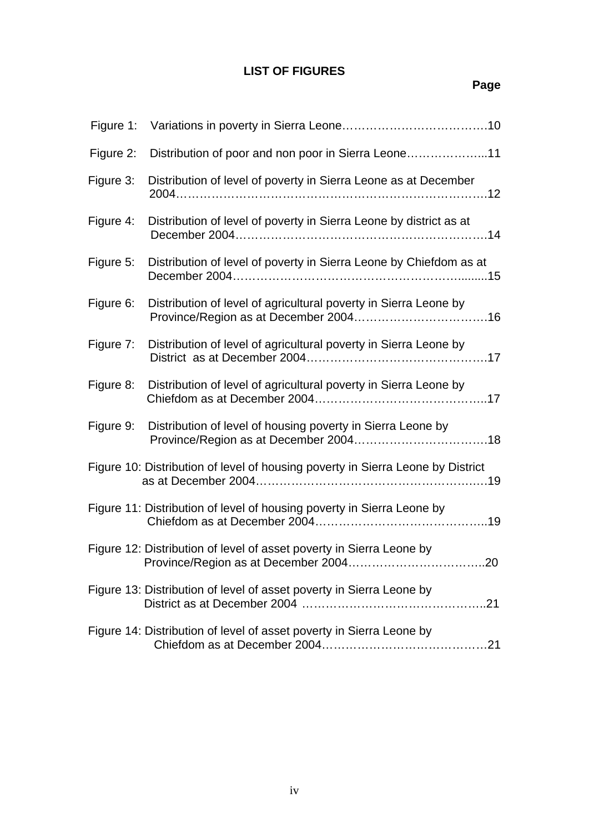## **LIST OF FIGURES**

| Figure 1: |                                                                                 |
|-----------|---------------------------------------------------------------------------------|
| Figure 2: | Distribution of poor and non poor in Sierra Leone11                             |
| Figure 3: | Distribution of level of poverty in Sierra Leone as at December                 |
| Figure 4: | Distribution of level of poverty in Sierra Leone by district as at              |
| Figure 5: | Distribution of level of poverty in Sierra Leone by Chiefdom as at              |
| Figure 6: | Distribution of level of agricultural poverty in Sierra Leone by                |
| Figure 7: | Distribution of level of agricultural poverty in Sierra Leone by                |
| Figure 8: | Distribution of level of agricultural poverty in Sierra Leone by                |
| Figure 9: | Distribution of level of housing poverty in Sierra Leone by                     |
|           | Figure 10: Distribution of level of housing poverty in Sierra Leone by District |
|           | Figure 11: Distribution of level of housing poverty in Sierra Leone by          |
|           | Figure 12: Distribution of level of asset poverty in Sierra Leone by            |
|           | Figure 13: Distribution of level of asset poverty in Sierra Leone by            |
|           | Figure 14: Distribution of level of asset poverty in Sierra Leone by            |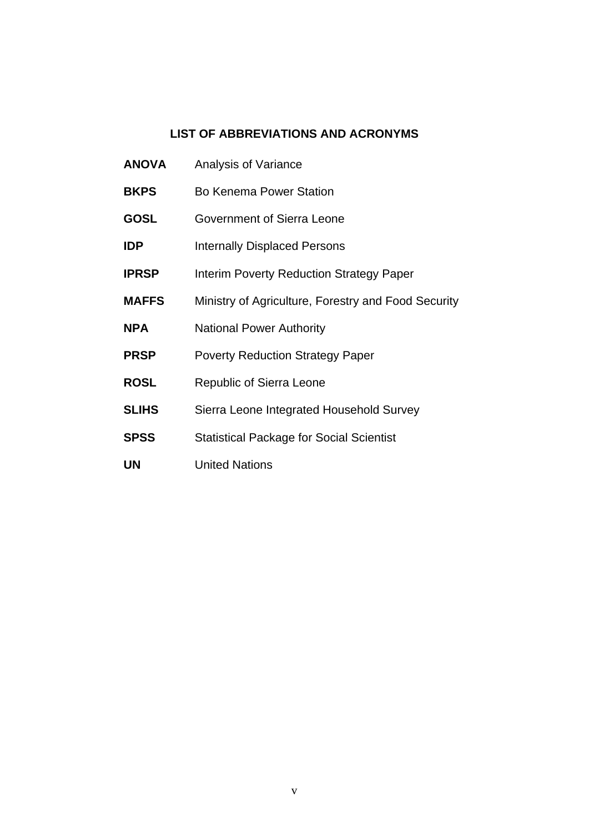#### **LIST OF ABBREVIATIONS AND ACRONYMS**

- **ANOVA** Analysis of Variance
- **BKPS** Bo Kenema Power Station
- **GOSL** Government of Sierra Leone
- **IDP** Internally Displaced Persons
- **IPRSP** Interim Poverty Reduction Strategy Paper
- **MAFFS** Ministry of Agriculture, Forestry and Food Security
- **NPA National Power Authority**
- **PRSP** Poverty Reduction Strategy Paper
- **ROSL** Republic of Sierra Leone
- **SLIHS** Sierra Leone Integrated Household Survey
- **SPSS** Statistical Package for Social Scientist
- **UN** United Nations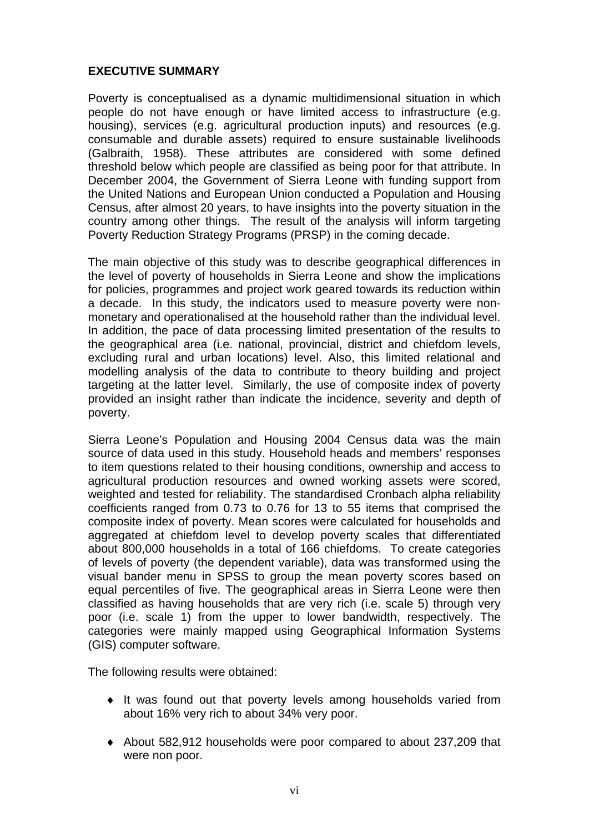## **EXECUTIVE SUMMARY**

Poverty is conceptualised as a dynamic multidimensional situation in which people do not have enough or have limited access to infrastructure (e.g. housing), services (e.g. agricultural production inputs) and resources (e.g. consumable and durable assets) required to ensure sustainable livelihoods (Galbraith, 1958). These attributes are considered with some defined threshold below which people are classified as being poor for that attribute. In December 2004, the Government of Sierra Leone with funding support from the United Nations and European Union conducted a Population and Housing Census, after almost 20 years, to have insights into the poverty situation in the country among other things. The result of the analysis will inform targeting Poverty Reduction Strategy Programs (PRSP) in the coming decade.

The main objective of this study was to describe geographical differences in the level of poverty of households in Sierra Leone and show the implications for policies, programmes and project work geared towards its reduction within a decade. In this study, the indicators used to measure poverty were nonmonetary and operationalised at the household rather than the individual level. In addition, the pace of data processing limited presentation of the results to the geographical area (i.e. national, provincial, district and chiefdom levels, excluding rural and urban locations) level. Also, this limited relational and modelling analysis of the data to contribute to theory building and project targeting at the latter level. Similarly, the use of composite index of poverty provided an insight rather than indicate the incidence, severity and depth of poverty.

Sierra Leone's Population and Housing 2004 Census data was the main source of data used in this study. Household heads and members' responses to item questions related to their housing conditions, ownership and access to agricultural production resources and owned working assets were scored, weighted and tested for reliability. The standardised Cronbach alpha reliability coefficients ranged from 0.73 to 0.76 for 13 to 55 items that comprised the composite index of poverty. Mean scores were calculated for households and aggregated at chiefdom level to develop poverty scales that differentiated about 800,000 households in a total of 166 chiefdoms. To create categories of levels of poverty (the dependent variable), data was transformed using the visual bander menu in SPSS to group the mean poverty scores based on equal percentiles of five. The geographical areas in Sierra Leone were then classified as having households that are very rich (i.e. scale 5) through very poor (i.e. scale 1) from the upper to lower bandwidth, respectively. The categories were mainly mapped using Geographical Information Systems (GIS) computer software.

The following results were obtained:

- ♦ It was found out that poverty levels among households varied from about 16% very rich to about 34% very poor.
- ♦ About 582,912 households were poor compared to about 237,209 that were non poor.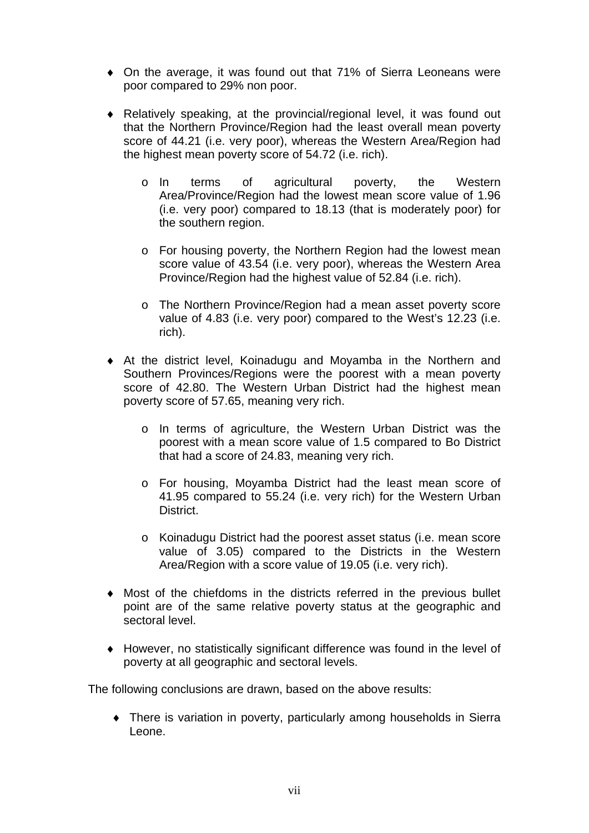- On the average, it was found out that 71% of Sierra Leoneans were poor compared to 29% non poor.
- ♦ Relatively speaking, at the provincial/regional level, it was found out that the Northern Province/Region had the least overall mean poverty score of 44.21 (i.e. very poor), whereas the Western Area/Region had the highest mean poverty score of 54.72 (i.e. rich).
	- o In terms of agricultural poverty, the Western Area/Province/Region had the lowest mean score value of 1.96 (i.e. very poor) compared to 18.13 (that is moderately poor) for the southern region.
	- o For housing poverty, the Northern Region had the lowest mean score value of 43.54 (i.e. very poor), whereas the Western Area Province/Region had the highest value of 52.84 (i.e. rich).
	- o The Northern Province/Region had a mean asset poverty score value of 4.83 (i.e. very poor) compared to the West's 12.23 (i.e. rich).
- ♦ At the district level, Koinadugu and Moyamba in the Northern and Southern Provinces/Regions were the poorest with a mean poverty score of 42.80. The Western Urban District had the highest mean poverty score of 57.65, meaning very rich.
	- o In terms of agriculture, the Western Urban District was the poorest with a mean score value of 1.5 compared to Bo District that had a score of 24.83, meaning very rich.
	- o For housing, Moyamba District had the least mean score of 41.95 compared to 55.24 (i.e. very rich) for the Western Urban District.
	- o Koinadugu District had the poorest asset status (i.e. mean score value of 3.05) compared to the Districts in the Western Area/Region with a score value of 19.05 (i.e. very rich).
- ♦ Most of the chiefdoms in the districts referred in the previous bullet point are of the same relative poverty status at the geographic and sectoral level.
- ♦ However, no statistically significant difference was found in the level of poverty at all geographic and sectoral levels.

The following conclusions are drawn, based on the above results:

♦ There is variation in poverty, particularly among households in Sierra Leone.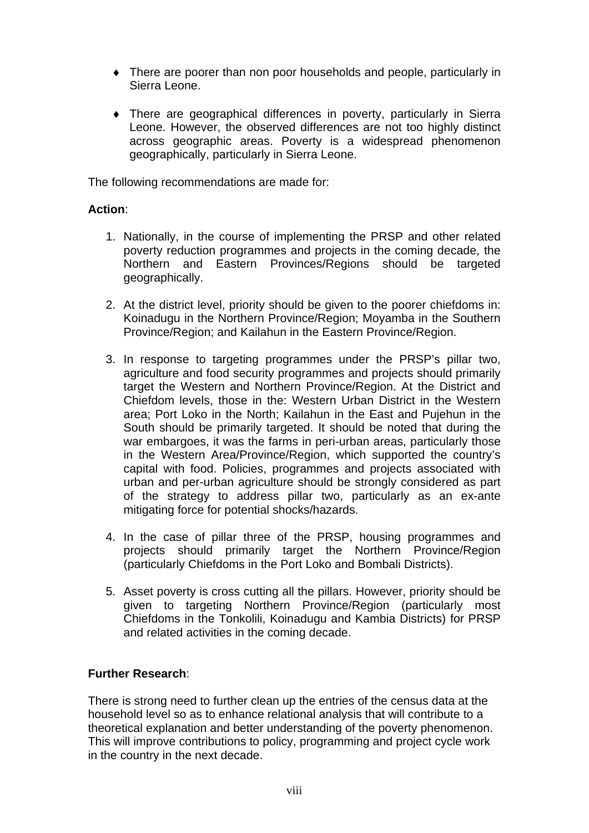- ♦ There are poorer than non poor households and people, particularly in Sierra Leone.
- ♦ There are geographical differences in poverty, particularly in Sierra Leone. However, the observed differences are not too highly distinct across geographic areas. Poverty is a widespread phenomenon geographically, particularly in Sierra Leone.

The following recommendations are made for:

#### **Action**:

- 1. Nationally, in the course of implementing the PRSP and other related poverty reduction programmes and projects in the coming decade, the Northern and Eastern Provinces/Regions should be targeted geographically.
- 2. At the district level, priority should be given to the poorer chiefdoms in: Koinadugu in the Northern Province/Region; Moyamba in the Southern Province/Region; and Kailahun in the Eastern Province/Region.
- 3. In response to targeting programmes under the PRSP's pillar two, agriculture and food security programmes and projects should primarily target the Western and Northern Province/Region. At the District and Chiefdom levels, those in the: Western Urban District in the Western area; Port Loko in the North; Kailahun in the East and Pujehun in the South should be primarily targeted. It should be noted that during the war embargoes, it was the farms in peri-urban areas, particularly those in the Western Area/Province/Region, which supported the country's capital with food. Policies, programmes and projects associated with urban and per-urban agriculture should be strongly considered as part of the strategy to address pillar two, particularly as an ex-ante mitigating force for potential shocks/hazards.
- 4. In the case of pillar three of the PRSP, housing programmes and projects should primarily target the Northern Province/Region (particularly Chiefdoms in the Port Loko and Bombali Districts).
- 5. Asset poverty is cross cutting all the pillars. However, priority should be given to targeting Northern Province/Region (particularly most Chiefdoms in the Tonkolili, Koinadugu and Kambia Districts) for PRSP and related activities in the coming decade.

#### **Further Research**:

There is strong need to further clean up the entries of the census data at the household level so as to enhance relational analysis that will contribute to a theoretical explanation and better understanding of the poverty phenomenon. This will improve contributions to policy, programming and project cycle work in the country in the next decade.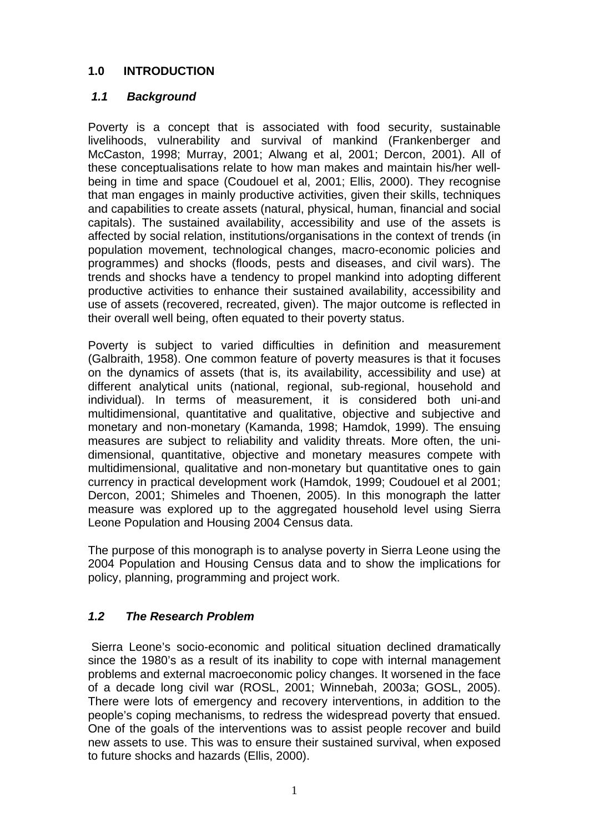## **1.0 INTRODUCTION**

## *1.1 Background*

Poverty is a concept that is associated with food security, sustainable livelihoods, vulnerability and survival of mankind (Frankenberger and McCaston, 1998; Murray, 2001; Alwang et al, 2001; Dercon, 2001). All of these conceptualisations relate to how man makes and maintain his/her wellbeing in time and space (Coudouel et al, 2001; Ellis, 2000). They recognise that man engages in mainly productive activities, given their skills, techniques and capabilities to create assets (natural, physical, human, financial and social capitals). The sustained availability, accessibility and use of the assets is affected by social relation, institutions/organisations in the context of trends (in population movement, technological changes, macro-economic policies and programmes) and shocks (floods, pests and diseases, and civil wars). The trends and shocks have a tendency to propel mankind into adopting different productive activities to enhance their sustained availability, accessibility and use of assets (recovered, recreated, given). The major outcome is reflected in their overall well being, often equated to their poverty status.

Poverty is subject to varied difficulties in definition and measurement (Galbraith, 1958). One common feature of poverty measures is that it focuses on the dynamics of assets (that is, its availability, accessibility and use) at different analytical units (national, regional, sub-regional, household and individual). In terms of measurement, it is considered both uni-and multidimensional, quantitative and qualitative, objective and subjective and monetary and non-monetary (Kamanda, 1998; Hamdok, 1999). The ensuing measures are subject to reliability and validity threats. More often, the unidimensional, quantitative, objective and monetary measures compete with multidimensional, qualitative and non-monetary but quantitative ones to gain currency in practical development work (Hamdok, 1999; Coudouel et al 2001; Dercon, 2001; Shimeles and Thoenen, 2005). In this monograph the latter measure was explored up to the aggregated household level using Sierra Leone Population and Housing 2004 Census data.

The purpose of this monograph is to analyse poverty in Sierra Leone using the 2004 Population and Housing Census data and to show the implications for policy, planning, programming and project work.

## *1.2 The Research Problem*

 Sierra Leone's socio-economic and political situation declined dramatically since the 1980's as a result of its inability to cope with internal management problems and external macroeconomic policy changes. It worsened in the face of a decade long civil war (ROSL, 2001; Winnebah, 2003a; GOSL, 2005). There were lots of emergency and recovery interventions, in addition to the people's coping mechanisms, to redress the widespread poverty that ensued. One of the goals of the interventions was to assist people recover and build new assets to use. This was to ensure their sustained survival, when exposed to future shocks and hazards (Ellis, 2000).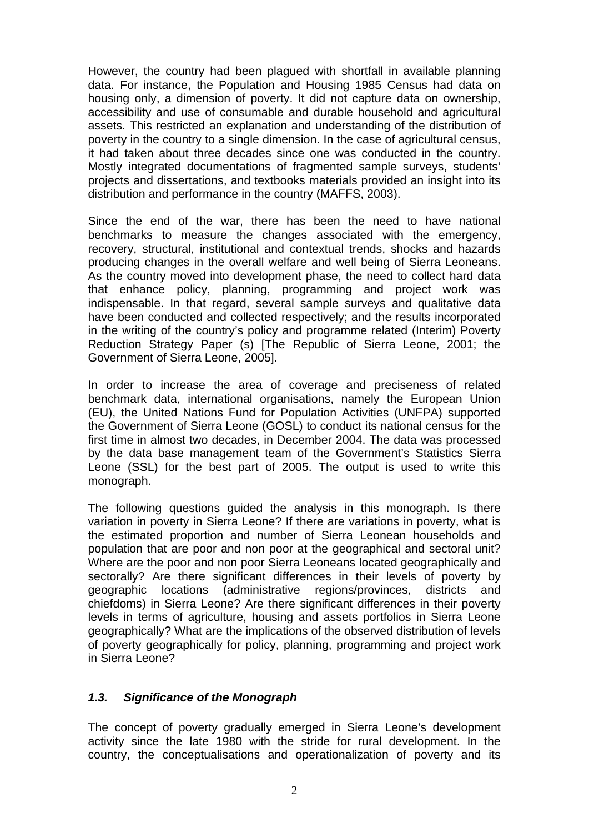However, the country had been plagued with shortfall in available planning data. For instance, the Population and Housing 1985 Census had data on housing only, a dimension of poverty. It did not capture data on ownership, accessibility and use of consumable and durable household and agricultural assets. This restricted an explanation and understanding of the distribution of poverty in the country to a single dimension. In the case of agricultural census, it had taken about three decades since one was conducted in the country. Mostly integrated documentations of fragmented sample surveys, students' projects and dissertations, and textbooks materials provided an insight into its distribution and performance in the country (MAFFS, 2003).

Since the end of the war, there has been the need to have national benchmarks to measure the changes associated with the emergency, recovery, structural, institutional and contextual trends, shocks and hazards producing changes in the overall welfare and well being of Sierra Leoneans. As the country moved into development phase, the need to collect hard data that enhance policy, planning, programming and project work was indispensable. In that regard, several sample surveys and qualitative data have been conducted and collected respectively; and the results incorporated in the writing of the country's policy and programme related (Interim) Poverty Reduction Strategy Paper (s) [The Republic of Sierra Leone, 2001; the Government of Sierra Leone, 2005].

In order to increase the area of coverage and preciseness of related benchmark data, international organisations, namely the European Union (EU), the United Nations Fund for Population Activities (UNFPA) supported the Government of Sierra Leone (GOSL) to conduct its national census for the first time in almost two decades, in December 2004. The data was processed by the data base management team of the Government's Statistics Sierra Leone (SSL) for the best part of 2005. The output is used to write this monograph.

The following questions guided the analysis in this monograph. Is there variation in poverty in Sierra Leone? If there are variations in poverty, what is the estimated proportion and number of Sierra Leonean households and population that are poor and non poor at the geographical and sectoral unit? Where are the poor and non poor Sierra Leoneans located geographically and sectorally? Are there significant differences in their levels of poverty by geographic locations (administrative regions/provinces, districts and chiefdoms) in Sierra Leone? Are there significant differences in their poverty levels in terms of agriculture, housing and assets portfolios in Sierra Leone geographically? What are the implications of the observed distribution of levels of poverty geographically for policy, planning, programming and project work in Sierra Leone?

#### *1.3. Significance of the Monograph*

The concept of poverty gradually emerged in Sierra Leone's development activity since the late 1980 with the stride for rural development. In the country, the conceptualisations and operationalization of poverty and its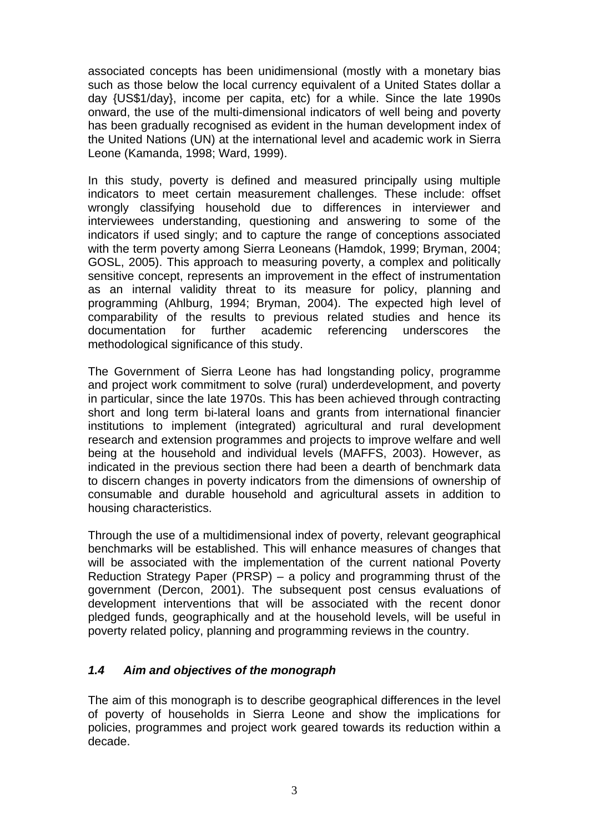associated concepts has been unidimensional (mostly with a monetary bias such as those below the local currency equivalent of a United States dollar a day {US\$1/day}, income per capita, etc) for a while. Since the late 1990s onward, the use of the multi-dimensional indicators of well being and poverty has been gradually recognised as evident in the human development index of the United Nations (UN) at the international level and academic work in Sierra Leone (Kamanda, 1998; Ward, 1999).

In this study, poverty is defined and measured principally using multiple indicators to meet certain measurement challenges. These include: offset wrongly classifying household due to differences in interviewer and interviewees understanding, questioning and answering to some of the indicators if used singly; and to capture the range of conceptions associated with the term poverty among Sierra Leoneans (Hamdok, 1999; Bryman, 2004; GOSL, 2005). This approach to measuring poverty, a complex and politically sensitive concept, represents an improvement in the effect of instrumentation as an internal validity threat to its measure for policy, planning and programming (Ahlburg, 1994; Bryman, 2004). The expected high level of comparability of the results to previous related studies and hence its documentation for further academic referencing underscores the methodological significance of this study.

The Government of Sierra Leone has had longstanding policy, programme and project work commitment to solve (rural) underdevelopment, and poverty in particular, since the late 1970s. This has been achieved through contracting short and long term bi-lateral loans and grants from international financier institutions to implement (integrated) agricultural and rural development research and extension programmes and projects to improve welfare and well being at the household and individual levels (MAFFS, 2003). However, as indicated in the previous section there had been a dearth of benchmark data to discern changes in poverty indicators from the dimensions of ownership of consumable and durable household and agricultural assets in addition to housing characteristics.

Through the use of a multidimensional index of poverty, relevant geographical benchmarks will be established. This will enhance measures of changes that will be associated with the implementation of the current national Poverty Reduction Strategy Paper (PRSP) – a policy and programming thrust of the government (Dercon, 2001). The subsequent post census evaluations of development interventions that will be associated with the recent donor pledged funds, geographically and at the household levels, will be useful in poverty related policy, planning and programming reviews in the country.

## *1.4 Aim and objectives of the monograph*

The aim of this monograph is to describe geographical differences in the level of poverty of households in Sierra Leone and show the implications for policies, programmes and project work geared towards its reduction within a decade.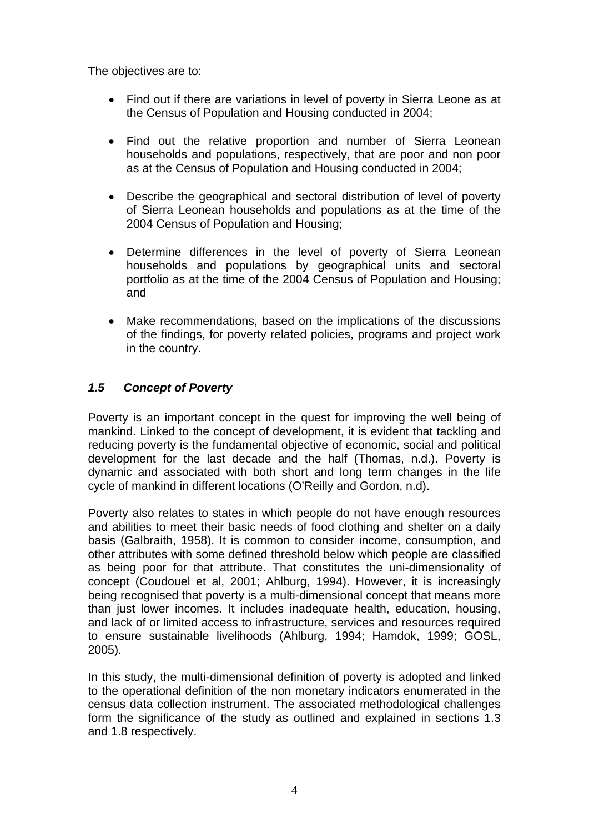The objectives are to:

- Find out if there are variations in level of poverty in Sierra Leone as at the Census of Population and Housing conducted in 2004;
- Find out the relative proportion and number of Sierra Leonean households and populations, respectively, that are poor and non poor as at the Census of Population and Housing conducted in 2004;
- Describe the geographical and sectoral distribution of level of poverty of Sierra Leonean households and populations as at the time of the 2004 Census of Population and Housing;
- Determine differences in the level of poverty of Sierra Leonean households and populations by geographical units and sectoral portfolio as at the time of the 2004 Census of Population and Housing; and
- Make recommendations, based on the implications of the discussions of the findings, for poverty related policies, programs and project work in the country.

## *1.5 Concept of Poverty*

Poverty is an important concept in the quest for improving the well being of mankind. Linked to the concept of development, it is evident that tackling and reducing poverty is the fundamental objective of economic, social and political development for the last decade and the half (Thomas, n.d.). Poverty is dynamic and associated with both short and long term changes in the life cycle of mankind in different locations (O'Reilly and Gordon, n.d).

Poverty also relates to states in which people do not have enough resources and abilities to meet their basic needs of food clothing and shelter on a daily basis (Galbraith, 1958). It is common to consider income, consumption, and other attributes with some defined threshold below which people are classified as being poor for that attribute. That constitutes the uni-dimensionality of concept (Coudouel et al, 2001; Ahlburg, 1994). However, it is increasingly being recognised that poverty is a multi-dimensional concept that means more than just lower incomes. It includes inadequate health, education, housing, and lack of or limited access to infrastructure, services and resources required to ensure sustainable livelihoods (Ahlburg, 1994; Hamdok, 1999; GOSL, 2005).

In this study, the multi-dimensional definition of poverty is adopted and linked to the operational definition of the non monetary indicators enumerated in the census data collection instrument. The associated methodological challenges form the significance of the study as outlined and explained in sections 1.3 and 1.8 respectively.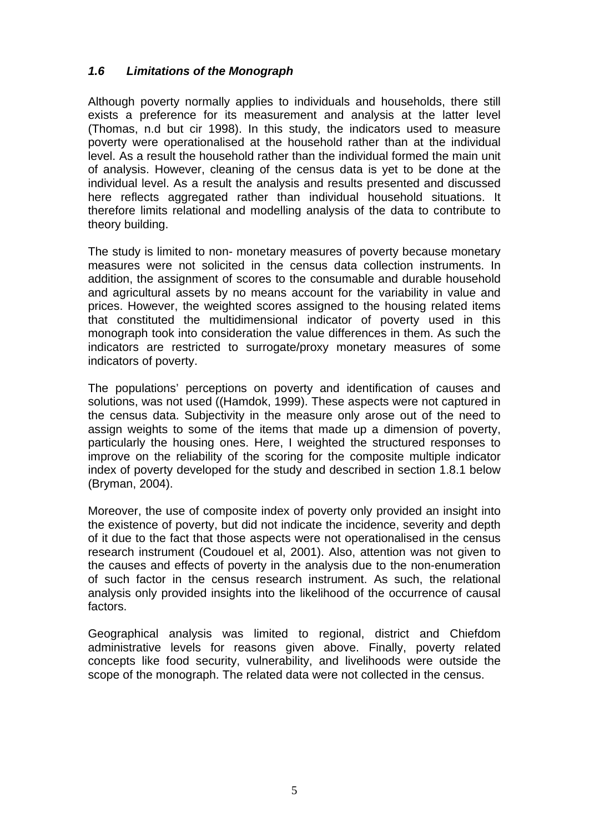## *1.6 Limitations of the Monograph*

Although poverty normally applies to individuals and households, there still exists a preference for its measurement and analysis at the latter level (Thomas, n.d but cir 1998). In this study, the indicators used to measure poverty were operationalised at the household rather than at the individual level. As a result the household rather than the individual formed the main unit of analysis. However, cleaning of the census data is yet to be done at the individual level. As a result the analysis and results presented and discussed here reflects aggregated rather than individual household situations. It therefore limits relational and modelling analysis of the data to contribute to theory building.

The study is limited to non- monetary measures of poverty because monetary measures were not solicited in the census data collection instruments. In addition, the assignment of scores to the consumable and durable household and agricultural assets by no means account for the variability in value and prices. However, the weighted scores assigned to the housing related items that constituted the multidimensional indicator of poverty used in this monograph took into consideration the value differences in them. As such the indicators are restricted to surrogate/proxy monetary measures of some indicators of poverty.

The populations' perceptions on poverty and identification of causes and solutions, was not used ((Hamdok, 1999). These aspects were not captured in the census data. Subjectivity in the measure only arose out of the need to assign weights to some of the items that made up a dimension of poverty, particularly the housing ones. Here, I weighted the structured responses to improve on the reliability of the scoring for the composite multiple indicator index of poverty developed for the study and described in section 1.8.1 below (Bryman, 2004).

Moreover, the use of composite index of poverty only provided an insight into the existence of poverty, but did not indicate the incidence, severity and depth of it due to the fact that those aspects were not operationalised in the census research instrument (Coudouel et al, 2001). Also, attention was not given to the causes and effects of poverty in the analysis due to the non-enumeration of such factor in the census research instrument. As such, the relational analysis only provided insights into the likelihood of the occurrence of causal factors.

Geographical analysis was limited to regional, district and Chiefdom administrative levels for reasons given above. Finally, poverty related concepts like food security, vulnerability, and livelihoods were outside the scope of the monograph. The related data were not collected in the census.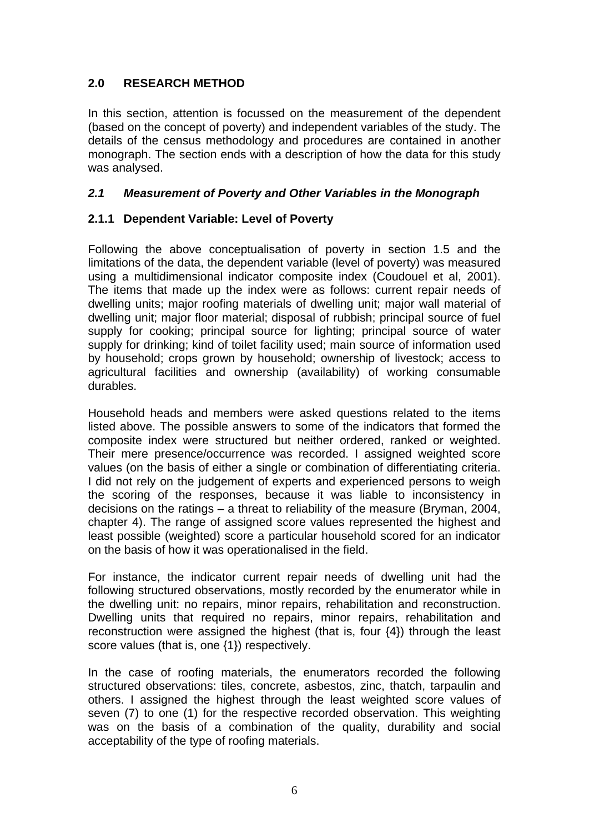## **2.0 RESEARCH METHOD**

In this section, attention is focussed on the measurement of the dependent (based on the concept of poverty) and independent variables of the study. The details of the census methodology and procedures are contained in another monograph. The section ends with a description of how the data for this study was analysed.

#### *2.1 Measurement of Poverty and Other Variables in the Monograph*

## **2.1.1 Dependent Variable: Level of Poverty**

Following the above conceptualisation of poverty in section 1.5 and the limitations of the data, the dependent variable (level of poverty) was measured using a multidimensional indicator composite index (Coudouel et al, 2001). The items that made up the index were as follows: current repair needs of dwelling units; major roofing materials of dwelling unit; major wall material of dwelling unit; major floor material; disposal of rubbish; principal source of fuel supply for cooking; principal source for lighting; principal source of water supply for drinking; kind of toilet facility used; main source of information used by household; crops grown by household; ownership of livestock; access to agricultural facilities and ownership (availability) of working consumable durables.

Household heads and members were asked questions related to the items listed above. The possible answers to some of the indicators that formed the composite index were structured but neither ordered, ranked or weighted. Their mere presence/occurrence was recorded. I assigned weighted score values (on the basis of either a single or combination of differentiating criteria. I did not rely on the judgement of experts and experienced persons to weigh the scoring of the responses, because it was liable to inconsistency in decisions on the ratings – a threat to reliability of the measure (Bryman, 2004, chapter 4). The range of assigned score values represented the highest and least possible (weighted) score a particular household scored for an indicator on the basis of how it was operationalised in the field.

For instance, the indicator current repair needs of dwelling unit had the following structured observations, mostly recorded by the enumerator while in the dwelling unit: no repairs, minor repairs, rehabilitation and reconstruction. Dwelling units that required no repairs, minor repairs, rehabilitation and reconstruction were assigned the highest (that is, four {4}) through the least score values (that is, one {1}) respectively.

In the case of roofing materials, the enumerators recorded the following structured observations: tiles, concrete, asbestos, zinc, thatch, tarpaulin and others. I assigned the highest through the least weighted score values of seven (7) to one (1) for the respective recorded observation. This weighting was on the basis of a combination of the quality, durability and social acceptability of the type of roofing materials.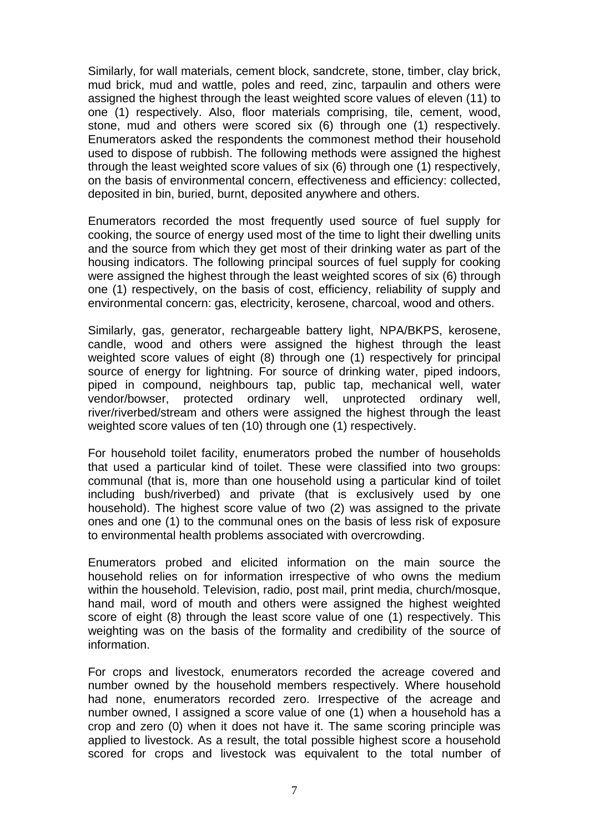Similarly, for wall materials, cement block, sandcrete, stone, timber, clay brick, mud brick, mud and wattle, poles and reed, zinc, tarpaulin and others were assigned the highest through the least weighted score values of eleven (11) to one (1) respectively. Also, floor materials comprising, tile, cement, wood, stone, mud and others were scored six (6) through one (1) respectively. Enumerators asked the respondents the commonest method their household used to dispose of rubbish. The following methods were assigned the highest through the least weighted score values of six (6) through one (1) respectively, on the basis of environmental concern, effectiveness and efficiency: collected, deposited in bin, buried, burnt, deposited anywhere and others.

Enumerators recorded the most frequently used source of fuel supply for cooking, the source of energy used most of the time to light their dwelling units and the source from which they get most of their drinking water as part of the housing indicators. The following principal sources of fuel supply for cooking were assigned the highest through the least weighted scores of six (6) through one (1) respectively, on the basis of cost, efficiency, reliability of supply and environmental concern: gas, electricity, kerosene, charcoal, wood and others.

Similarly, gas, generator, rechargeable battery light, NPA/BKPS, kerosene, candle, wood and others were assigned the highest through the least weighted score values of eight (8) through one (1) respectively for principal source of energy for lightning. For source of drinking water, piped indoors, piped in compound, neighbours tap, public tap, mechanical well, water vendor/bowser, protected ordinary well, unprotected ordinary well, river/riverbed/stream and others were assigned the highest through the least weighted score values of ten (10) through one (1) respectively.

For household toilet facility, enumerators probed the number of households that used a particular kind of toilet. These were classified into two groups: communal (that is, more than one household using a particular kind of toilet including bush/riverbed) and private (that is exclusively used by one household). The highest score value of two (2) was assigned to the private ones and one (1) to the communal ones on the basis of less risk of exposure to environmental health problems associated with overcrowding.

Enumerators probed and elicited information on the main source the household relies on for information irrespective of who owns the medium within the household. Television, radio, post mail, print media, church/mosque, hand mail, word of mouth and others were assigned the highest weighted score of eight (8) through the least score value of one (1) respectively. This weighting was on the basis of the formality and credibility of the source of information.

For crops and livestock, enumerators recorded the acreage covered and number owned by the household members respectively. Where household had none, enumerators recorded zero. Irrespective of the acreage and number owned, I assigned a score value of one (1) when a household has a crop and zero (0) when it does not have it. The same scoring principle was applied to livestock. As a result, the total possible highest score a household scored for crops and livestock was equivalent to the total number of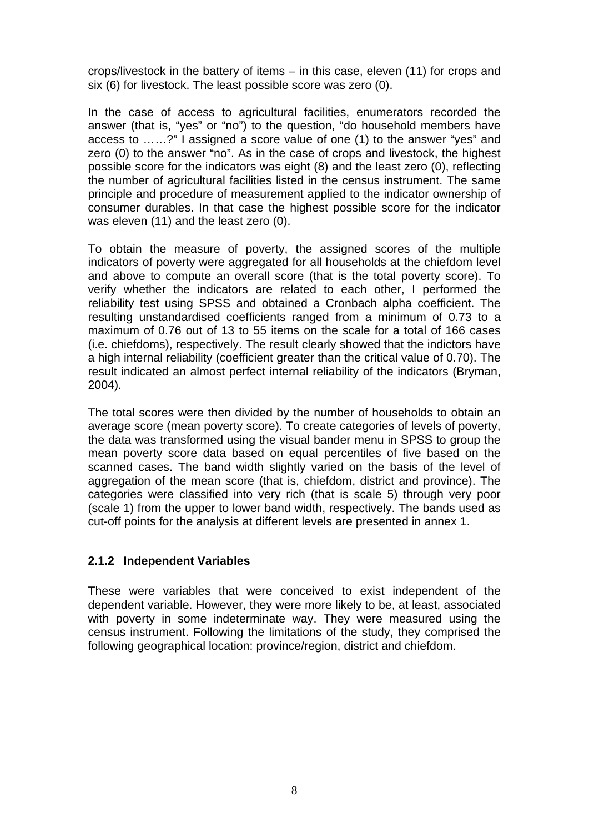crops/livestock in the battery of items – in this case, eleven (11) for crops and six (6) for livestock. The least possible score was zero (0).

In the case of access to agricultural facilities, enumerators recorded the answer (that is, "yes" or "no") to the question, "do household members have access to ……?" I assigned a score value of one (1) to the answer "yes" and zero (0) to the answer "no". As in the case of crops and livestock, the highest possible score for the indicators was eight (8) and the least zero (0), reflecting the number of agricultural facilities listed in the census instrument. The same principle and procedure of measurement applied to the indicator ownership of consumer durables. In that case the highest possible score for the indicator was eleven (11) and the least zero (0).

To obtain the measure of poverty, the assigned scores of the multiple indicators of poverty were aggregated for all households at the chiefdom level and above to compute an overall score (that is the total poverty score). To verify whether the indicators are related to each other, I performed the reliability test using SPSS and obtained a Cronbach alpha coefficient. The resulting unstandardised coefficients ranged from a minimum of 0.73 to a maximum of 0.76 out of 13 to 55 items on the scale for a total of 166 cases (i.e. chiefdoms), respectively. The result clearly showed that the indictors have a high internal reliability (coefficient greater than the critical value of 0.70). The result indicated an almost perfect internal reliability of the indicators (Bryman, 2004).

The total scores were then divided by the number of households to obtain an average score (mean poverty score). To create categories of levels of poverty, the data was transformed using the visual bander menu in SPSS to group the mean poverty score data based on equal percentiles of five based on the scanned cases. The band width slightly varied on the basis of the level of aggregation of the mean score (that is, chiefdom, district and province). The categories were classified into very rich (that is scale 5) through very poor (scale 1) from the upper to lower band width, respectively. The bands used as cut-off points for the analysis at different levels are presented in annex 1.

#### **2.1.2 Independent Variables**

These were variables that were conceived to exist independent of the dependent variable. However, they were more likely to be, at least, associated with poverty in some indeterminate way. They were measured using the census instrument. Following the limitations of the study, they comprised the following geographical location: province/region, district and chiefdom.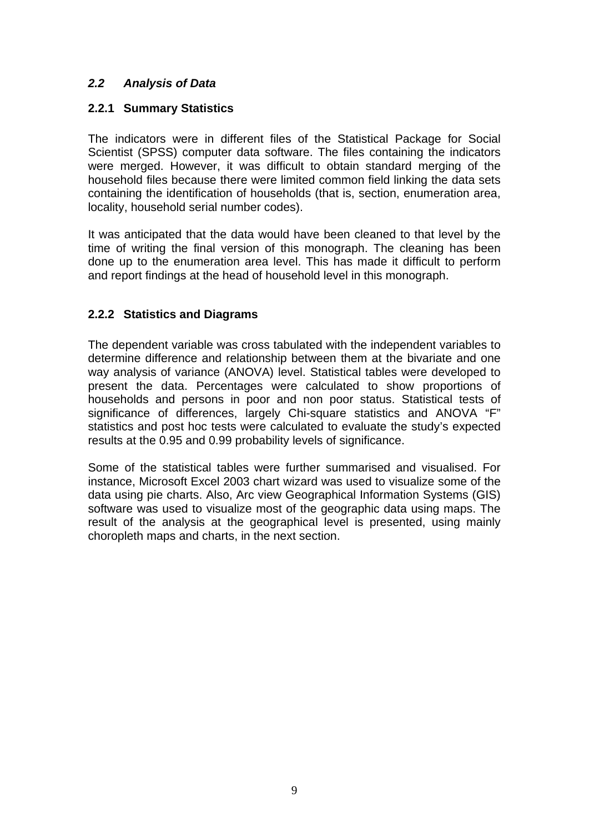## *2.2 Analysis of Data*

## **2.2.1 Summary Statistics**

The indicators were in different files of the Statistical Package for Social Scientist (SPSS) computer data software. The files containing the indicators were merged. However, it was difficult to obtain standard merging of the household files because there were limited common field linking the data sets containing the identification of households (that is, section, enumeration area, locality, household serial number codes).

It was anticipated that the data would have been cleaned to that level by the time of writing the final version of this monograph. The cleaning has been done up to the enumeration area level. This has made it difficult to perform and report findings at the head of household level in this monograph.

## **2.2.2 Statistics and Diagrams**

The dependent variable was cross tabulated with the independent variables to determine difference and relationship between them at the bivariate and one way analysis of variance (ANOVA) level. Statistical tables were developed to present the data. Percentages were calculated to show proportions of households and persons in poor and non poor status. Statistical tests of significance of differences, largely Chi-square statistics and ANOVA "F" statistics and post hoc tests were calculated to evaluate the study's expected results at the 0.95 and 0.99 probability levels of significance.

Some of the statistical tables were further summarised and visualised. For instance, Microsoft Excel 2003 chart wizard was used to visualize some of the data using pie charts. Also, Arc view Geographical Information Systems (GIS) software was used to visualize most of the geographic data using maps. The result of the analysis at the geographical level is presented, using mainly choropleth maps and charts, in the next section.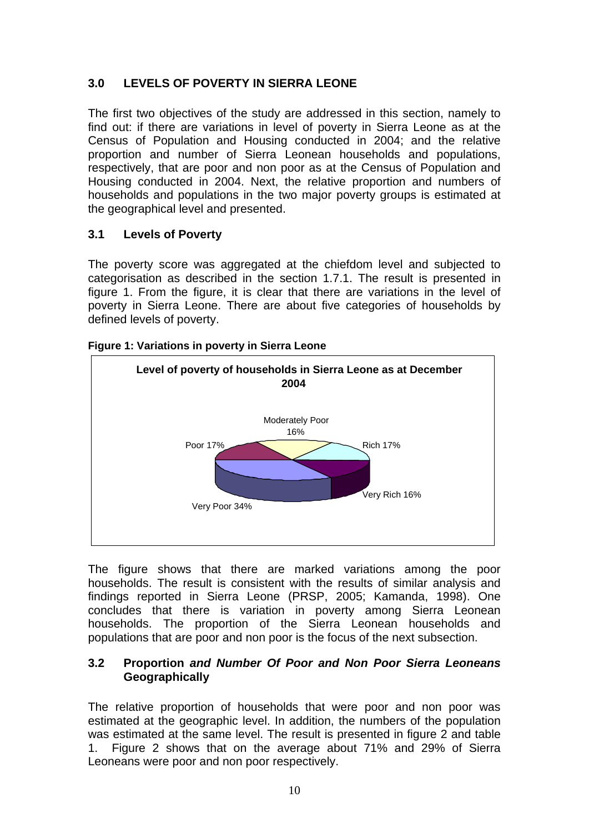## **3.0 LEVELS OF POVERTY IN SIERRA LEONE**

The first two objectives of the study are addressed in this section, namely to find out: if there are variations in level of poverty in Sierra Leone as at the Census of Population and Housing conducted in 2004; and the relative proportion and number of Sierra Leonean households and populations, respectively, that are poor and non poor as at the Census of Population and Housing conducted in 2004. Next, the relative proportion and numbers of households and populations in the two major poverty groups is estimated at the geographical level and presented.

## **3.1 Levels of Poverty**

The poverty score was aggregated at the chiefdom level and subjected to categorisation as described in the section 1.7.1. The result is presented in figure 1. From the figure, it is clear that there are variations in the level of poverty in Sierra Leone. There are about five categories of households by defined levels of poverty.



#### **Figure 1: Variations in poverty in Sierra Leone**

The figure shows that there are marked variations among the poor households. The result is consistent with the results of similar analysis and findings reported in Sierra Leone (PRSP, 2005; Kamanda, 1998). One concludes that there is variation in poverty among Sierra Leonean households. The proportion of the Sierra Leonean households and populations that are poor and non poor is the focus of the next subsection.

#### **3.2 Proportion** *and Number Of Poor and Non Poor Sierra Leoneans*  **Geographically**

The relative proportion of households that were poor and non poor was estimated at the geographic level. In addition, the numbers of the population was estimated at the same level. The result is presented in figure 2 and table 1. Figure 2 shows that on the average about 71% and 29% of Sierra Leoneans were poor and non poor respectively.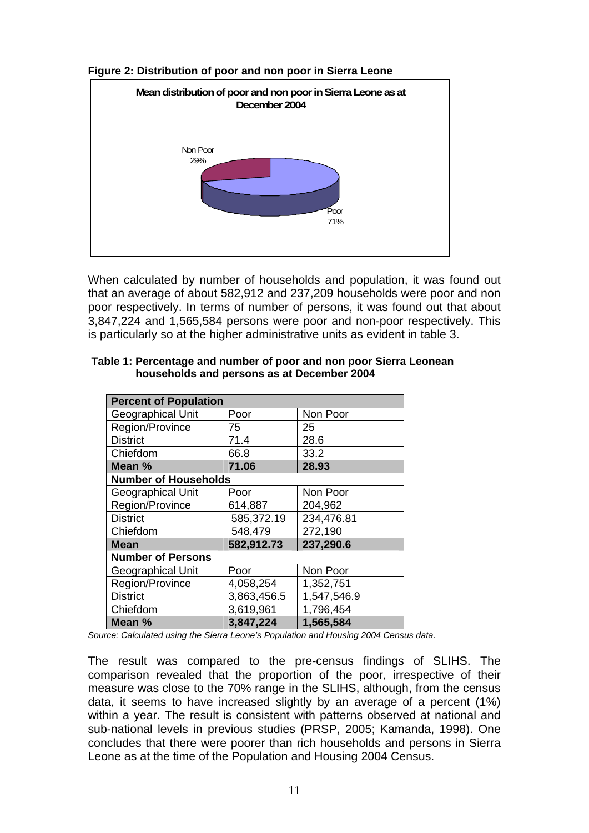

#### **Figure 2: Distribution of poor and non poor in Sierra Leone**

When calculated by number of households and population, it was found out that an average of about 582,912 and 237,209 households were poor and non poor respectively. In terms of number of persons, it was found out that about 3,847,224 and 1,565,584 persons were poor and non-poor respectively. This is particularly so at the higher administrative units as evident in table 3.

| <b>Percent of Population</b> |                             |             |  |  |
|------------------------------|-----------------------------|-------------|--|--|
| Geographical Unit            | Poor                        | Non Poor    |  |  |
| Region/Province              | 75                          | 25          |  |  |
| <b>District</b>              | 71.4                        | 28.6        |  |  |
| Chiefdom                     | 66.8                        | 33.2        |  |  |
| Mean %                       | 71.06                       | 28.93       |  |  |
|                              | <b>Number of Households</b> |             |  |  |
| Geographical Unit            | Poor                        | Non Poor    |  |  |
| Region/Province              | 614,887                     | 204,962     |  |  |
| <b>District</b>              | 585,372.19                  | 234,476.81  |  |  |
| Chiefdom                     | 548,479                     | 272,190     |  |  |
| <b>Mean</b>                  | 582,912.73                  | 237,290.6   |  |  |
| <b>Number of Persons</b>     |                             |             |  |  |
| Geographical Unit            | Poor                        | Non Poor    |  |  |
| Region/Province              | 4,058,254                   | 1,352,751   |  |  |
| <b>District</b>              | 3,863,456.5                 | 1,547,546.9 |  |  |
| Chiefdom                     | 3,619,961                   | 1,796,454   |  |  |
| Mean %                       | 3,847,224                   | 1,565,584   |  |  |

#### **households and persons as at December 2004 Table 1: Percentage and number of poor and non poor Sierra Leonean**

Source: Calculated using the Sierra Leone's Population and Housing 2004 Census data.

The result was compared to the pre-census findings of SLIHS. The comparison revealed that the proportion of the poor, irrespective of their measure was close to the 70% range in the SLIHS, although, from the census data, it seems to have increased slightly by an average of a percent (1%) within a year. The result is consistent with patterns observed at national and sub-national levels in previous studies (PRSP, 2005; Kamanda, 1998). One concludes that there were poorer than rich households and persons in Sierra Leone as at the time of the Population and Housing 2004 Census.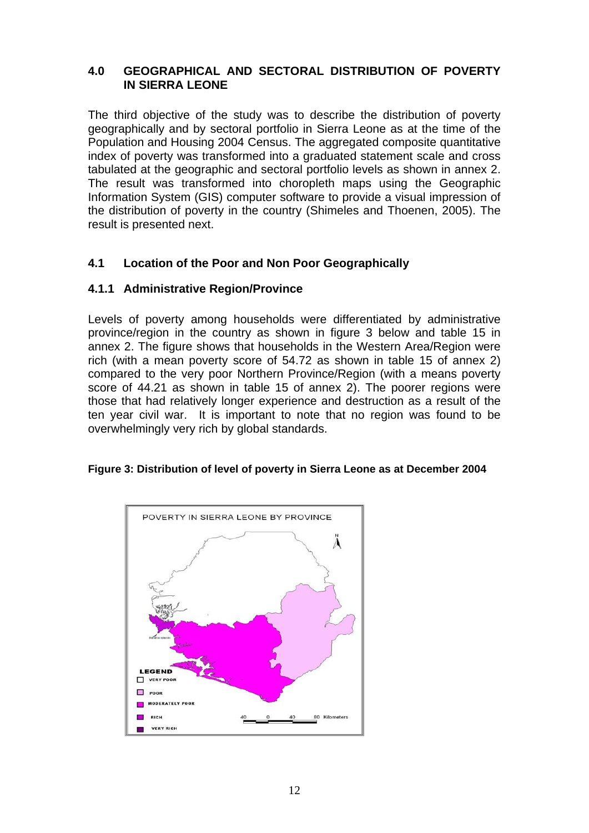#### **4.0 GEOGRAPHICAL AND SECTORAL DISTRIBUTION OF POVERTY IN SIERRA LEONE**

The third objective of the study was to describe the distribution of poverty geographically and by sectoral portfolio in Sierra Leone as at the time of the Population and Housing 2004 Census. The aggregated composite quantitative index of poverty was transformed into a graduated statement scale and cross tabulated at the geographic and sectoral portfolio levels as shown in annex 2. The result was transformed into choropleth maps using the Geographic Information System (GIS) computer software to provide a visual impression of the distribution of poverty in the country (Shimeles and Thoenen, 2005). The result is presented next.

## 4.1 Location of the Poor and Non Poor Geographically

## **4.1.1 Administrative Region/Province**

Levels of poverty among households were differentiated by administrative province/region in the country as shown in figure 3 below and table 15 in annex 2. The figure shows that households in the Western Area/Region were rich (with a mean poverty score of 54.72 as shown in table 15 of annex 2) compared to the very poor Northern Province/Region (with a means poverty score of 44.21 as shown in table 15 of annex 2). The poorer regions were those that had relatively longer experience and destruction as a result of the ten year civil war. It is important to note that no region was found to be overwhelmingly very rich by global standards.

#### Figure 3: Distribution of level of poverty in Sierra Leone as at December 2004

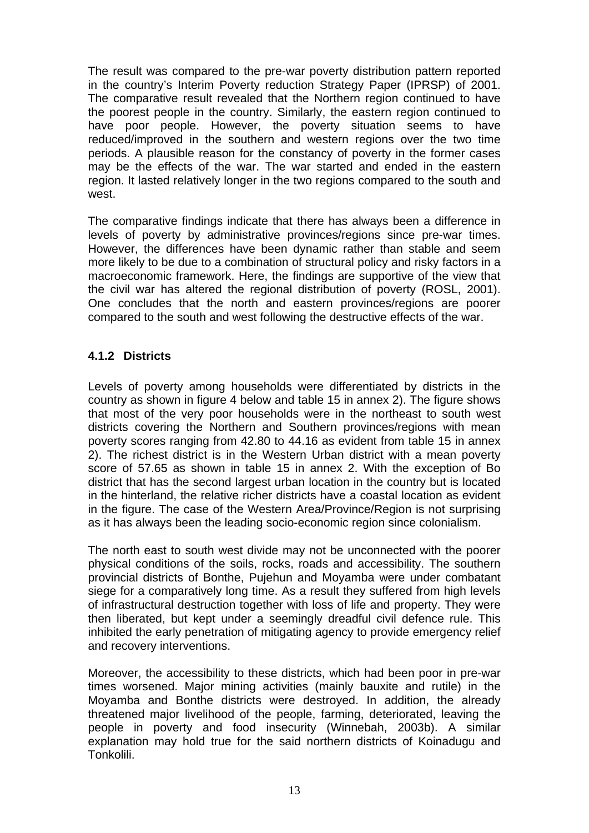The result was compared to the pre-war poverty distribution pattern reported in the country's Interim Poverty reduction Strategy Paper (IPRSP) of 2001. The comparative result revealed that the Northern region continued to have the poorest people in the country. Similarly, the eastern region continued to have poor people. However, the poverty situation seems to have reduced/improved in the southern and western regions over the two time periods. A plausible reason for the constancy of poverty in the former cases may be the effects of the war. The war started and ended in the eastern region. It lasted relatively longer in the two regions compared to the south and west.

The comparative findings indicate that there has always been a difference in levels of poverty by administrative provinces/regions since pre-war times. However, the differences have been dynamic rather than stable and seem more likely to be due to a combination of structural policy and risky factors in a macroeconomic framework. Here, the findings are supportive of the view that the civil war has altered the regional distribution of poverty (ROSL, 2001). One concludes that the north and eastern provinces/regions are poorer compared to the south and west following the destructive effects of the war.

## **4.1.2 Districts**

score of 57.65 as shown in table 15 in annex 2. With the exception of Bo Levels of poverty among households were differentiated by districts in the country as shown in figure 4 below and table 15 in annex 2). The figure shows that most of the very poor households were in the northeast to south west districts covering the Northern and Southern provinces/regions with mean poverty scores ranging from 42.80 to 44.16 as evident from table 15 in annex 2). The richest district is in the Western Urban district with a mean poverty district that has the second largest urban location in the country but is located in the hinterland, the relative richer districts have a coastal location as evident in the figure. The case of the Western Area/Province/Region is not surprising as it has always been the leading socio-economic region since colonialism.

of infrastructural destruction together with loss of life and property. They were then liberated, but kept under a seemingly dreadful civil defence rule. This inhibited the early penetration of mitigating agency to provide emergency relief The north east to south west divide may not be unconnected with the poorer physical conditions of the soils, rocks, roads and accessibility. The southern provincial districts of Bonthe, Pujehun and Moyamba were under combatant siege for a comparatively long time. As a result they suffered from high levels and recovery interventions.

Moreover, the accessibility to these districts, which had been poor in pre-war times worsened. Major mining activities (mainly bauxite and rutile) in the Moyamba and Bonthe districts were destroyed. In addition, the already threatened major livelihood of the people, farming, deteriorated, leaving the people in poverty and food insecurity (Winnebah, 2003b). A similar explanation may hold true for the said northern districts of Koinadugu and Tonkolili.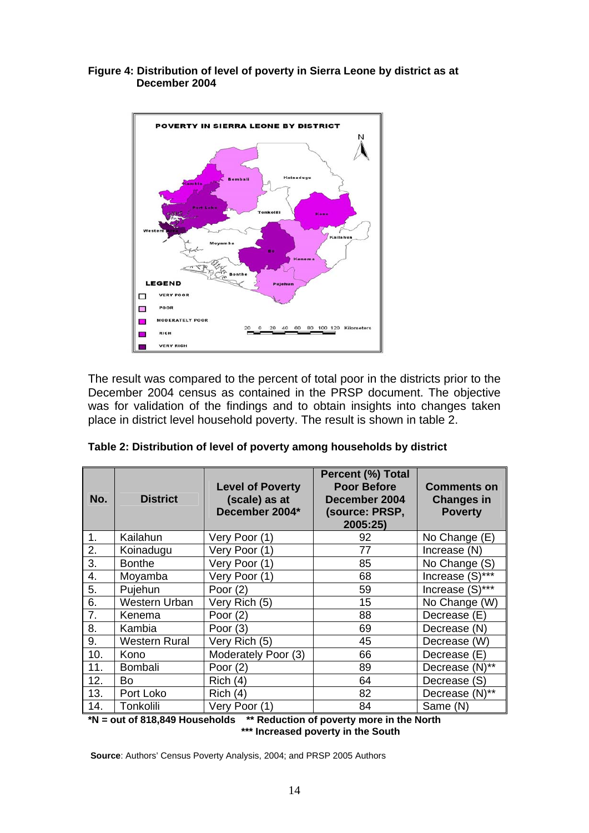#### **Figure 4: Distribution of level of poverty in Sierra Leone by district as at December 2004**



The result was compared to the percent of total poor in the districts prior to the December 2004 census as contained in the PRSP document. The objective was for validation of the findings and to obtain insights into changes taken place in district level household poverty. The result is shown in table 2.

| No. | <b>District</b>      | <b>Level of Poverty</b><br>(scale) as at<br>December 2004* | Percent (%) Total<br><b>Poor Before</b><br>December 2004<br>(source: PRSP,<br>2005:25) | <b>Comments on</b><br><b>Changes in</b><br><b>Poverty</b> |
|-----|----------------------|------------------------------------------------------------|----------------------------------------------------------------------------------------|-----------------------------------------------------------|
| 1.  | Kailahun             | Very Poor (1)                                              | 92                                                                                     | No Change (E)                                             |
| 2.  | Koinadugu            | Very Poor (1)                                              | 77                                                                                     | Increase (N)                                              |
| 3.  | <b>Bonthe</b>        | Very Poor (1)                                              | 85                                                                                     | No Change (S)                                             |
| 4.  | Moyamba              | Very Poor (1)                                              | 68                                                                                     | Increase (S)***                                           |
| 5.  | Pujehun              | Poor $(2)$                                                 | 59                                                                                     | Increase (S)***                                           |
| 6.  | <b>Western Urban</b> | Very Rich (5)                                              | 15                                                                                     | No Change (W)                                             |
| 7.  | Kenema               | Poor $(2)$                                                 | 88                                                                                     | Decrease (E)                                              |
| 8.  | Kambia               | Poor $(3)$                                                 | 69                                                                                     | Decrease (N)                                              |
| 9.  | <b>Western Rural</b> | Very Rich (5)                                              | 45                                                                                     | Decrease (W)                                              |
| 10. | Kono                 | Moderately Poor (3)                                        | 66                                                                                     | Decrease (E)                                              |
| 11. | <b>Bombali</b>       | Poor $(2)$                                                 | 89                                                                                     | Decrease (N)**                                            |
| 12. | Bo                   | Rich (4)                                                   | 64                                                                                     | Decrease (S)                                              |
| 13. | Port Loko            | Rich (4)                                                   | 82                                                                                     | Decrease (N)**                                            |
| 14. | Tonkolili            | Very Poor (1)                                              | 84                                                                                     | Same (N)                                                  |

|  | Table 2: Distribution of level of poverty among households by district |  |  |
|--|------------------------------------------------------------------------|--|--|
|--|------------------------------------------------------------------------|--|--|

**\*N = out of 818,849 Households \*\* Reduction of poverty more in the North**  \*\*\* Increased poverty in the South

**Source:** Authors' Census Poverty Analysis, 2004; and PRSP 2005 Authors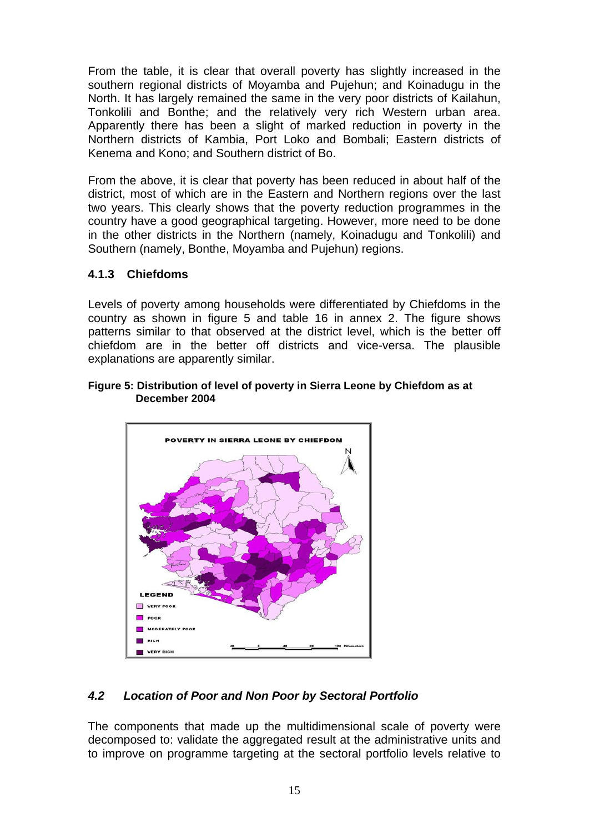From the table, it is clear that overall poverty has slightly increased in the southern regional districts of Moyamba and Pujehun; and Koinadugu in the North. It has largely remained the same in the very poor districts of Kailahun, Tonkolili and Bonthe; and the relatively very rich Western urban area. Apparently there has been a slight of marked reduction in poverty in the Northern districts of Kambia, Port Loko and Bombali; Eastern districts of Kenema and Kono; and Southern district of Bo.

From the above, it is clear that poverty has been reduced in about half of the district, most of which are in the Eastern and Northern regions over the last two years. This clearly shows that the poverty reduction programmes in the country have a good geographical targeting. However, more need to be done in the other districts in the Northern (namely, Koinadugu and Tonkolili) and Southern (namely, Bonthe, Moyamba and Pujehun) regions.

## **4.1.3 Chiefdoms**

Levels of poverty among households were differentiated by Chiefdoms in the country as shown in figure 5 and table 16 in annex 2. The figure shows patterns similar to that observed at the district level, which is the better off chiefdom are in the better off districts and vice-versa. The plausible explanations are apparently similar.

#### **Figure 5: Distribution of level of poverty in Sierra Leone by Chiefdom as at December 2004**



## *4.2 Location of Poor and Non Poor by Sectoral Portfolio*

The components that made up the multidimensional scale of poverty were decomposed to: validate the aggregated result at the administrative units and to improve on programme targeting at the sectoral portfolio levels relative to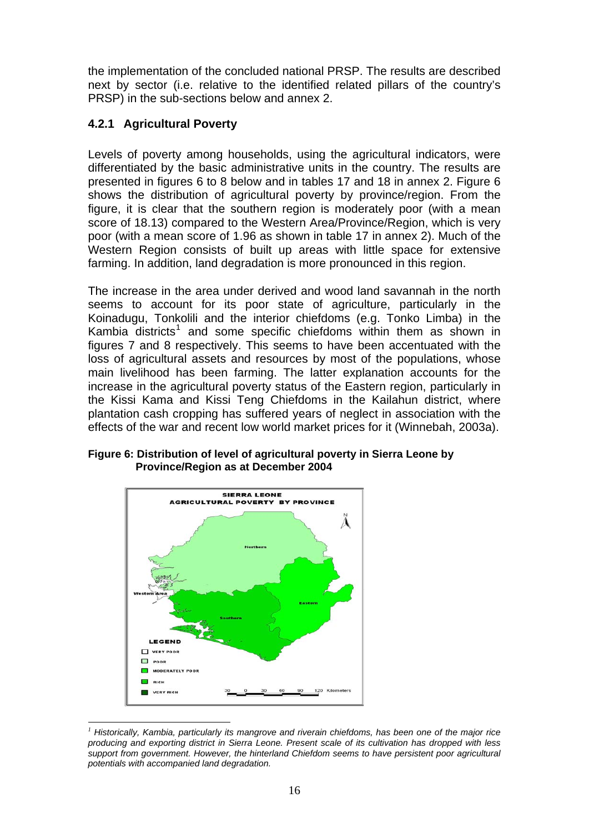the implementation of the concluded national PRSP. The results are described next by sector (i.e. relative to the identified related pillars of the country's PRSP) in the sub-sections below and annex 2.

## **4.2.1 Agricultural Poverty**

Levels of poverty among households, using the agricultural indicators, were differentiated by the basic administrative units in the country. The results are presented in figures 6 to 8 below and in tables 17 and 18 in annex 2. Figure 6 shows the distribution of agricultural poverty by province/region. From the figure, it is clear that the southern region is moderately poor (with a mean score of 18.13) compared to the Western Area/Province/Region, which is very poor (with a mean score of 1.96 as shown in table 17 in annex 2). Much of the Western Region consists of built up areas with little space for extensive farming. In addition, land degradation is more pronounced in this region.

The increase in the area under derived and wood land savannah in the north seems to account for its poor state of agriculture, particularly in the Koinadugu, Tonkolili and the interior chiefdoms (e.g. Tonko Limba) in the Kambia districts<sup>1</sup> and some specific chiefdoms within them as shown in figures 7 and 8 respectively. This seems to have been accentuated with the loss of agricultural assets and resources by most of the populations, whose main livelihood has been farming. The latter explanation accounts for the increase in the agricultural poverty status of the Eastern region, particularly in the Kissi Kama and Kissi Teng Chiefdoms in the Kailahun district, where plantation cash cropping has suffered years of neglect in association with the effects of the war and recent low world market prices for it (Winnebah, 2003a).

**Figure 6: Distribution of level of agricultural poverty in Sierra Leone by Province/Region as at December 2004** 



 $\overline{a}$ *1 Historically, Kambia, particularly its mangrove and riverain chiefdoms, has been one of the major rice producing and exporting district in Sierra Leone. Present scale of its cultivation has dropped with less support from government. However, the hinterland Chiefdom seems to have persistent poor agricultural potentials with accompanied land degradation.*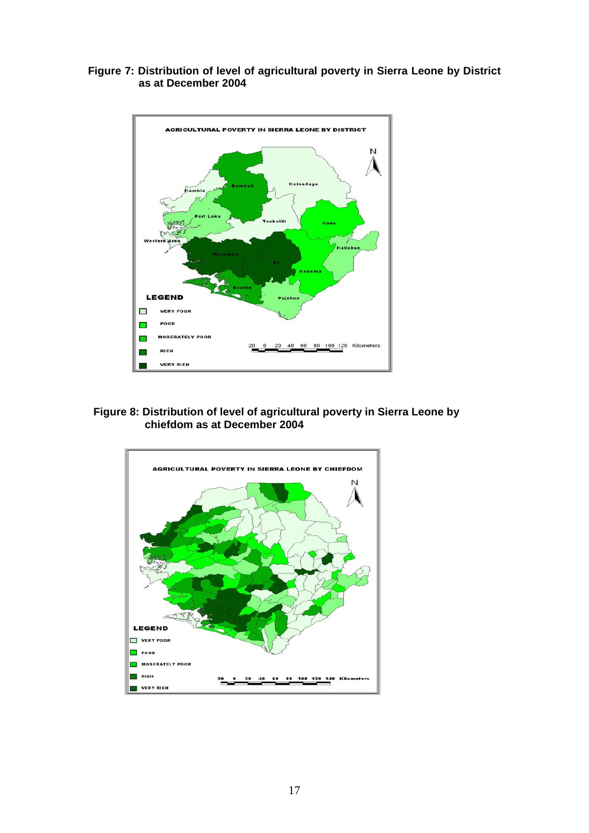



**ber 2004 Figure 8: Distribution of level of agricultural poverty in Sierra Leone by chiefdom as at Decem**

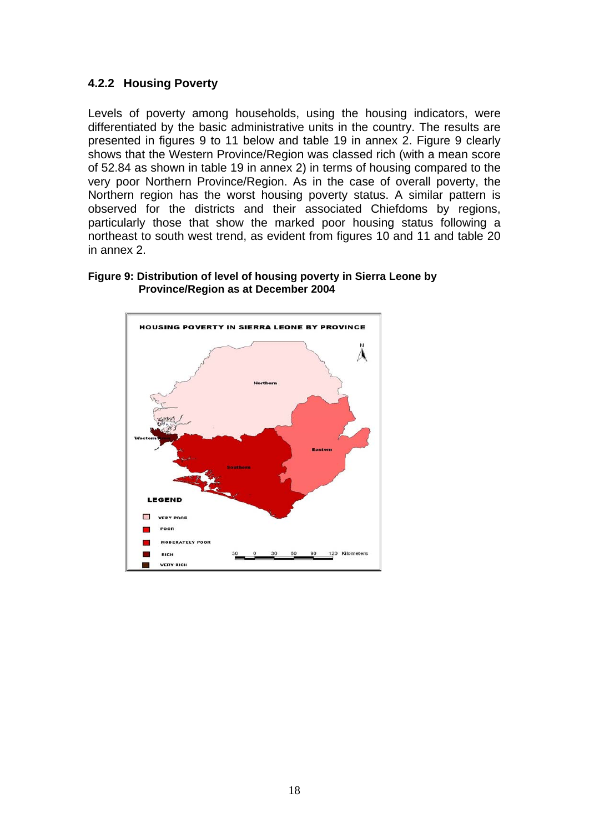#### **4.2.2 Housing Poverty**

Levels of poverty among households, using the housing indicators, were differentiated by the basic administrative units in the country. The results are presented in figures 9 to 11 below and table 19 in annex 2. Figure 9 clearly shows that the Western Province/Region was classed rich (with a mean score of 52.84 as shown in table 19 in annex 2) in terms of housing compared to the very poor Northern Province/Region. As in the case of overall poverty, the Northern region has the worst housing poverty status. A similar pattern is observed for the districts and their associated Chiefdoms by regions, particularly those that show the marked poor housing status following a northeast to south west trend, as evident from figures 10 and 11 and table 20 in annex 2.



#### **Figure 9: Distribution of level of housing poverty in Sierra Leone by Province/Region as at December 2004**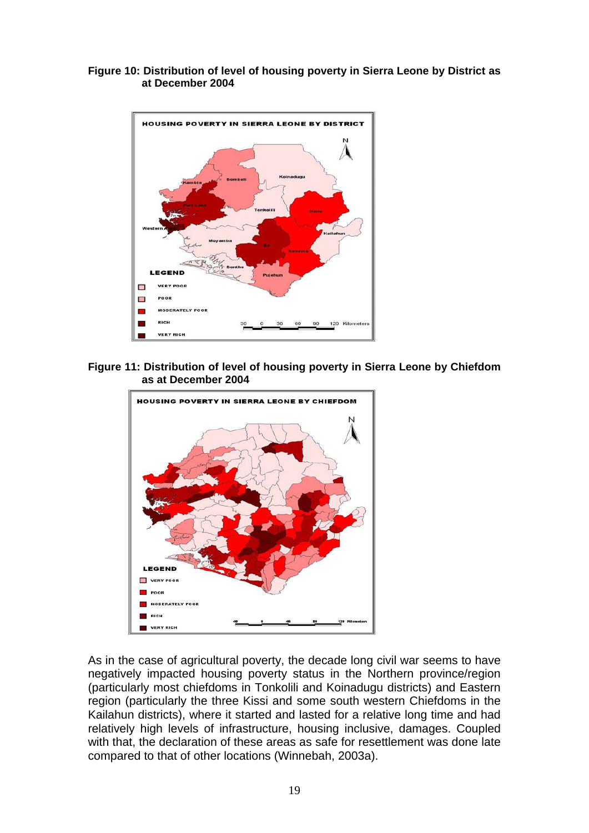#### **Figure 10: Distribution of level of housing poverty in Sierra Leone by District as at December 2004**



#### **Figure 11: Distribution of level of housing poverty in Sierra Leone by Chiefdom as at December 2004**



As in the case of agricultural poverty, the decade long civil war seems to have negatively impacted housing poverty status in the Northern province/region (particularly most chiefdoms in Tonkolili and Koinadugu districts) and Eastern region (particularly the three Kissi and some south western Chiefdoms in the Kailahun districts), where it started and lasted for a relative long time and had relatively high levels of infrastructure, housing inclusive, damages. Coupled with that, the declaration of these areas as safe for resettlement was done late compared to that of other locations (Winnebah, 2003a).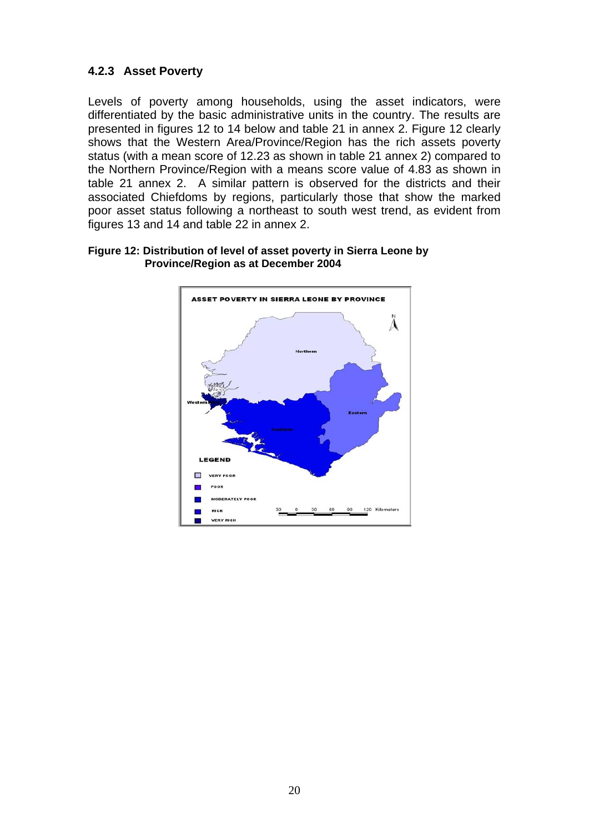## **4.2.3 Asset Poverty**

Levels of poverty among households, using the asset indicators, were differentiated by the basic administrative units in the country. The results are presented in figures 12 to 14 below and table 21 in annex 2. Figure 12 clearly shows that the Western Area/Province/Region has the rich assets poverty status (with a mean score of 12.23 as shown in table 21 annex 2) compared to the Northern Province/Region with a means score value of 4.83 as shown in table 21 annex 2. A similar pattern is observed for the districts and their associated Chiefdoms by regions, particularly those that show the marked poor asset status following a northeast to south west trend, as evident from figures 13 and 14 and table 22 in annex 2.



#### **Figure 12: Distribution of level of asset poverty in Sierra Leone by Province/Region as at December 2004**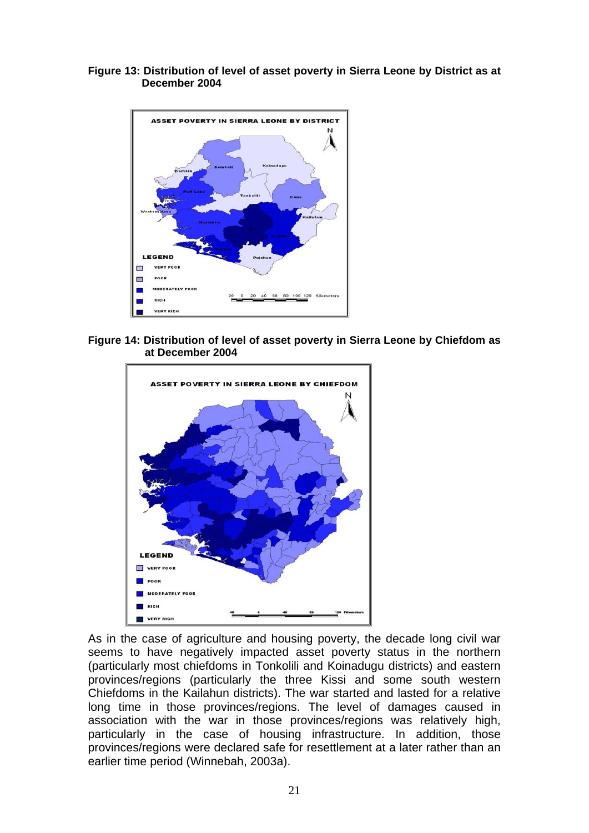**Figure 13: Distribution of level of asset poverty in Sierra Leone by District as at December 2004** 



**Figure 14: Distribution of level of asset poverty in Sierra Leone by Chiefdom as at December 2004** 



As in the case of agriculture and housing poverty, the decade long civil war seems to have negatively impacted asset poverty status in the northern (particularly most chiefdoms in Tonkolili and Koinadugu districts) and eastern provinces/regions (particularly the three Kissi and some south western Chiefdoms in the Kailahun districts). The war started and lasted for a relative long time in those provinces/regions. The level of damages caused in association with the war in those provinces/regions was relatively high, particularly in the case of housing infrastructure. In addition, those provinces/regions were declared safe for resettlement at a later rather than an earlier time period (Winnebah, 2003a).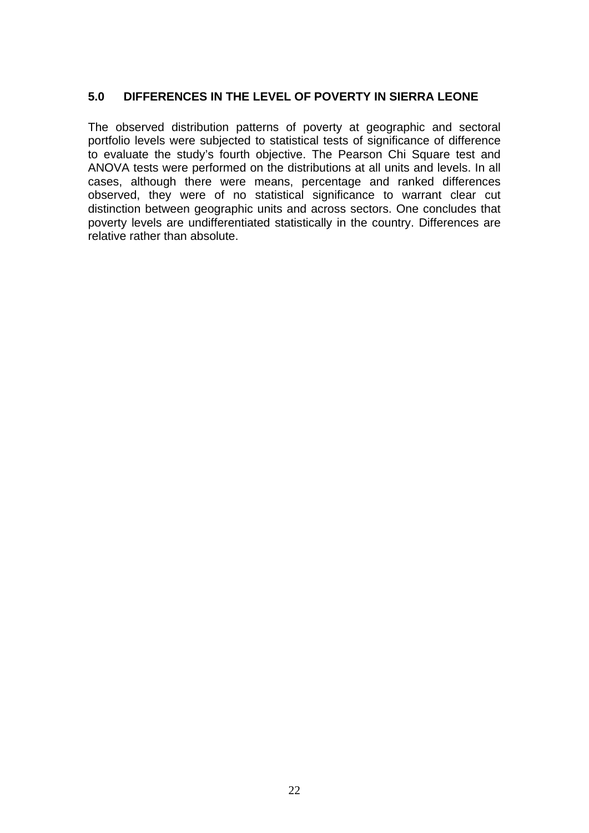#### **5.0 DIFFERENCES IN THE LEVEL OF POVERTY IN SIERRA LEONE**

The observed distribution patterns of poverty at geographic and sectoral portfolio levels were subjected to statistical tests of significance of difference to evaluate the study's fourth objective. The Pearson Chi Square test and ANOVA tests were performed on the distributions at all units and levels. In all cases, although there were means, percentage and ranked differences observed, they were of no statistical significance to warrant clear cut distinction between geographic units and across sectors. One concludes that poverty levels are undifferentiated statistically in the country. Differences are relative rather than absolute.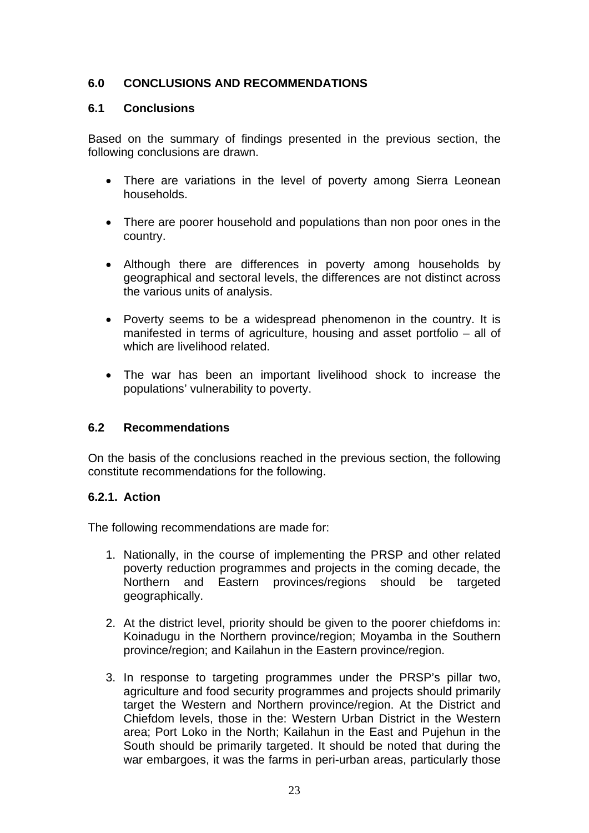## **6.0 CONCLUSIONS AND RECOMMENDATIONS**

#### **.1 Conclusions 6**

Based on the summary of findings presented in the previous section, the following conclusions are drawn.

- There are variations in the level of poverty among Sierra Leonean households.
- There are poorer household and populations than non poor ones in the country.
- Although there are differences in poverty among households by geographical and sectoral levels, the differences are not distinct across the various units of analysis.
- Poverty seems to be a widespread phenomenon in the country. It is manifested in terms of agriculture, housing and asset portfolio – all of which are livelihood related.
- The war has been an important livelihood shock to increase the populations' vulnerability to poverty.

## **6.2 Recommendations**

On the basis of the conclusions reached in the previous section, the following constitute recommendations for the following.

## **6.2.1. Action**

The following recommendations are made for:

- 1. Nationally, in the course of implementing the PRSP and other related poverty reduction programmes and projects in the coming decade, the Northern and Eastern provinces/regions should be targeted geographically.
- 2. At the district level, priority should be given to the poorer chiefdoms in: Koinadugu in the Northern province/region; Moyamba in the Southern province/region; and Kailahun in the Eastern province/region.
- 3. In response to targeting programmes under the PRSP's pillar two, agriculture and food security programmes and projects should primarily target the Western and Northern province/region. At the District and Chiefdom levels, those in the: Western Urban District in the Western area; Port Loko in the North; Kailahun in the East and Pujehun in the South should be primarily targeted. It should be noted that during the war embargoes, it was the farms in peri-urban areas, particularly those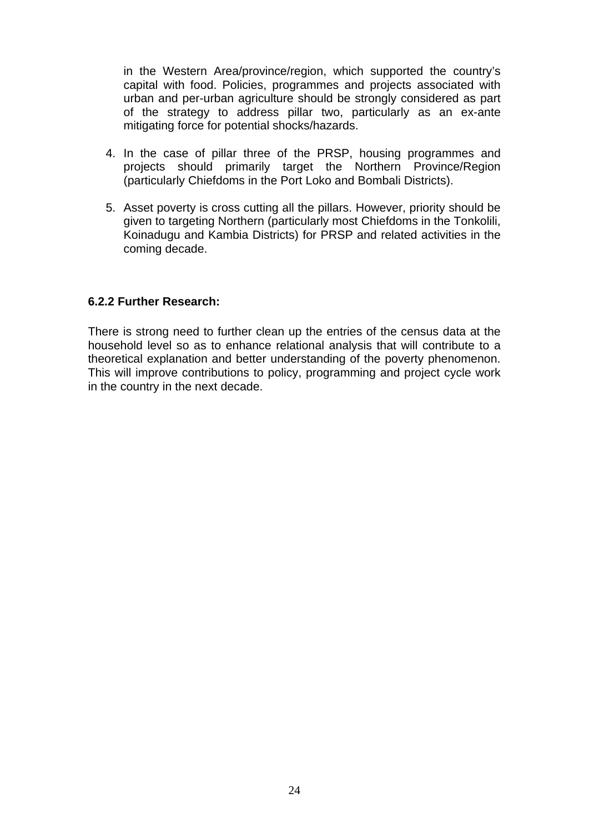in the Western Area/province/region, which supported the country's capital with food. Policies, programmes and projects associated with urban and per-urban agriculture should be strongly considered as part of the strategy to address pillar two, particularly as an ex-ante mitigating force for potential shocks/hazards.

- 4. In the case of pillar three of the PRSP, housing programmes and projects should primarily target the Northern Province/Region (particularly Chiefdoms in the Port Loko and Bombali Districts).
- . Asset poverty is cross cutting all the pillars. However, priority should be 5 Koinadugu and Kambia Districts) for PRSP and related activities in the coming decade. given to targeting Northern (particularly most Chiefdoms in the Tonkolili,

#### **.2.2 Further Research: 6**

There is strong need to further clean up the entries of the census data at the household level so as to enhance relational analysis that will contribute to a theoretical explanation and better understanding of the poverty phenomenon. Thi s will improve contributions to policy, programming and project cycle work in the country in the next decade.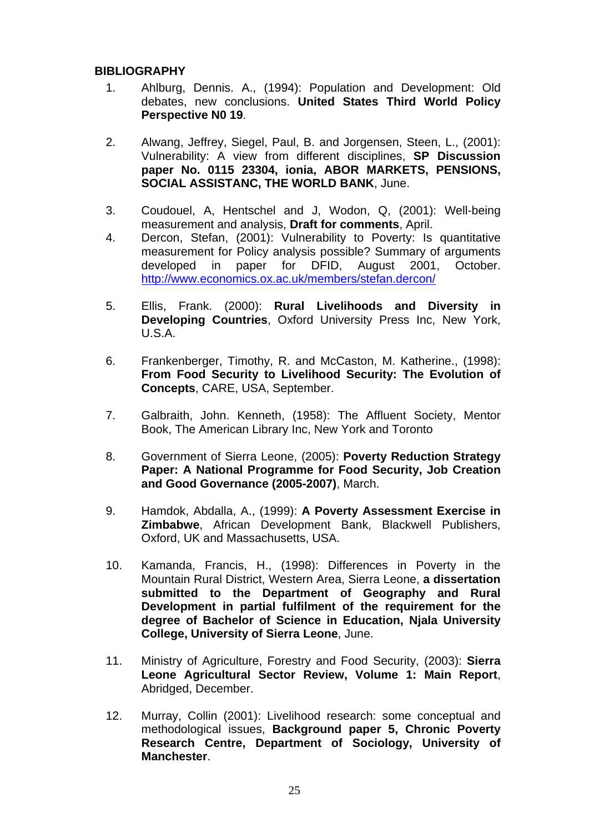#### **BIBL IOGRAPHY**

- 1. Ahlburg, Dennis. A., (1994): Population and Development: Old debates, new conclusions. **United States Third World Policy Perspective N0 19**.
- . Alwang, Jeffrey, Siegel, Paul, B. and Jorgensen, Steen, L., (2001): 2. Vulnerability: A view from different disciplines, **SP Discussion paper No. 0115 23304, ionia, ABOR MARKETS, PENSIONS, SOCIAL ASSISTANC, THE WORLD BANK**, June.
- 3. Coudouel, A, Hentschel and J, Wodon, Q, (2001): Well-being measurement and analysis, **Draft for comments**, April.
- 4. measurement for Policy analysis possible? Summary of arguments developed in paper for DFID, August 2001, October. http://www.economics.ox.ac.uk/members/stefan.dercon/ Dercon, Stefan, (2001): Vulnerability to Poverty: Is quantitative
- 5. Ellis, Frank. (2000): Rural Livelihoods and Diversity in **Developing Countries**, Oxford University Press Inc, New York, U.S.A.
- **Concepts, CARE, USA, September.** 6. Frankenberger, Timothy, R. and McCaston, M. Katherine., (1998): **From Food Security to Livelihood Security: The Evolution of**
- 7. Galbraith, John. Kenneth, (1958): The Affluent Society, Mentor Book, The American Library Inc, New York and Toronto
- 8. Government of Sierra Leone, (2005): **Poverty Reduction Strategy Paper: A National Programme for Food Security, Job Creation and Good Governance (2005-2007)**, March.
- 9. Hamdok, Abdalla, A., (1999): **A Poverty Assessment Exercise in Zimbabwe**, African Development Bank, Blackwell Publishers, Oxford, UK and Massachusetts, USA.
- 10. Kamanda, Francis, H., (1998): Differences in Poverty in the Mountain Rural District, Western Area, Sierra Leone, **a dissertation submitted to the Department of Geography and Rural Development in partial fulfilment of the requirement for the degree of Bachelor of Science in Education, Njala University College, University of Sierra Leone**, June.
- 11. Ministry of Agriculture, Forestry and Food Security, (2003): **Sierra Leone Agricultural Sector Review, Volume 1: Main Report**, Abridged, December.
- 12. Murray, Collin (2001): Livelihood research: some conceptual and methodological issues, **Background paper 5, Chronic Poverty Research Centre, Department of Sociology, University of Manchester**.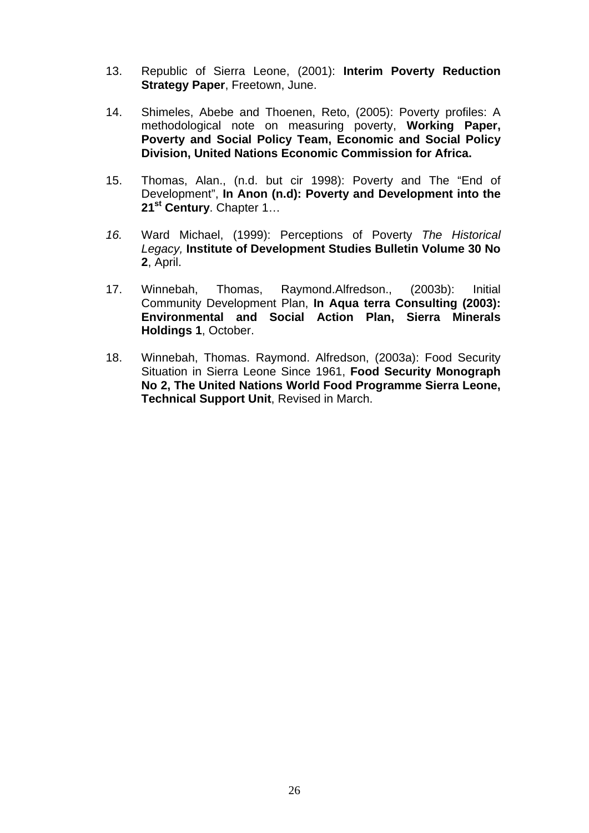- 13. Republic of Sierra Leone, (2001): **Interim Poverty Reduction Strategy Paper**, Freetown, June.
- 14. Shimeles, Abebe and Thoenen, Reto, (2005): Poverty profiles: A methodological note on measuring poverty, **Working Paper, Poverty and Social Policy Team, Economic and Social Policy Division, United Nations Economic Commission for Africa.**
- 15. Development", **In Anon (n.d): Poverty and Development into the**  Thomas, Alan., (n.d. but cir 1998): Poverty and The "End of **21st Century**. Chapter 1…
- *16.* Ward Michael, (1999): Perceptions of Poverty *The Historical Legacy,* **Institute of Development Studies Bulletin Volume 30 No 2**, April.
- Winnebah, Thomas, Raymond.Alfredson., (2003b): Initial **s 1**, October. **Holding**  $17.$ Community Development Plan, **In Aqua terra Consulting (2003): Environmental and Social Action Plan, Sierra Minerals**
- **Technical Support Unit**, Revised in March. 18. Winnebah, Thomas. Raymond. Alfredson, (2003a): Food Security Situation in Sierra Leone Since 1961, **Food Security Monograph No 2, The United Nations World Food Programme Sierra Leone,**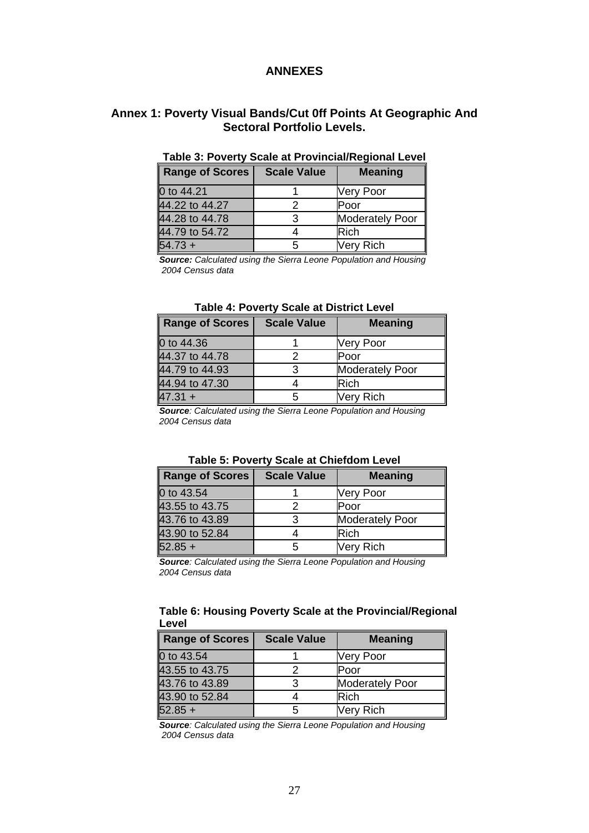#### **ANNEXES**

#### **Annex 1: Poverty Visual Bands/Cut 0ff Points At Geographic And Sectoral Portfolio Levels.**

| Range of Scores | <b>Scale Value</b> | <b>Meaning</b>         |
|-----------------|--------------------|------------------------|
| 0 to 44.21      |                    | <b>Very Poor</b>       |
| 44.22 to 44.27  |                    | Poor                   |
| 44.28 to 44.78  |                    | <b>Moderately Poor</b> |
| 44.79 to 54.72  |                    | <b>Rich</b>            |
| $54.73 +$       | 5                  | <b>Very Rich</b>       |

#### **Table 3: Poverty Scale at Provincial/Regional Level**

*Source: Calculated using the Sierra Leone Population and Housing 2004 Census data* 

| <b>Range of Scores</b> | <b>Scale Value</b> | <b>Meaning</b>         |
|------------------------|--------------------|------------------------|
| 0 to 44.36             |                    | Very Poor              |
| 44.37 to 44.78         |                    | Poor                   |
| 44.79 to 44.93         |                    | <b>Moderately Poor</b> |
| 44.94 to 47.30         |                    | <b>Rich</b>            |
| $47.31 +$              |                    | Very Rich              |

*Source: Calculated using the Sierra Leone Population and Housing 2004 Census data* 

| Range of Scores | <b>Scale Value</b> | <b>Meaning</b>         |
|-----------------|--------------------|------------------------|
| 0 to 43.54      |                    | Very Poor              |
| 43.55 to 43.75  |                    | Poor                   |
| 43.76 to 43.89  | З                  | <b>Moderately Poor</b> |
| 43.90 to 52.84  |                    | Rich                   |
| $52.85 +$       |                    | <b>Very Rich</b>       |

#### **Table 5: Poverty Scale at Chiefdom Level**

*Source: Calculated using the Sierra Leone Population and Housing 2004 Census data* 

#### **Table 6: Housing Poverty Scale at the Provincial/Regional Level**

| <b>Range of Scores</b> | <b>Scale Value</b> | <b>Meaning</b>         |
|------------------------|--------------------|------------------------|
| 0 to 43.54             |                    | <b>Very Poor</b>       |
| 43.55 to 43.75         |                    | Poor                   |
| 43.76 to 43.89         |                    | <b>Moderately Poor</b> |
| 43.90 to 52.84         |                    | Rich                   |
| $52.85 +$              |                    | Very Rich              |

*Source: Calculated using the Sierra Leone Population and Housing 2004 Census data*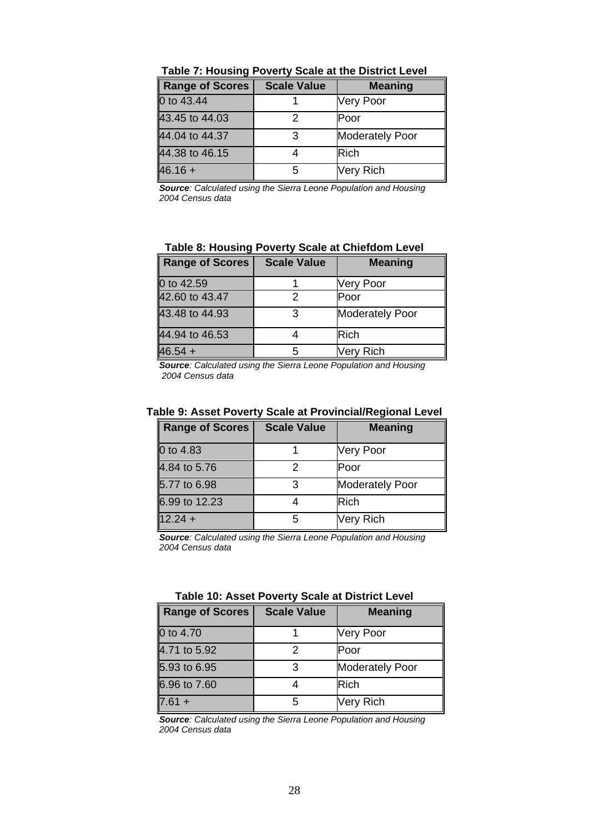| <b>Range of Scores</b> | <b>Scale Value</b> | <b>Meaning</b>         |
|------------------------|--------------------|------------------------|
| 0 to 43.44             |                    | <b>Very Poor</b>       |
| 43.45 to 44.03         |                    | lPoor                  |
| 44.04 to 44.37         | 3                  | <b>Moderately Poor</b> |
| 44.38 to 46.15         |                    | <b>Rich</b>            |
| $46.16 +$              |                    | Very Rich              |

**Source**: Calculated using the Sierra Leone Population and Housing *2004 Census data* 

#### **Table 8: Housing Poverty Scale at Chiefdom Level**

| Range of Scores | <b>Scale Value</b> | <b>Meaning</b>         |
|-----------------|--------------------|------------------------|
| 0 to 42.59      |                    | Very Poor              |
| 42.60 to 43.47  |                    | Poor                   |
| 43.48 to 44.93  | З                  | <b>Moderately Poor</b> |
| 44.94 to 46.53  |                    | <b>Rich</b>            |
| $46.54 +$       |                    | Very Rich              |

**Source**: Calculated using the Sierra Leone Population and Housing  *2004 Census data*

| Range of Scores | <b>Scale Value</b> | <b>Meaning</b>         |
|-----------------|--------------------|------------------------|
| 0 to 4.83       |                    | <b>Very Poor</b>       |
| 4.84 to 5.76    |                    | Poor                   |
| 5.77 to 6.98    |                    | <b>Moderately Poor</b> |
| 6.99 to 12.23   |                    | <b>Rich</b>            |
| $12.24 +$       |                    | <b>Very Rich</b>       |

#### **Table 9: Asset Poverty Scale at Provincial/Regional Level**

**Source**: Calculated using the Sierra Leone Population and Housing 2004 Census data

| <b>Range of Scores</b> | <b>Scale Value</b> | <b>Meaning</b>         |  |  |
|------------------------|--------------------|------------------------|--|--|
| 0 to 4.70              |                    | <b>Very Poor</b>       |  |  |
| 4.71 to 5.92           | 2                  | Poor                   |  |  |
| 5.93 to 6.95           | 3                  | <b>Moderately Poor</b> |  |  |
| 6.96 to 7.60           |                    | <b>Rich</b>            |  |  |
| $7.61 +$               | 5                  | Very Rich              |  |  |

#### **Table 10: Asset Poverty Scale at District Level**

*Source: Calculated using the Sierra Leone Population and Housing 2004 Census data*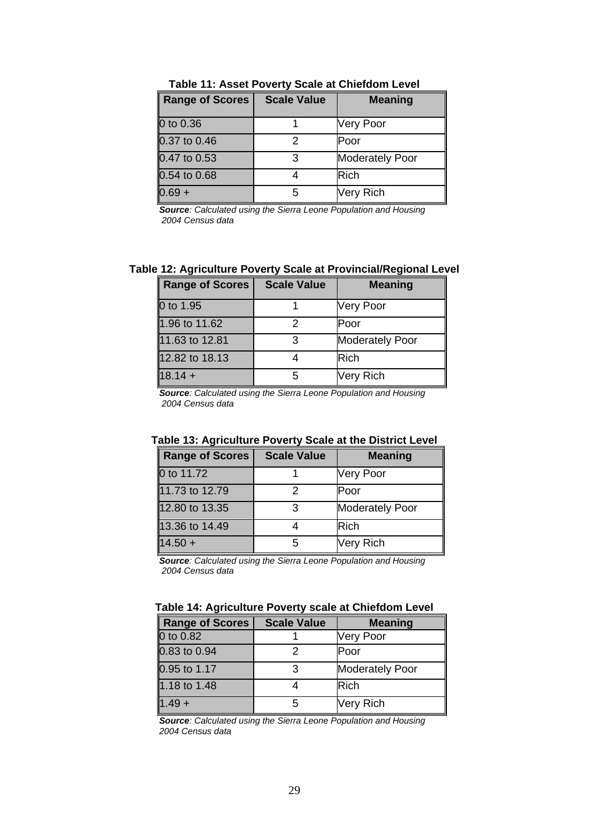| Range of Scores  | <b>Scale Value</b> | <b>Meaning</b>         |
|------------------|--------------------|------------------------|
| 0 to 0.36        |                    | Very Poor              |
| $0.37$ to $0.46$ |                    | Poor                   |
| 0.47 to 0.53     | 3                  | <b>Moderately Poor</b> |
| 0.54 to 0.68     |                    | <b>Rich</b>            |
| $0.69 +$         | 5                  | Very Rich              |

**Table 11: Asset Poverty Scale at Chiefdom Level** 

*Source: Calculated using the Sierra Leone Population and Housing 2004 Census data* 

#### **Table 12: Agriculture Poverty Scale at Provincial/Regional Level**

| <b>Range of Scores</b> | <b>Scale Value</b> | <b>Meaning</b>         |
|------------------------|--------------------|------------------------|
| 0 to 1.95              |                    | Very Poor              |
| 1.96 to 11.62          |                    | Poor                   |
| 11.63 to 12.81         |                    | <b>Moderately Poor</b> |
| 12.82 to 18.13         |                    | <b>Rich</b>            |
| $18.14 +$              |                    | Very Rich              |

*Source: Calculated using the Sierra Leone Population and Housing 2004 Census data* 

#### **Table 13: Agriculture Poverty Scale at the District Level**

| <b>Range of Scores</b> | <b>Scale Value</b> | <b>Meaning</b>         |
|------------------------|--------------------|------------------------|
| 0 to 11.72             |                    | <b>Very Poor</b>       |
| 11.73 to 12.79         |                    | Poor                   |
| 12.80 to 13.35         | 3                  | <b>Moderately Poor</b> |
| 13.36 to 14.49         |                    | <b>Rich</b>            |
| $14.50 +$              |                    | <b>Very Rich</b>       |

*Source: Calculated using the Sierra Leone Population and Housing 2004 Census data* 

| Table 14: Agriculture Poverty scale at Chiefdom Level |  |  |  |  |
|-------------------------------------------------------|--|--|--|--|
|-------------------------------------------------------|--|--|--|--|

| Range of Scores | <b>Scale Value</b> | <b>Meaning</b>         |
|-----------------|--------------------|------------------------|
| 0 to 0.82       |                    | <b>Very Poor</b>       |
| 0.83 to 0.94    |                    | Poor                   |
| 0.95 to 1.17    |                    | <b>Moderately Poor</b> |
| 1.18 to 1.48    |                    | <b>Rich</b>            |
| $1.49 +$        |                    | <b>Very Rich</b>       |

*Source: Calculated using the Sierra Leone Population and Housing 2004 Census data*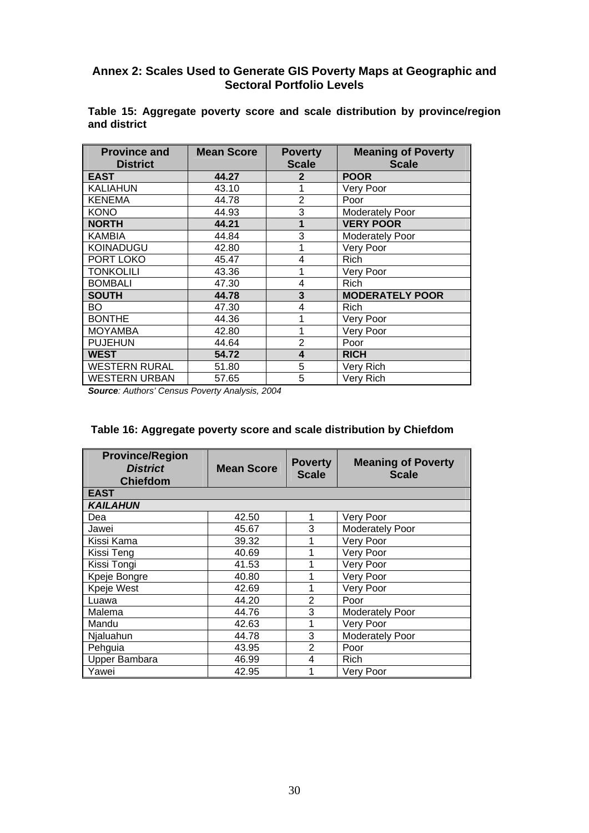#### **Annex 2: Scales Used to Generate GIS Poverty Maps at Geographic and Sectoral Portfolio Levels**

| <b>Province and</b><br><b>District</b> | <b>Mean Score</b> | <b>Poverty</b><br><b>Scale</b> | <b>Meaning of Poverty</b><br><b>Scale</b> |
|----------------------------------------|-------------------|--------------------------------|-------------------------------------------|
| <b>EAST</b>                            | 44.27             | $\mathbf 2$                    | <b>POOR</b>                               |
| <b>KALIAHUN</b>                        | 43.10             | 1                              | Very Poor                                 |
| <b>KENEMA</b>                          | 44.78             | $\overline{2}$                 | Poor                                      |
| <b>KONO</b>                            | 44.93             | 3                              | <b>Moderately Poor</b>                    |
| <b>NORTH</b>                           | 44.21             | 1                              | <b>VERY POOR</b>                          |
| <b>KAMBIA</b>                          | 44.84             | 3                              | Moderately Poor                           |
| <b>KOINADUGU</b>                       | 42.80             | 1                              | Very Poor                                 |
| PORT LOKO                              | 45.47             | 4                              | <b>Rich</b>                               |
| <b>TONKOLILI</b>                       | 43.36             | 1                              | Very Poor                                 |
| <b>BOMBALI</b>                         | 47.30             | 4                              | Rich                                      |
| <b>SOUTH</b>                           | 44.78             | 3                              | <b>MODERATELY POOR</b>                    |
| BO                                     | 47.30             | 4                              | Rich                                      |
| <b>BONTHE</b>                          | 44.36             | 1                              | Very Poor                                 |
| <b>MOYAMBA</b>                         | 42.80             |                                | Very Poor                                 |
| <b>PUJEHUN</b>                         | 44.64             | 2                              | Poor                                      |
| <b>WEST</b>                            | 54.72             | 4                              | <b>RICH</b>                               |
| <b>WESTERN RURAL</b>                   | 51.80             | 5                              | Very Rich                                 |
| <b>WESTERN URBAN</b>                   | 57.65             | 5                              | Very Rich                                 |

**Table 15: Aggregate poverty score and scale distribution by province/region and district** 

*Source: Authors' Census Poverty Analysis, 2004* 

| <b>Province/Region</b><br><b>District</b><br><b>Chiefdom</b> | <b>Mean Score</b> | <b>Poverty</b><br><b>Scale</b> | <b>Meaning of Poverty</b><br><b>Scale</b> |
|--------------------------------------------------------------|-------------------|--------------------------------|-------------------------------------------|
| <b>EAST</b>                                                  |                   |                                |                                           |
| <b>KAILAHUN</b>                                              |                   |                                |                                           |
| Dea                                                          | 42.50             | 1                              | Very Poor                                 |
| Jawei                                                        | 45.67             | 3                              | <b>Moderately Poor</b>                    |
| Kissi Kama                                                   | 39.32             |                                | Very Poor                                 |
| Kissi Teng                                                   | 40.69             |                                | Very Poor                                 |
| Kissi Tongi                                                  | 41.53             |                                | Very Poor                                 |
| Kpeje Bongre                                                 | 40.80             | 1                              | Very Poor                                 |
| Kpeje West                                                   | 42.69             | 1                              | Very Poor                                 |
| Luawa                                                        | 44.20             | 2                              | Poor                                      |
| Malema                                                       | 44.76             | 3                              | <b>Moderately Poor</b>                    |
| Mandu                                                        | 42.63             |                                | Very Poor                                 |
| Njaluahun                                                    | 44.78             | 3                              | <b>Moderately Poor</b>                    |
| Pehguia                                                      | 43.95             | 2                              | Poor                                      |
| <b>Upper Bambara</b>                                         | 46.99             | 4                              | Rich                                      |
| Yawei                                                        | 42.95             | 1                              | Very Poor                                 |

| Table 16: Aggregate poverty score and scale distribution by Chiefdom |  |
|----------------------------------------------------------------------|--|
|----------------------------------------------------------------------|--|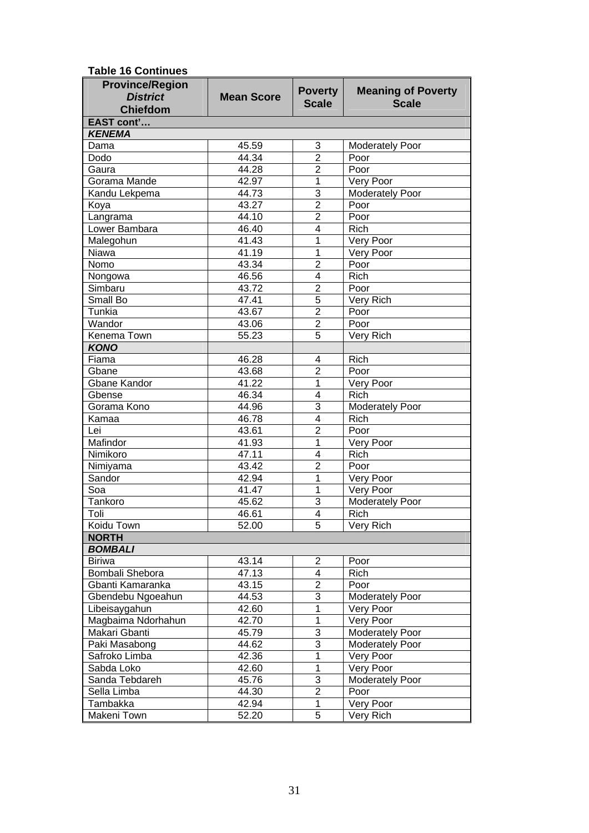| <b>District</b><br><b>Mean Score</b><br><b>Scale</b><br><b>Scale</b><br><b>Chiefdom</b><br>EAST cont'<br><b>KENEMA</b><br>45.59<br>3<br><b>Moderately Poor</b><br>Dama<br>$\overline{2}$<br>44.34<br>Dodo<br>Poor<br>$\overline{2}$<br>44.28<br>Poor<br>Gaura<br>42.97<br>1<br>Gorama Mande<br>Very Poor<br>$\overline{3}$<br>44.73<br>Moderately Poor<br>Kandu Lekpema<br>$\overline{2}$<br>43.27<br>Poor<br>Koya<br>$\overline{2}$<br>44.10<br>Langrama<br>Poor<br>$\overline{4}$<br>Lower Bambara<br>46.40<br>Rich<br>41.43<br>1<br>Malegohun<br>Very Poor<br>41.19<br>1<br>Very Poor<br>Niawa<br>$\overline{2}$<br>43.34<br>Poor<br>Nomo<br>46.56<br>$\overline{4}$<br><b>Rich</b><br>Nongowa<br>43.72<br>$\overline{2}$<br>Simbaru<br>Poor<br>5<br>Small Bo<br>47.41<br>Very Rich<br>$\overline{2}$<br>Tunkia<br>43.67<br>Poor<br>$\overline{2}$<br>Wandor<br>43.06<br>Poor<br>$\overline{5}$<br>55.23<br><b>Kenema Town</b><br>Very Rich<br><b>KONO</b><br>46.28<br>Rich<br>Fiama<br>4<br>$\overline{2}$<br>43.68<br>Gbane<br>Poor<br>41.22<br>Gbane Kandor<br>1<br>Very Poor<br>46.34<br>$\overline{4}$<br>Rich<br>Gbense<br>$\overline{3}$<br>Gorama Kono<br>44.96<br>Moderately Poor<br>46.78<br>$\overline{4}$<br>Rich<br>Kamaa<br>$\overline{2}$<br>43.61<br>Lei<br>Poor<br>Mafindor<br>41.93<br>1<br>Very Poor<br>47.11<br>Nimikoro<br>$\overline{4}$<br>Rich<br>$\overline{2}$<br>43.42<br>Nimiyama<br>Poor<br>42.94<br>1<br>Sandor<br>Very Poor<br>41.47<br>1<br>Very Poor<br>Soa<br>$\overline{3}$<br>Tankoro<br>45.62<br>Moderately Poor<br>$\overline{4}$<br>Toli<br>46.61<br>Rich<br>Koidu Town<br>52.00<br>Very Rich<br>5<br><b>NORTH</b><br><b>BOMBALI</b><br>$\overline{c}$<br><b>Biriwa</b><br>43.14<br>Poor<br>$\overline{\mathbf{4}}$<br>47.13<br>Rich<br>Bombali Shebora<br>$\overline{2}$<br>43.15<br>Gbanti Kamaranka<br>Poor<br>$\overline{3}$<br>44.53<br>Gbendebu Ngoeahun<br><b>Moderately Poor</b><br>1<br>42.60<br>Libeisaygahun<br>Very Poor<br>1<br>Magbaima Ndorhahun<br>42.70<br>Very Poor<br>3<br>45.79<br>Makari Gbanti<br>Moderately Poor<br>$\overline{3}$<br>44.62<br>Paki Masabong<br>Moderately Poor<br>1<br>42.36<br>Safroko Limba<br>Very Poor<br>1<br>42.60<br>Very Poor<br>Sabda Loko<br>3<br>45.76<br>Moderately Poor<br>Sanda Tebdareh<br>$\overline{2}$<br>44.30<br>Poor<br>Sella Limba<br>$\mathbf 1$<br>Very Poor<br>Tambakka<br>42.94<br>5<br>Makeni Town<br>52.20<br>Very Rich | <b>Province/Region</b> | <b>Poverty</b> | <b>Meaning of Poverty</b> |
|---------------------------------------------------------------------------------------------------------------------------------------------------------------------------------------------------------------------------------------------------------------------------------------------------------------------------------------------------------------------------------------------------------------------------------------------------------------------------------------------------------------------------------------------------------------------------------------------------------------------------------------------------------------------------------------------------------------------------------------------------------------------------------------------------------------------------------------------------------------------------------------------------------------------------------------------------------------------------------------------------------------------------------------------------------------------------------------------------------------------------------------------------------------------------------------------------------------------------------------------------------------------------------------------------------------------------------------------------------------------------------------------------------------------------------------------------------------------------------------------------------------------------------------------------------------------------------------------------------------------------------------------------------------------------------------------------------------------------------------------------------------------------------------------------------------------------------------------------------------------------------------------------------------------------------------------------------------------------------------------------------------------------------------------------------------------------------------------------------------------------------------------------------------------------------------------------------------------------------------------------------------------------------------------------------------------------------------------------------------------------------------------------------------------------------------|------------------------|----------------|---------------------------|
|                                                                                                                                                                                                                                                                                                                                                                                                                                                                                                                                                                                                                                                                                                                                                                                                                                                                                                                                                                                                                                                                                                                                                                                                                                                                                                                                                                                                                                                                                                                                                                                                                                                                                                                                                                                                                                                                                                                                                                                                                                                                                                                                                                                                                                                                                                                                                                                                                                       |                        |                |                           |
|                                                                                                                                                                                                                                                                                                                                                                                                                                                                                                                                                                                                                                                                                                                                                                                                                                                                                                                                                                                                                                                                                                                                                                                                                                                                                                                                                                                                                                                                                                                                                                                                                                                                                                                                                                                                                                                                                                                                                                                                                                                                                                                                                                                                                                                                                                                                                                                                                                       |                        |                |                           |
|                                                                                                                                                                                                                                                                                                                                                                                                                                                                                                                                                                                                                                                                                                                                                                                                                                                                                                                                                                                                                                                                                                                                                                                                                                                                                                                                                                                                                                                                                                                                                                                                                                                                                                                                                                                                                                                                                                                                                                                                                                                                                                                                                                                                                                                                                                                                                                                                                                       |                        |                |                           |
|                                                                                                                                                                                                                                                                                                                                                                                                                                                                                                                                                                                                                                                                                                                                                                                                                                                                                                                                                                                                                                                                                                                                                                                                                                                                                                                                                                                                                                                                                                                                                                                                                                                                                                                                                                                                                                                                                                                                                                                                                                                                                                                                                                                                                                                                                                                                                                                                                                       |                        |                |                           |
|                                                                                                                                                                                                                                                                                                                                                                                                                                                                                                                                                                                                                                                                                                                                                                                                                                                                                                                                                                                                                                                                                                                                                                                                                                                                                                                                                                                                                                                                                                                                                                                                                                                                                                                                                                                                                                                                                                                                                                                                                                                                                                                                                                                                                                                                                                                                                                                                                                       |                        |                |                           |
|                                                                                                                                                                                                                                                                                                                                                                                                                                                                                                                                                                                                                                                                                                                                                                                                                                                                                                                                                                                                                                                                                                                                                                                                                                                                                                                                                                                                                                                                                                                                                                                                                                                                                                                                                                                                                                                                                                                                                                                                                                                                                                                                                                                                                                                                                                                                                                                                                                       |                        |                |                           |
|                                                                                                                                                                                                                                                                                                                                                                                                                                                                                                                                                                                                                                                                                                                                                                                                                                                                                                                                                                                                                                                                                                                                                                                                                                                                                                                                                                                                                                                                                                                                                                                                                                                                                                                                                                                                                                                                                                                                                                                                                                                                                                                                                                                                                                                                                                                                                                                                                                       |                        |                |                           |
|                                                                                                                                                                                                                                                                                                                                                                                                                                                                                                                                                                                                                                                                                                                                                                                                                                                                                                                                                                                                                                                                                                                                                                                                                                                                                                                                                                                                                                                                                                                                                                                                                                                                                                                                                                                                                                                                                                                                                                                                                                                                                                                                                                                                                                                                                                                                                                                                                                       |                        |                |                           |
|                                                                                                                                                                                                                                                                                                                                                                                                                                                                                                                                                                                                                                                                                                                                                                                                                                                                                                                                                                                                                                                                                                                                                                                                                                                                                                                                                                                                                                                                                                                                                                                                                                                                                                                                                                                                                                                                                                                                                                                                                                                                                                                                                                                                                                                                                                                                                                                                                                       |                        |                |                           |
|                                                                                                                                                                                                                                                                                                                                                                                                                                                                                                                                                                                                                                                                                                                                                                                                                                                                                                                                                                                                                                                                                                                                                                                                                                                                                                                                                                                                                                                                                                                                                                                                                                                                                                                                                                                                                                                                                                                                                                                                                                                                                                                                                                                                                                                                                                                                                                                                                                       |                        |                |                           |
|                                                                                                                                                                                                                                                                                                                                                                                                                                                                                                                                                                                                                                                                                                                                                                                                                                                                                                                                                                                                                                                                                                                                                                                                                                                                                                                                                                                                                                                                                                                                                                                                                                                                                                                                                                                                                                                                                                                                                                                                                                                                                                                                                                                                                                                                                                                                                                                                                                       |                        |                |                           |
|                                                                                                                                                                                                                                                                                                                                                                                                                                                                                                                                                                                                                                                                                                                                                                                                                                                                                                                                                                                                                                                                                                                                                                                                                                                                                                                                                                                                                                                                                                                                                                                                                                                                                                                                                                                                                                                                                                                                                                                                                                                                                                                                                                                                                                                                                                                                                                                                                                       |                        |                |                           |
|                                                                                                                                                                                                                                                                                                                                                                                                                                                                                                                                                                                                                                                                                                                                                                                                                                                                                                                                                                                                                                                                                                                                                                                                                                                                                                                                                                                                                                                                                                                                                                                                                                                                                                                                                                                                                                                                                                                                                                                                                                                                                                                                                                                                                                                                                                                                                                                                                                       |                        |                |                           |
|                                                                                                                                                                                                                                                                                                                                                                                                                                                                                                                                                                                                                                                                                                                                                                                                                                                                                                                                                                                                                                                                                                                                                                                                                                                                                                                                                                                                                                                                                                                                                                                                                                                                                                                                                                                                                                                                                                                                                                                                                                                                                                                                                                                                                                                                                                                                                                                                                                       |                        |                |                           |
|                                                                                                                                                                                                                                                                                                                                                                                                                                                                                                                                                                                                                                                                                                                                                                                                                                                                                                                                                                                                                                                                                                                                                                                                                                                                                                                                                                                                                                                                                                                                                                                                                                                                                                                                                                                                                                                                                                                                                                                                                                                                                                                                                                                                                                                                                                                                                                                                                                       |                        |                |                           |
|                                                                                                                                                                                                                                                                                                                                                                                                                                                                                                                                                                                                                                                                                                                                                                                                                                                                                                                                                                                                                                                                                                                                                                                                                                                                                                                                                                                                                                                                                                                                                                                                                                                                                                                                                                                                                                                                                                                                                                                                                                                                                                                                                                                                                                                                                                                                                                                                                                       |                        |                |                           |
|                                                                                                                                                                                                                                                                                                                                                                                                                                                                                                                                                                                                                                                                                                                                                                                                                                                                                                                                                                                                                                                                                                                                                                                                                                                                                                                                                                                                                                                                                                                                                                                                                                                                                                                                                                                                                                                                                                                                                                                                                                                                                                                                                                                                                                                                                                                                                                                                                                       |                        |                |                           |
|                                                                                                                                                                                                                                                                                                                                                                                                                                                                                                                                                                                                                                                                                                                                                                                                                                                                                                                                                                                                                                                                                                                                                                                                                                                                                                                                                                                                                                                                                                                                                                                                                                                                                                                                                                                                                                                                                                                                                                                                                                                                                                                                                                                                                                                                                                                                                                                                                                       |                        |                |                           |
|                                                                                                                                                                                                                                                                                                                                                                                                                                                                                                                                                                                                                                                                                                                                                                                                                                                                                                                                                                                                                                                                                                                                                                                                                                                                                                                                                                                                                                                                                                                                                                                                                                                                                                                                                                                                                                                                                                                                                                                                                                                                                                                                                                                                                                                                                                                                                                                                                                       |                        |                |                           |
|                                                                                                                                                                                                                                                                                                                                                                                                                                                                                                                                                                                                                                                                                                                                                                                                                                                                                                                                                                                                                                                                                                                                                                                                                                                                                                                                                                                                                                                                                                                                                                                                                                                                                                                                                                                                                                                                                                                                                                                                                                                                                                                                                                                                                                                                                                                                                                                                                                       |                        |                |                           |
|                                                                                                                                                                                                                                                                                                                                                                                                                                                                                                                                                                                                                                                                                                                                                                                                                                                                                                                                                                                                                                                                                                                                                                                                                                                                                                                                                                                                                                                                                                                                                                                                                                                                                                                                                                                                                                                                                                                                                                                                                                                                                                                                                                                                                                                                                                                                                                                                                                       |                        |                |                           |
|                                                                                                                                                                                                                                                                                                                                                                                                                                                                                                                                                                                                                                                                                                                                                                                                                                                                                                                                                                                                                                                                                                                                                                                                                                                                                                                                                                                                                                                                                                                                                                                                                                                                                                                                                                                                                                                                                                                                                                                                                                                                                                                                                                                                                                                                                                                                                                                                                                       |                        |                |                           |
|                                                                                                                                                                                                                                                                                                                                                                                                                                                                                                                                                                                                                                                                                                                                                                                                                                                                                                                                                                                                                                                                                                                                                                                                                                                                                                                                                                                                                                                                                                                                                                                                                                                                                                                                                                                                                                                                                                                                                                                                                                                                                                                                                                                                                                                                                                                                                                                                                                       |                        |                |                           |
|                                                                                                                                                                                                                                                                                                                                                                                                                                                                                                                                                                                                                                                                                                                                                                                                                                                                                                                                                                                                                                                                                                                                                                                                                                                                                                                                                                                                                                                                                                                                                                                                                                                                                                                                                                                                                                                                                                                                                                                                                                                                                                                                                                                                                                                                                                                                                                                                                                       |                        |                |                           |
|                                                                                                                                                                                                                                                                                                                                                                                                                                                                                                                                                                                                                                                                                                                                                                                                                                                                                                                                                                                                                                                                                                                                                                                                                                                                                                                                                                                                                                                                                                                                                                                                                                                                                                                                                                                                                                                                                                                                                                                                                                                                                                                                                                                                                                                                                                                                                                                                                                       |                        |                |                           |
|                                                                                                                                                                                                                                                                                                                                                                                                                                                                                                                                                                                                                                                                                                                                                                                                                                                                                                                                                                                                                                                                                                                                                                                                                                                                                                                                                                                                                                                                                                                                                                                                                                                                                                                                                                                                                                                                                                                                                                                                                                                                                                                                                                                                                                                                                                                                                                                                                                       |                        |                |                           |
|                                                                                                                                                                                                                                                                                                                                                                                                                                                                                                                                                                                                                                                                                                                                                                                                                                                                                                                                                                                                                                                                                                                                                                                                                                                                                                                                                                                                                                                                                                                                                                                                                                                                                                                                                                                                                                                                                                                                                                                                                                                                                                                                                                                                                                                                                                                                                                                                                                       |                        |                |                           |
|                                                                                                                                                                                                                                                                                                                                                                                                                                                                                                                                                                                                                                                                                                                                                                                                                                                                                                                                                                                                                                                                                                                                                                                                                                                                                                                                                                                                                                                                                                                                                                                                                                                                                                                                                                                                                                                                                                                                                                                                                                                                                                                                                                                                                                                                                                                                                                                                                                       |                        |                |                           |
|                                                                                                                                                                                                                                                                                                                                                                                                                                                                                                                                                                                                                                                                                                                                                                                                                                                                                                                                                                                                                                                                                                                                                                                                                                                                                                                                                                                                                                                                                                                                                                                                                                                                                                                                                                                                                                                                                                                                                                                                                                                                                                                                                                                                                                                                                                                                                                                                                                       |                        |                |                           |
|                                                                                                                                                                                                                                                                                                                                                                                                                                                                                                                                                                                                                                                                                                                                                                                                                                                                                                                                                                                                                                                                                                                                                                                                                                                                                                                                                                                                                                                                                                                                                                                                                                                                                                                                                                                                                                                                                                                                                                                                                                                                                                                                                                                                                                                                                                                                                                                                                                       |                        |                |                           |
|                                                                                                                                                                                                                                                                                                                                                                                                                                                                                                                                                                                                                                                                                                                                                                                                                                                                                                                                                                                                                                                                                                                                                                                                                                                                                                                                                                                                                                                                                                                                                                                                                                                                                                                                                                                                                                                                                                                                                                                                                                                                                                                                                                                                                                                                                                                                                                                                                                       |                        |                |                           |
|                                                                                                                                                                                                                                                                                                                                                                                                                                                                                                                                                                                                                                                                                                                                                                                                                                                                                                                                                                                                                                                                                                                                                                                                                                                                                                                                                                                                                                                                                                                                                                                                                                                                                                                                                                                                                                                                                                                                                                                                                                                                                                                                                                                                                                                                                                                                                                                                                                       |                        |                |                           |
|                                                                                                                                                                                                                                                                                                                                                                                                                                                                                                                                                                                                                                                                                                                                                                                                                                                                                                                                                                                                                                                                                                                                                                                                                                                                                                                                                                                                                                                                                                                                                                                                                                                                                                                                                                                                                                                                                                                                                                                                                                                                                                                                                                                                                                                                                                                                                                                                                                       |                        |                |                           |
|                                                                                                                                                                                                                                                                                                                                                                                                                                                                                                                                                                                                                                                                                                                                                                                                                                                                                                                                                                                                                                                                                                                                                                                                                                                                                                                                                                                                                                                                                                                                                                                                                                                                                                                                                                                                                                                                                                                                                                                                                                                                                                                                                                                                                                                                                                                                                                                                                                       |                        |                |                           |
|                                                                                                                                                                                                                                                                                                                                                                                                                                                                                                                                                                                                                                                                                                                                                                                                                                                                                                                                                                                                                                                                                                                                                                                                                                                                                                                                                                                                                                                                                                                                                                                                                                                                                                                                                                                                                                                                                                                                                                                                                                                                                                                                                                                                                                                                                                                                                                                                                                       |                        |                |                           |
|                                                                                                                                                                                                                                                                                                                                                                                                                                                                                                                                                                                                                                                                                                                                                                                                                                                                                                                                                                                                                                                                                                                                                                                                                                                                                                                                                                                                                                                                                                                                                                                                                                                                                                                                                                                                                                                                                                                                                                                                                                                                                                                                                                                                                                                                                                                                                                                                                                       |                        |                |                           |
|                                                                                                                                                                                                                                                                                                                                                                                                                                                                                                                                                                                                                                                                                                                                                                                                                                                                                                                                                                                                                                                                                                                                                                                                                                                                                                                                                                                                                                                                                                                                                                                                                                                                                                                                                                                                                                                                                                                                                                                                                                                                                                                                                                                                                                                                                                                                                                                                                                       |                        |                |                           |
|                                                                                                                                                                                                                                                                                                                                                                                                                                                                                                                                                                                                                                                                                                                                                                                                                                                                                                                                                                                                                                                                                                                                                                                                                                                                                                                                                                                                                                                                                                                                                                                                                                                                                                                                                                                                                                                                                                                                                                                                                                                                                                                                                                                                                                                                                                                                                                                                                                       |                        |                |                           |
|                                                                                                                                                                                                                                                                                                                                                                                                                                                                                                                                                                                                                                                                                                                                                                                                                                                                                                                                                                                                                                                                                                                                                                                                                                                                                                                                                                                                                                                                                                                                                                                                                                                                                                                                                                                                                                                                                                                                                                                                                                                                                                                                                                                                                                                                                                                                                                                                                                       |                        |                |                           |
|                                                                                                                                                                                                                                                                                                                                                                                                                                                                                                                                                                                                                                                                                                                                                                                                                                                                                                                                                                                                                                                                                                                                                                                                                                                                                                                                                                                                                                                                                                                                                                                                                                                                                                                                                                                                                                                                                                                                                                                                                                                                                                                                                                                                                                                                                                                                                                                                                                       |                        |                |                           |
|                                                                                                                                                                                                                                                                                                                                                                                                                                                                                                                                                                                                                                                                                                                                                                                                                                                                                                                                                                                                                                                                                                                                                                                                                                                                                                                                                                                                                                                                                                                                                                                                                                                                                                                                                                                                                                                                                                                                                                                                                                                                                                                                                                                                                                                                                                                                                                                                                                       |                        |                |                           |
|                                                                                                                                                                                                                                                                                                                                                                                                                                                                                                                                                                                                                                                                                                                                                                                                                                                                                                                                                                                                                                                                                                                                                                                                                                                                                                                                                                                                                                                                                                                                                                                                                                                                                                                                                                                                                                                                                                                                                                                                                                                                                                                                                                                                                                                                                                                                                                                                                                       |                        |                |                           |
|                                                                                                                                                                                                                                                                                                                                                                                                                                                                                                                                                                                                                                                                                                                                                                                                                                                                                                                                                                                                                                                                                                                                                                                                                                                                                                                                                                                                                                                                                                                                                                                                                                                                                                                                                                                                                                                                                                                                                                                                                                                                                                                                                                                                                                                                                                                                                                                                                                       |                        |                |                           |
|                                                                                                                                                                                                                                                                                                                                                                                                                                                                                                                                                                                                                                                                                                                                                                                                                                                                                                                                                                                                                                                                                                                                                                                                                                                                                                                                                                                                                                                                                                                                                                                                                                                                                                                                                                                                                                                                                                                                                                                                                                                                                                                                                                                                                                                                                                                                                                                                                                       |                        |                |                           |
|                                                                                                                                                                                                                                                                                                                                                                                                                                                                                                                                                                                                                                                                                                                                                                                                                                                                                                                                                                                                                                                                                                                                                                                                                                                                                                                                                                                                                                                                                                                                                                                                                                                                                                                                                                                                                                                                                                                                                                                                                                                                                                                                                                                                                                                                                                                                                                                                                                       |                        |                |                           |
|                                                                                                                                                                                                                                                                                                                                                                                                                                                                                                                                                                                                                                                                                                                                                                                                                                                                                                                                                                                                                                                                                                                                                                                                                                                                                                                                                                                                                                                                                                                                                                                                                                                                                                                                                                                                                                                                                                                                                                                                                                                                                                                                                                                                                                                                                                                                                                                                                                       |                        |                |                           |
|                                                                                                                                                                                                                                                                                                                                                                                                                                                                                                                                                                                                                                                                                                                                                                                                                                                                                                                                                                                                                                                                                                                                                                                                                                                                                                                                                                                                                                                                                                                                                                                                                                                                                                                                                                                                                                                                                                                                                                                                                                                                                                                                                                                                                                                                                                                                                                                                                                       |                        |                |                           |
|                                                                                                                                                                                                                                                                                                                                                                                                                                                                                                                                                                                                                                                                                                                                                                                                                                                                                                                                                                                                                                                                                                                                                                                                                                                                                                                                                                                                                                                                                                                                                                                                                                                                                                                                                                                                                                                                                                                                                                                                                                                                                                                                                                                                                                                                                                                                                                                                                                       |                        |                |                           |
|                                                                                                                                                                                                                                                                                                                                                                                                                                                                                                                                                                                                                                                                                                                                                                                                                                                                                                                                                                                                                                                                                                                                                                                                                                                                                                                                                                                                                                                                                                                                                                                                                                                                                                                                                                                                                                                                                                                                                                                                                                                                                                                                                                                                                                                                                                                                                                                                                                       |                        |                |                           |
|                                                                                                                                                                                                                                                                                                                                                                                                                                                                                                                                                                                                                                                                                                                                                                                                                                                                                                                                                                                                                                                                                                                                                                                                                                                                                                                                                                                                                                                                                                                                                                                                                                                                                                                                                                                                                                                                                                                                                                                                                                                                                                                                                                                                                                                                                                                                                                                                                                       |                        |                |                           |
|                                                                                                                                                                                                                                                                                                                                                                                                                                                                                                                                                                                                                                                                                                                                                                                                                                                                                                                                                                                                                                                                                                                                                                                                                                                                                                                                                                                                                                                                                                                                                                                                                                                                                                                                                                                                                                                                                                                                                                                                                                                                                                                                                                                                                                                                                                                                                                                                                                       |                        |                |                           |
|                                                                                                                                                                                                                                                                                                                                                                                                                                                                                                                                                                                                                                                                                                                                                                                                                                                                                                                                                                                                                                                                                                                                                                                                                                                                                                                                                                                                                                                                                                                                                                                                                                                                                                                                                                                                                                                                                                                                                                                                                                                                                                                                                                                                                                                                                                                                                                                                                                       |                        |                |                           |
|                                                                                                                                                                                                                                                                                                                                                                                                                                                                                                                                                                                                                                                                                                                                                                                                                                                                                                                                                                                                                                                                                                                                                                                                                                                                                                                                                                                                                                                                                                                                                                                                                                                                                                                                                                                                                                                                                                                                                                                                                                                                                                                                                                                                                                                                                                                                                                                                                                       |                        |                |                           |

**Table 16 Continues**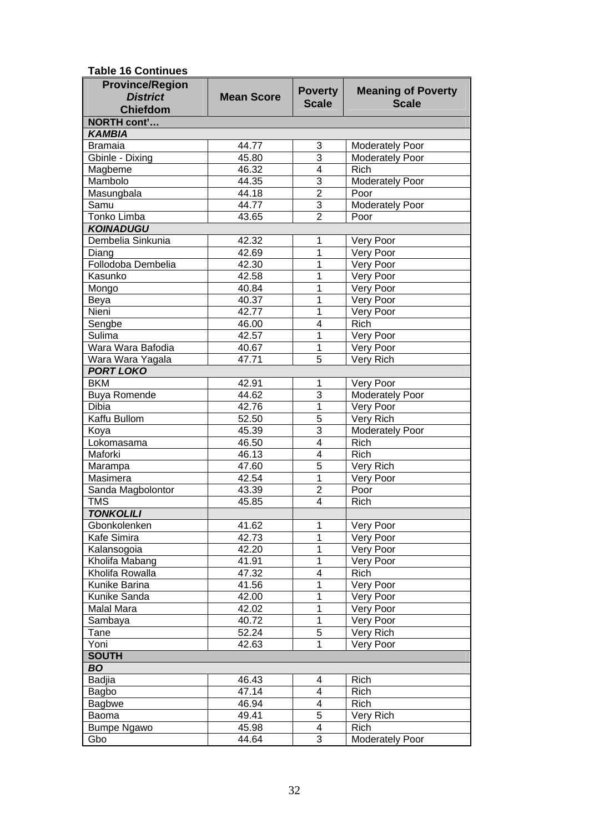| <b>Table 16 Continues</b> |
|---------------------------|
|---------------------------|

| <b>District</b><br><b>Mean Score</b><br><b>Scale</b><br><b>Scale</b><br><b>Chiefdom</b><br><b>NORTH cont'</b><br><b>KAMBIA</b><br>44.77<br>3<br><b>Bramaia</b><br><b>Moderately Poor</b><br>3<br>Gbinle - Dixing<br>45.80<br>Moderately Poor<br>$\overline{\mathbf{4}}$<br>Magbeme<br>46.32<br><b>Rich</b><br>Mambolo<br>Moderately Poor<br>44.35<br>3<br>$\overline{2}$<br>44.18<br>Masungbala<br>Poor<br><b>Moderately Poor</b><br>$\overline{3}$<br>44.77<br>Samu<br><b>Tonko Limba</b><br>$\overline{2}$<br>Poor<br>43.65<br><b>KOINADUGU</b><br>Dembelia Sinkunia<br>42.32<br>Very Poor<br>1<br>$\overline{1}$<br>42.69<br>Very Poor<br>Diang<br>Follodoba Dembelia<br>42.30<br>$\mathbf{1}$<br>Very Poor<br>Kasunko<br>42.58<br>1<br>Very Poor<br>$\mathbf{1}$<br>Very Poor<br>Mongo<br>40.84<br>40.37<br>$\mathbf{1}$<br>Very Poor<br>Beya<br>Nieni<br>42.77<br>$\mathbf 1$<br>Very Poor<br>$\overline{\mathbf{4}}$<br>Sengbe<br>46.00<br><b>Rich</b><br>42.57<br>$\mathbf{1}$<br>Very Poor<br>Sulima<br>Wara Wara Bafodia<br>$\mathbf 1$<br>Very Poor<br>40.67<br>$\overline{5}$<br>Wara Wara Yagala<br>47.71<br><b>Very Rich</b><br><b>PORT LOKO</b><br><b>BKM</b><br>42.91<br>Very Poor<br>1<br><b>Buya Romende</b><br>3<br><b>Moderately Poor</b><br>44.62<br><b>Dibia</b><br>$\mathbf{1}$<br>Very Poor<br>42.76<br>Kaffu Bullom<br>$\overline{5}$<br>Very Rich<br>52.50<br>3<br><b>Moderately Poor</b><br>45.39<br>Koya<br>$\overline{\mathbf{4}}$<br>Lokomasama<br>46.50<br><b>Rich</b><br>$\overline{\mathbf{4}}$<br>Maforki<br>46.13<br><b>Rich</b><br>$\overline{5}$<br>Very Rich<br>47.60<br>Marampa<br>$\mathbf{1}$<br>Very Poor<br>Masimera<br>42.54<br>Sanda Magbolontor<br>$\overline{2}$<br>43.39<br>Poor<br><b>TMS</b><br>$\overline{\mathbf{4}}$<br>45.85<br>Rich<br><b>TONKOLILI</b><br>41.62<br>Very Poor<br>Gbonkolenken<br>1<br>1<br>Kafe Simira<br>42.73<br>Very Poor<br>42.20<br>1<br>Very Poor<br>Kalansogoia<br>$\mathbf 1$<br>Kholifa Mabang<br>41.91<br>Very Poor<br>Kholifa Rowalla<br>47.32<br>4<br>Rich<br>41.56<br>1<br>Very Poor<br>Kunike Barina<br>42.00<br>1<br>Very Poor<br>Kunike Sanda<br>$\mathbf 1$<br>Malal Mara<br>42.02<br>Very Poor<br>$\mathbf{1}$<br>40.72<br>Very Poor<br>Sambaya<br>5<br>52.24<br>Very Rich<br>Tane<br>Yoni<br>$\mathbf{1}$<br>42.63<br>Very Poor<br><b>SOUTH</b><br><b>BO</b><br>Badjia<br>46.43<br>4<br>Rich<br>47.14<br>4<br>Rich<br>Bagbo<br>46.94<br>4<br><b>Bagbwe</b><br>Rich<br>5<br>49.41<br>Very Rich<br>Baoma<br>45.98<br>4<br><b>Rich</b><br><b>Bumpe Ngawo</b> | <b>Province/Region</b> |       | <b>Poverty</b> | <b>Meaning of Poverty</b> |  |
|----------------------------------------------------------------------------------------------------------------------------------------------------------------------------------------------------------------------------------------------------------------------------------------------------------------------------------------------------------------------------------------------------------------------------------------------------------------------------------------------------------------------------------------------------------------------------------------------------------------------------------------------------------------------------------------------------------------------------------------------------------------------------------------------------------------------------------------------------------------------------------------------------------------------------------------------------------------------------------------------------------------------------------------------------------------------------------------------------------------------------------------------------------------------------------------------------------------------------------------------------------------------------------------------------------------------------------------------------------------------------------------------------------------------------------------------------------------------------------------------------------------------------------------------------------------------------------------------------------------------------------------------------------------------------------------------------------------------------------------------------------------------------------------------------------------------------------------------------------------------------------------------------------------------------------------------------------------------------------------------------------------------------------------------------------------------------------------------------------------------------------------------------------------------------------------------------------------------------------------------------------------------------------------------------------------------------------------------------------------------------------------------------------------------------------------------------------------------------------------------------------------------------------------------------|------------------------|-------|----------------|---------------------------|--|
|                                                                                                                                                                                                                                                                                                                                                                                                                                                                                                                                                                                                                                                                                                                                                                                                                                                                                                                                                                                                                                                                                                                                                                                                                                                                                                                                                                                                                                                                                                                                                                                                                                                                                                                                                                                                                                                                                                                                                                                                                                                                                                                                                                                                                                                                                                                                                                                                                                                                                                                                                    |                        |       |                |                           |  |
|                                                                                                                                                                                                                                                                                                                                                                                                                                                                                                                                                                                                                                                                                                                                                                                                                                                                                                                                                                                                                                                                                                                                                                                                                                                                                                                                                                                                                                                                                                                                                                                                                                                                                                                                                                                                                                                                                                                                                                                                                                                                                                                                                                                                                                                                                                                                                                                                                                                                                                                                                    |                        |       |                |                           |  |
|                                                                                                                                                                                                                                                                                                                                                                                                                                                                                                                                                                                                                                                                                                                                                                                                                                                                                                                                                                                                                                                                                                                                                                                                                                                                                                                                                                                                                                                                                                                                                                                                                                                                                                                                                                                                                                                                                                                                                                                                                                                                                                                                                                                                                                                                                                                                                                                                                                                                                                                                                    |                        |       |                |                           |  |
|                                                                                                                                                                                                                                                                                                                                                                                                                                                                                                                                                                                                                                                                                                                                                                                                                                                                                                                                                                                                                                                                                                                                                                                                                                                                                                                                                                                                                                                                                                                                                                                                                                                                                                                                                                                                                                                                                                                                                                                                                                                                                                                                                                                                                                                                                                                                                                                                                                                                                                                                                    |                        |       |                |                           |  |
|                                                                                                                                                                                                                                                                                                                                                                                                                                                                                                                                                                                                                                                                                                                                                                                                                                                                                                                                                                                                                                                                                                                                                                                                                                                                                                                                                                                                                                                                                                                                                                                                                                                                                                                                                                                                                                                                                                                                                                                                                                                                                                                                                                                                                                                                                                                                                                                                                                                                                                                                                    |                        |       |                |                           |  |
|                                                                                                                                                                                                                                                                                                                                                                                                                                                                                                                                                                                                                                                                                                                                                                                                                                                                                                                                                                                                                                                                                                                                                                                                                                                                                                                                                                                                                                                                                                                                                                                                                                                                                                                                                                                                                                                                                                                                                                                                                                                                                                                                                                                                                                                                                                                                                                                                                                                                                                                                                    |                        |       |                |                           |  |
|                                                                                                                                                                                                                                                                                                                                                                                                                                                                                                                                                                                                                                                                                                                                                                                                                                                                                                                                                                                                                                                                                                                                                                                                                                                                                                                                                                                                                                                                                                                                                                                                                                                                                                                                                                                                                                                                                                                                                                                                                                                                                                                                                                                                                                                                                                                                                                                                                                                                                                                                                    |                        |       |                |                           |  |
|                                                                                                                                                                                                                                                                                                                                                                                                                                                                                                                                                                                                                                                                                                                                                                                                                                                                                                                                                                                                                                                                                                                                                                                                                                                                                                                                                                                                                                                                                                                                                                                                                                                                                                                                                                                                                                                                                                                                                                                                                                                                                                                                                                                                                                                                                                                                                                                                                                                                                                                                                    |                        |       |                |                           |  |
|                                                                                                                                                                                                                                                                                                                                                                                                                                                                                                                                                                                                                                                                                                                                                                                                                                                                                                                                                                                                                                                                                                                                                                                                                                                                                                                                                                                                                                                                                                                                                                                                                                                                                                                                                                                                                                                                                                                                                                                                                                                                                                                                                                                                                                                                                                                                                                                                                                                                                                                                                    |                        |       |                |                           |  |
|                                                                                                                                                                                                                                                                                                                                                                                                                                                                                                                                                                                                                                                                                                                                                                                                                                                                                                                                                                                                                                                                                                                                                                                                                                                                                                                                                                                                                                                                                                                                                                                                                                                                                                                                                                                                                                                                                                                                                                                                                                                                                                                                                                                                                                                                                                                                                                                                                                                                                                                                                    |                        |       |                |                           |  |
|                                                                                                                                                                                                                                                                                                                                                                                                                                                                                                                                                                                                                                                                                                                                                                                                                                                                                                                                                                                                                                                                                                                                                                                                                                                                                                                                                                                                                                                                                                                                                                                                                                                                                                                                                                                                                                                                                                                                                                                                                                                                                                                                                                                                                                                                                                                                                                                                                                                                                                                                                    |                        |       |                |                           |  |
|                                                                                                                                                                                                                                                                                                                                                                                                                                                                                                                                                                                                                                                                                                                                                                                                                                                                                                                                                                                                                                                                                                                                                                                                                                                                                                                                                                                                                                                                                                                                                                                                                                                                                                                                                                                                                                                                                                                                                                                                                                                                                                                                                                                                                                                                                                                                                                                                                                                                                                                                                    |                        |       |                |                           |  |
|                                                                                                                                                                                                                                                                                                                                                                                                                                                                                                                                                                                                                                                                                                                                                                                                                                                                                                                                                                                                                                                                                                                                                                                                                                                                                                                                                                                                                                                                                                                                                                                                                                                                                                                                                                                                                                                                                                                                                                                                                                                                                                                                                                                                                                                                                                                                                                                                                                                                                                                                                    |                        |       |                |                           |  |
|                                                                                                                                                                                                                                                                                                                                                                                                                                                                                                                                                                                                                                                                                                                                                                                                                                                                                                                                                                                                                                                                                                                                                                                                                                                                                                                                                                                                                                                                                                                                                                                                                                                                                                                                                                                                                                                                                                                                                                                                                                                                                                                                                                                                                                                                                                                                                                                                                                                                                                                                                    |                        |       |                |                           |  |
|                                                                                                                                                                                                                                                                                                                                                                                                                                                                                                                                                                                                                                                                                                                                                                                                                                                                                                                                                                                                                                                                                                                                                                                                                                                                                                                                                                                                                                                                                                                                                                                                                                                                                                                                                                                                                                                                                                                                                                                                                                                                                                                                                                                                                                                                                                                                                                                                                                                                                                                                                    |                        |       |                |                           |  |
|                                                                                                                                                                                                                                                                                                                                                                                                                                                                                                                                                                                                                                                                                                                                                                                                                                                                                                                                                                                                                                                                                                                                                                                                                                                                                                                                                                                                                                                                                                                                                                                                                                                                                                                                                                                                                                                                                                                                                                                                                                                                                                                                                                                                                                                                                                                                                                                                                                                                                                                                                    |                        |       |                |                           |  |
|                                                                                                                                                                                                                                                                                                                                                                                                                                                                                                                                                                                                                                                                                                                                                                                                                                                                                                                                                                                                                                                                                                                                                                                                                                                                                                                                                                                                                                                                                                                                                                                                                                                                                                                                                                                                                                                                                                                                                                                                                                                                                                                                                                                                                                                                                                                                                                                                                                                                                                                                                    |                        |       |                |                           |  |
|                                                                                                                                                                                                                                                                                                                                                                                                                                                                                                                                                                                                                                                                                                                                                                                                                                                                                                                                                                                                                                                                                                                                                                                                                                                                                                                                                                                                                                                                                                                                                                                                                                                                                                                                                                                                                                                                                                                                                                                                                                                                                                                                                                                                                                                                                                                                                                                                                                                                                                                                                    |                        |       |                |                           |  |
|                                                                                                                                                                                                                                                                                                                                                                                                                                                                                                                                                                                                                                                                                                                                                                                                                                                                                                                                                                                                                                                                                                                                                                                                                                                                                                                                                                                                                                                                                                                                                                                                                                                                                                                                                                                                                                                                                                                                                                                                                                                                                                                                                                                                                                                                                                                                                                                                                                                                                                                                                    |                        |       |                |                           |  |
|                                                                                                                                                                                                                                                                                                                                                                                                                                                                                                                                                                                                                                                                                                                                                                                                                                                                                                                                                                                                                                                                                                                                                                                                                                                                                                                                                                                                                                                                                                                                                                                                                                                                                                                                                                                                                                                                                                                                                                                                                                                                                                                                                                                                                                                                                                                                                                                                                                                                                                                                                    |                        |       |                |                           |  |
|                                                                                                                                                                                                                                                                                                                                                                                                                                                                                                                                                                                                                                                                                                                                                                                                                                                                                                                                                                                                                                                                                                                                                                                                                                                                                                                                                                                                                                                                                                                                                                                                                                                                                                                                                                                                                                                                                                                                                                                                                                                                                                                                                                                                                                                                                                                                                                                                                                                                                                                                                    |                        |       |                |                           |  |
|                                                                                                                                                                                                                                                                                                                                                                                                                                                                                                                                                                                                                                                                                                                                                                                                                                                                                                                                                                                                                                                                                                                                                                                                                                                                                                                                                                                                                                                                                                                                                                                                                                                                                                                                                                                                                                                                                                                                                                                                                                                                                                                                                                                                                                                                                                                                                                                                                                                                                                                                                    |                        |       |                |                           |  |
|                                                                                                                                                                                                                                                                                                                                                                                                                                                                                                                                                                                                                                                                                                                                                                                                                                                                                                                                                                                                                                                                                                                                                                                                                                                                                                                                                                                                                                                                                                                                                                                                                                                                                                                                                                                                                                                                                                                                                                                                                                                                                                                                                                                                                                                                                                                                                                                                                                                                                                                                                    |                        |       |                |                           |  |
|                                                                                                                                                                                                                                                                                                                                                                                                                                                                                                                                                                                                                                                                                                                                                                                                                                                                                                                                                                                                                                                                                                                                                                                                                                                                                                                                                                                                                                                                                                                                                                                                                                                                                                                                                                                                                                                                                                                                                                                                                                                                                                                                                                                                                                                                                                                                                                                                                                                                                                                                                    |                        |       |                |                           |  |
|                                                                                                                                                                                                                                                                                                                                                                                                                                                                                                                                                                                                                                                                                                                                                                                                                                                                                                                                                                                                                                                                                                                                                                                                                                                                                                                                                                                                                                                                                                                                                                                                                                                                                                                                                                                                                                                                                                                                                                                                                                                                                                                                                                                                                                                                                                                                                                                                                                                                                                                                                    |                        |       |                |                           |  |
|                                                                                                                                                                                                                                                                                                                                                                                                                                                                                                                                                                                                                                                                                                                                                                                                                                                                                                                                                                                                                                                                                                                                                                                                                                                                                                                                                                                                                                                                                                                                                                                                                                                                                                                                                                                                                                                                                                                                                                                                                                                                                                                                                                                                                                                                                                                                                                                                                                                                                                                                                    |                        |       |                |                           |  |
|                                                                                                                                                                                                                                                                                                                                                                                                                                                                                                                                                                                                                                                                                                                                                                                                                                                                                                                                                                                                                                                                                                                                                                                                                                                                                                                                                                                                                                                                                                                                                                                                                                                                                                                                                                                                                                                                                                                                                                                                                                                                                                                                                                                                                                                                                                                                                                                                                                                                                                                                                    |                        |       |                |                           |  |
|                                                                                                                                                                                                                                                                                                                                                                                                                                                                                                                                                                                                                                                                                                                                                                                                                                                                                                                                                                                                                                                                                                                                                                                                                                                                                                                                                                                                                                                                                                                                                                                                                                                                                                                                                                                                                                                                                                                                                                                                                                                                                                                                                                                                                                                                                                                                                                                                                                                                                                                                                    |                        |       |                |                           |  |
|                                                                                                                                                                                                                                                                                                                                                                                                                                                                                                                                                                                                                                                                                                                                                                                                                                                                                                                                                                                                                                                                                                                                                                                                                                                                                                                                                                                                                                                                                                                                                                                                                                                                                                                                                                                                                                                                                                                                                                                                                                                                                                                                                                                                                                                                                                                                                                                                                                                                                                                                                    |                        |       |                |                           |  |
|                                                                                                                                                                                                                                                                                                                                                                                                                                                                                                                                                                                                                                                                                                                                                                                                                                                                                                                                                                                                                                                                                                                                                                                                                                                                                                                                                                                                                                                                                                                                                                                                                                                                                                                                                                                                                                                                                                                                                                                                                                                                                                                                                                                                                                                                                                                                                                                                                                                                                                                                                    |                        |       |                |                           |  |
|                                                                                                                                                                                                                                                                                                                                                                                                                                                                                                                                                                                                                                                                                                                                                                                                                                                                                                                                                                                                                                                                                                                                                                                                                                                                                                                                                                                                                                                                                                                                                                                                                                                                                                                                                                                                                                                                                                                                                                                                                                                                                                                                                                                                                                                                                                                                                                                                                                                                                                                                                    |                        |       |                |                           |  |
|                                                                                                                                                                                                                                                                                                                                                                                                                                                                                                                                                                                                                                                                                                                                                                                                                                                                                                                                                                                                                                                                                                                                                                                                                                                                                                                                                                                                                                                                                                                                                                                                                                                                                                                                                                                                                                                                                                                                                                                                                                                                                                                                                                                                                                                                                                                                                                                                                                                                                                                                                    |                        |       |                |                           |  |
|                                                                                                                                                                                                                                                                                                                                                                                                                                                                                                                                                                                                                                                                                                                                                                                                                                                                                                                                                                                                                                                                                                                                                                                                                                                                                                                                                                                                                                                                                                                                                                                                                                                                                                                                                                                                                                                                                                                                                                                                                                                                                                                                                                                                                                                                                                                                                                                                                                                                                                                                                    |                        |       |                |                           |  |
|                                                                                                                                                                                                                                                                                                                                                                                                                                                                                                                                                                                                                                                                                                                                                                                                                                                                                                                                                                                                                                                                                                                                                                                                                                                                                                                                                                                                                                                                                                                                                                                                                                                                                                                                                                                                                                                                                                                                                                                                                                                                                                                                                                                                                                                                                                                                                                                                                                                                                                                                                    |                        |       |                |                           |  |
|                                                                                                                                                                                                                                                                                                                                                                                                                                                                                                                                                                                                                                                                                                                                                                                                                                                                                                                                                                                                                                                                                                                                                                                                                                                                                                                                                                                                                                                                                                                                                                                                                                                                                                                                                                                                                                                                                                                                                                                                                                                                                                                                                                                                                                                                                                                                                                                                                                                                                                                                                    |                        |       |                |                           |  |
|                                                                                                                                                                                                                                                                                                                                                                                                                                                                                                                                                                                                                                                                                                                                                                                                                                                                                                                                                                                                                                                                                                                                                                                                                                                                                                                                                                                                                                                                                                                                                                                                                                                                                                                                                                                                                                                                                                                                                                                                                                                                                                                                                                                                                                                                                                                                                                                                                                                                                                                                                    |                        |       |                |                           |  |
|                                                                                                                                                                                                                                                                                                                                                                                                                                                                                                                                                                                                                                                                                                                                                                                                                                                                                                                                                                                                                                                                                                                                                                                                                                                                                                                                                                                                                                                                                                                                                                                                                                                                                                                                                                                                                                                                                                                                                                                                                                                                                                                                                                                                                                                                                                                                                                                                                                                                                                                                                    |                        |       |                |                           |  |
|                                                                                                                                                                                                                                                                                                                                                                                                                                                                                                                                                                                                                                                                                                                                                                                                                                                                                                                                                                                                                                                                                                                                                                                                                                                                                                                                                                                                                                                                                                                                                                                                                                                                                                                                                                                                                                                                                                                                                                                                                                                                                                                                                                                                                                                                                                                                                                                                                                                                                                                                                    |                        |       |                |                           |  |
|                                                                                                                                                                                                                                                                                                                                                                                                                                                                                                                                                                                                                                                                                                                                                                                                                                                                                                                                                                                                                                                                                                                                                                                                                                                                                                                                                                                                                                                                                                                                                                                                                                                                                                                                                                                                                                                                                                                                                                                                                                                                                                                                                                                                                                                                                                                                                                                                                                                                                                                                                    |                        |       |                |                           |  |
|                                                                                                                                                                                                                                                                                                                                                                                                                                                                                                                                                                                                                                                                                                                                                                                                                                                                                                                                                                                                                                                                                                                                                                                                                                                                                                                                                                                                                                                                                                                                                                                                                                                                                                                                                                                                                                                                                                                                                                                                                                                                                                                                                                                                                                                                                                                                                                                                                                                                                                                                                    |                        |       |                |                           |  |
|                                                                                                                                                                                                                                                                                                                                                                                                                                                                                                                                                                                                                                                                                                                                                                                                                                                                                                                                                                                                                                                                                                                                                                                                                                                                                                                                                                                                                                                                                                                                                                                                                                                                                                                                                                                                                                                                                                                                                                                                                                                                                                                                                                                                                                                                                                                                                                                                                                                                                                                                                    |                        |       |                |                           |  |
|                                                                                                                                                                                                                                                                                                                                                                                                                                                                                                                                                                                                                                                                                                                                                                                                                                                                                                                                                                                                                                                                                                                                                                                                                                                                                                                                                                                                                                                                                                                                                                                                                                                                                                                                                                                                                                                                                                                                                                                                                                                                                                                                                                                                                                                                                                                                                                                                                                                                                                                                                    |                        |       |                |                           |  |
|                                                                                                                                                                                                                                                                                                                                                                                                                                                                                                                                                                                                                                                                                                                                                                                                                                                                                                                                                                                                                                                                                                                                                                                                                                                                                                                                                                                                                                                                                                                                                                                                                                                                                                                                                                                                                                                                                                                                                                                                                                                                                                                                                                                                                                                                                                                                                                                                                                                                                                                                                    |                        |       |                |                           |  |
|                                                                                                                                                                                                                                                                                                                                                                                                                                                                                                                                                                                                                                                                                                                                                                                                                                                                                                                                                                                                                                                                                                                                                                                                                                                                                                                                                                                                                                                                                                                                                                                                                                                                                                                                                                                                                                                                                                                                                                                                                                                                                                                                                                                                                                                                                                                                                                                                                                                                                                                                                    |                        |       |                |                           |  |
|                                                                                                                                                                                                                                                                                                                                                                                                                                                                                                                                                                                                                                                                                                                                                                                                                                                                                                                                                                                                                                                                                                                                                                                                                                                                                                                                                                                                                                                                                                                                                                                                                                                                                                                                                                                                                                                                                                                                                                                                                                                                                                                                                                                                                                                                                                                                                                                                                                                                                                                                                    |                        |       |                |                           |  |
|                                                                                                                                                                                                                                                                                                                                                                                                                                                                                                                                                                                                                                                                                                                                                                                                                                                                                                                                                                                                                                                                                                                                                                                                                                                                                                                                                                                                                                                                                                                                                                                                                                                                                                                                                                                                                                                                                                                                                                                                                                                                                                                                                                                                                                                                                                                                                                                                                                                                                                                                                    |                        |       |                |                           |  |
|                                                                                                                                                                                                                                                                                                                                                                                                                                                                                                                                                                                                                                                                                                                                                                                                                                                                                                                                                                                                                                                                                                                                                                                                                                                                                                                                                                                                                                                                                                                                                                                                                                                                                                                                                                                                                                                                                                                                                                                                                                                                                                                                                                                                                                                                                                                                                                                                                                                                                                                                                    |                        |       |                |                           |  |
|                                                                                                                                                                                                                                                                                                                                                                                                                                                                                                                                                                                                                                                                                                                                                                                                                                                                                                                                                                                                                                                                                                                                                                                                                                                                                                                                                                                                                                                                                                                                                                                                                                                                                                                                                                                                                                                                                                                                                                                                                                                                                                                                                                                                                                                                                                                                                                                                                                                                                                                                                    |                        |       |                |                           |  |
|                                                                                                                                                                                                                                                                                                                                                                                                                                                                                                                                                                                                                                                                                                                                                                                                                                                                                                                                                                                                                                                                                                                                                                                                                                                                                                                                                                                                                                                                                                                                                                                                                                                                                                                                                                                                                                                                                                                                                                                                                                                                                                                                                                                                                                                                                                                                                                                                                                                                                                                                                    |                        |       |                |                           |  |
|                                                                                                                                                                                                                                                                                                                                                                                                                                                                                                                                                                                                                                                                                                                                                                                                                                                                                                                                                                                                                                                                                                                                                                                                                                                                                                                                                                                                                                                                                                                                                                                                                                                                                                                                                                                                                                                                                                                                                                                                                                                                                                                                                                                                                                                                                                                                                                                                                                                                                                                                                    |                        |       |                |                           |  |
|                                                                                                                                                                                                                                                                                                                                                                                                                                                                                                                                                                                                                                                                                                                                                                                                                                                                                                                                                                                                                                                                                                                                                                                                                                                                                                                                                                                                                                                                                                                                                                                                                                                                                                                                                                                                                                                                                                                                                                                                                                                                                                                                                                                                                                                                                                                                                                                                                                                                                                                                                    |                        |       |                |                           |  |
|                                                                                                                                                                                                                                                                                                                                                                                                                                                                                                                                                                                                                                                                                                                                                                                                                                                                                                                                                                                                                                                                                                                                                                                                                                                                                                                                                                                                                                                                                                                                                                                                                                                                                                                                                                                                                                                                                                                                                                                                                                                                                                                                                                                                                                                                                                                                                                                                                                                                                                                                                    |                        |       |                |                           |  |
|                                                                                                                                                                                                                                                                                                                                                                                                                                                                                                                                                                                                                                                                                                                                                                                                                                                                                                                                                                                                                                                                                                                                                                                                                                                                                                                                                                                                                                                                                                                                                                                                                                                                                                                                                                                                                                                                                                                                                                                                                                                                                                                                                                                                                                                                                                                                                                                                                                                                                                                                                    |                        |       |                |                           |  |
|                                                                                                                                                                                                                                                                                                                                                                                                                                                                                                                                                                                                                                                                                                                                                                                                                                                                                                                                                                                                                                                                                                                                                                                                                                                                                                                                                                                                                                                                                                                                                                                                                                                                                                                                                                                                                                                                                                                                                                                                                                                                                                                                                                                                                                                                                                                                                                                                                                                                                                                                                    |                        |       |                |                           |  |
|                                                                                                                                                                                                                                                                                                                                                                                                                                                                                                                                                                                                                                                                                                                                                                                                                                                                                                                                                                                                                                                                                                                                                                                                                                                                                                                                                                                                                                                                                                                                                                                                                                                                                                                                                                                                                                                                                                                                                                                                                                                                                                                                                                                                                                                                                                                                                                                                                                                                                                                                                    | Gbo                    | 44.64 | 3              | Moderately Poor           |  |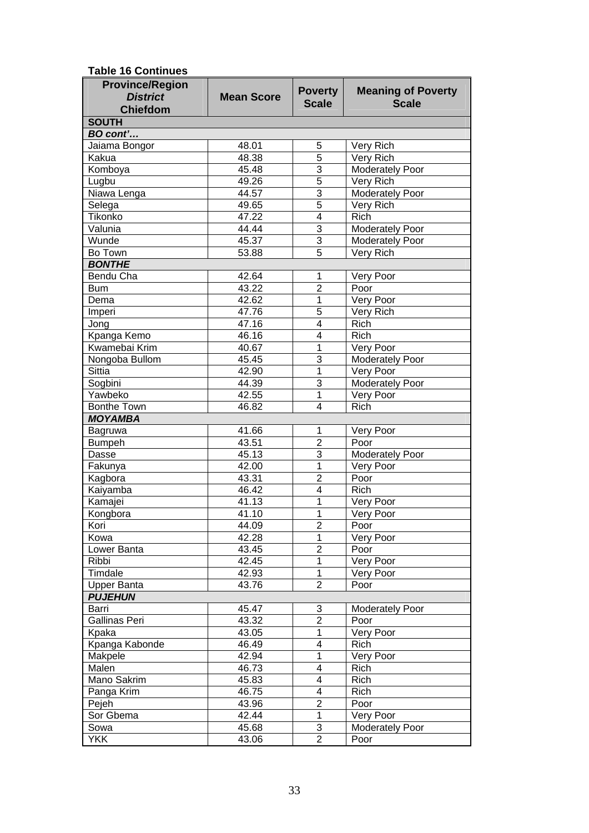|  | <b>Table 16 Continues</b> |  |
|--|---------------------------|--|
|  |                           |  |

| TA ANTITIUM T<br><b>Province/Region</b> |                   |                         |                           |
|-----------------------------------------|-------------------|-------------------------|---------------------------|
| <b>District</b>                         | <b>Mean Score</b> | <b>Poverty</b>          | <b>Meaning of Poverty</b> |
| <b>Chiefdom</b>                         |                   | <b>Scale</b>            | <b>Scale</b>              |
| <b>SOUTH</b>                            |                   |                         |                           |
| BO cont'                                |                   |                         |                           |
| Jaiama Bongor                           | 48.01             | 5                       | Very Rich                 |
| Kakua                                   | 48.38             | 5                       | Very Rich                 |
| Komboya                                 | 45.48             | 3                       | <b>Moderately Poor</b>    |
| Lugbu                                   | 49.26             | $\overline{5}$          | Very Rich                 |
| Niawa Lenga                             | 44.57             | 3                       | <b>Moderately Poor</b>    |
| Selega                                  | 49.65             | $\overline{5}$          | Very Rich                 |
| Tikonko                                 | 47.22             | $\overline{\mathbf{4}}$ | Rich                      |
| Valunia                                 | 44.44             | $\overline{3}$          | Moderately Poor           |
| Wunde                                   | 45.37             | $\overline{3}$          | Moderately Poor           |
| Bo Town                                 | 53.88             | $\overline{5}$          | Very Rich                 |
| <b>BONTHE</b>                           |                   |                         |                           |
| Bendu Cha                               | 42.64             | 1                       | Very Poor                 |
| <b>Bum</b>                              | 43.22             | $\overline{2}$          | Poor                      |
| Dema                                    | 42.62             | 1                       | Very Poor                 |
|                                         | 47.76             | $\overline{5}$          |                           |
| Imperi                                  | 47.16             | $\overline{\mathbf{4}}$ | Very Rich<br>Rich         |
| Jong                                    |                   |                         |                           |
| Kpanga Kemo<br>Kwamebai Krim            | 46.16             | 4                       | <b>Rich</b>               |
|                                         | 40.67             | 1                       | Very Poor                 |
| Nongoba Bullom                          | 45.45             | 3                       | <b>Moderately Poor</b>    |
| <b>Sittia</b>                           | 42.90             | $\overline{1}$          | Very Poor                 |
| Sogbini                                 | 44.39             | $\overline{3}$          | <b>Moderately Poor</b>    |
| Yawbeko                                 | 42.55             | 1                       | Very Poor                 |
| <b>Bonthe Town</b>                      | 46.82             | 4                       | Rich                      |
| <b>MOYAMBA</b>                          |                   |                         |                           |
| Bagruwa                                 | 41.66             | 1                       | Very Poor                 |
| <b>Bumpeh</b>                           | 43.51             | $\overline{2}$          | Poor                      |
| Dasse                                   | 45.13             | $\overline{3}$          | Moderately Poor           |
| Fakunya                                 | 42.00             | $\overline{1}$          | Very Poor                 |
| Kagbora                                 | 43.31             | $\overline{2}$          | Poor                      |
| Kaiyamba                                | 46.42             | 4                       | Rich                      |
| Kamajei                                 | 41.13             | 1                       | Very Poor                 |
| Kongbora                                | 41.10             | 1                       | Very Poor                 |
| Kori                                    | 44.09             | $\overline{c}$          | Poor                      |
| Kowa                                    | 42.28             | 1                       | Very Poor                 |
| Lower Banta                             | 43.45             | $\overline{c}$          | Poor                      |
| Ribbi                                   | 42.45             | 1                       | Very Poor                 |
| Timdale                                 | 42.93             | 1                       | Very Poor                 |
| <b>Upper Banta</b>                      | 43.76             | $\overline{2}$          | Poor                      |
| <b>PUJEHUN</b>                          |                   |                         |                           |
| Barri                                   | 45.47             | 3                       | <b>Moderately Poor</b>    |
| <b>Gallinas Peri</b>                    | 43.32             | $\overline{c}$          | Poor                      |
| Kpaka                                   | 43.05             | 1                       | Very Poor                 |
| Kpanga Kabonde                          | 46.49             | 4                       | Rich                      |
| Makpele                                 | 42.94             | 1                       | Very Poor                 |
| Malen                                   | 46.73             | 4                       | Rich                      |
| Mano Sakrim                             | 45.83             | 4                       | Rich                      |
| Panga Krim                              | 46.75             | 4                       | Rich                      |
| Pejeh                                   | 43.96             | $\overline{2}$          | Poor                      |
| Sor Gbema                               | 42.44             | 1                       | Very Poor                 |
| Sowa                                    | 45.68             | 3                       | Moderately Poor           |
| <b>YKK</b>                              | 43.06             | $\overline{2}$          | Poor                      |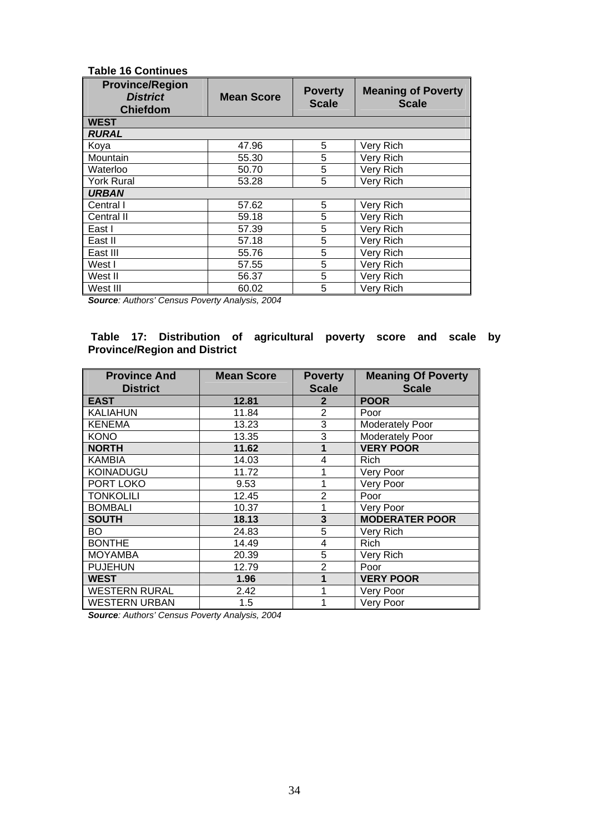#### **Table 16 Continues**

| <b>Province/Region</b><br><b>District</b><br><b>Chiefdom</b> | <b>Mean Score</b> | <b>Poverty</b><br><b>Scale</b> | <b>Meaning of Poverty</b><br><b>Scale</b> |  |  |
|--------------------------------------------------------------|-------------------|--------------------------------|-------------------------------------------|--|--|
| <b>WEST</b>                                                  |                   |                                |                                           |  |  |
| <b>RURAL</b>                                                 |                   |                                |                                           |  |  |
| Koya                                                         | 47.96             | 5                              | Very Rich                                 |  |  |
| Mountain                                                     | 55.30             | 5                              | Very Rich                                 |  |  |
| Waterloo                                                     | 50.70             | 5                              | Very Rich                                 |  |  |
| <b>York Rural</b>                                            | 53.28             | 5                              | Very Rich                                 |  |  |
| <b>URBAN</b>                                                 |                   |                                |                                           |  |  |
| Central I                                                    | 57.62             | 5                              | Very Rich                                 |  |  |
| Central II                                                   | 59.18             | 5                              | Very Rich                                 |  |  |
| East I                                                       | 57.39             | $\overline{5}$                 | Very Rich                                 |  |  |
| East II                                                      | 57.18             | 5                              | Very Rich                                 |  |  |
| East III                                                     | 55.76             | 5                              | Very Rich                                 |  |  |
| West I                                                       | 57.55             | 5                              | Very Rich                                 |  |  |
| West II                                                      | 56.37             | 5                              | Very Rich                                 |  |  |
| West III                                                     | 60.02             | 5                              | Very Rich                                 |  |  |

*Source: Authors' Census Poverty An alysis, 2004* 

#### Table 17: Distribution of agricultural poverty score and scale by **Province/Region and District**

| <b>Province And</b><br><b>District</b> | <b>Mean Score</b> | <b>Poverty</b><br><b>Scale</b> | <b>Meaning Of Poverty</b><br><b>Scale</b> |
|----------------------------------------|-------------------|--------------------------------|-------------------------------------------|
| <b>EAST</b>                            | 12.81             | $\mathbf{2}$                   | <b>POOR</b>                               |
| <b>KALIAHUN</b>                        | 11.84             | $\overline{2}$                 | Poor                                      |
| <b>KENEMA</b>                          | 13.23             | 3                              | Moderately Poor                           |
| KONO                                   | 13.35             | 3                              | Moderately Poor                           |
| <b>NORTH</b>                           | 11.62             | 1                              | <b>VERY POOR</b>                          |
| KAMBIA                                 | 14.03             | 4                              | Rich                                      |
| KOINADUGU                              | 11.72             |                                | Very Poor                                 |
| PORT LOKO                              | 9.53              |                                | Very Poor                                 |
| <b>TONKOLILI</b>                       | 12.45             | $\overline{2}$                 | Poor                                      |
| <b>BOMBALI</b>                         | 10.37             |                                | Very Poor                                 |
| <b>SOUTH</b>                           | 18.13             | 3                              | <b>MODERATER POOR</b>                     |
| BO                                     | 24.83             | 5                              | Very Rich                                 |
| <b>BONTHE</b>                          | 14.49             | 4                              | Rich                                      |
| <b>MOYAMBA</b>                         | 20.39             | 5                              | Very Rich                                 |
| <b>PUJEHUN</b>                         | 12.79             | 2                              | Poor                                      |
| WEST                                   | 1.96              |                                | <b>VERY POOR</b>                          |
| <b>WESTERN RURAL</b>                   | 2.42              |                                | Very Poor                                 |
| <b>WESTERN URBAN</b>                   | 1.5               |                                | Very Poor                                 |

*Source: Authors' Census Poverty Analysis, 2004*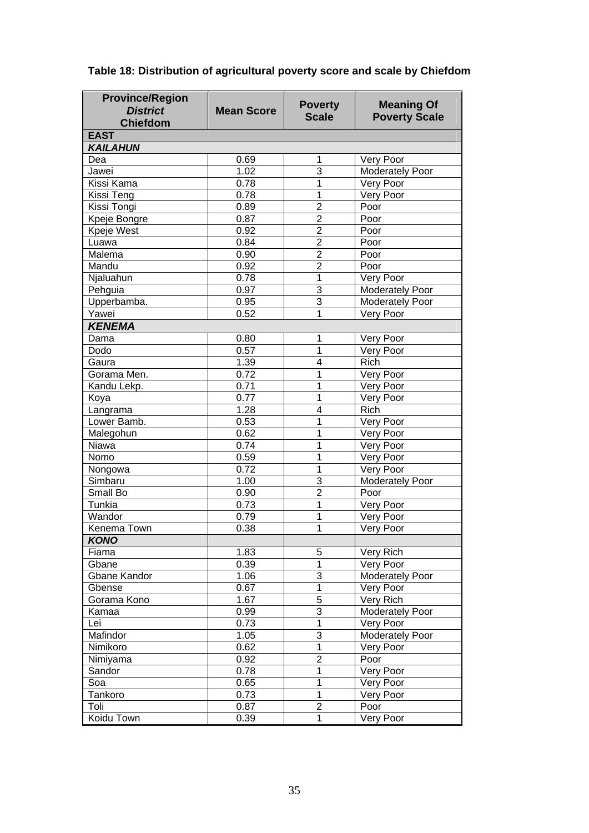| <b>Province/Region</b><br><b>District</b><br><b>Chiefdom</b> | <b>Mean Score</b> | <b>Poverty</b><br><b>Scale</b> | <b>Meaning Of</b><br><b>Poverty Scale</b> |
|--------------------------------------------------------------|-------------------|--------------------------------|-------------------------------------------|
| <b>EAST</b>                                                  |                   |                                |                                           |
| <b>KAILAHUN</b>                                              |                   |                                |                                           |
| Dea                                                          | 0.69              | 1                              | Very Poor                                 |
| Jawei                                                        | 1.02              | $\overline{3}$                 | Moderately Poor                           |
| Kissi Kama                                                   | 0.78              | 1                              | Very Poor                                 |
| Kissi Teng                                                   | 0.78              | $\mathbf{1}$                   | Very Poor                                 |
| Kissi Tongi                                                  | 0.89              | $\overline{2}$                 | Poor                                      |
| Kpeje Bongre                                                 | 0.87              | $\overline{2}$                 | Poor                                      |
| Kpeje West                                                   | 0.92              | $\overline{2}$                 | Poor                                      |
| Luawa                                                        | 0.84              | $\overline{2}$                 | Poor                                      |
| Malema                                                       | 0.90              | $\overline{2}$                 | Poor                                      |
| Mandu                                                        | 0.92              | $\overline{2}$                 | Poor                                      |
| Njaluahun                                                    | 0.78              | $\mathbf{1}$                   | Very Poor                                 |
| Pehguia                                                      | 0.97              | $\overline{3}$                 | <b>Moderately Poor</b>                    |
| Upperbamba.                                                  | 0.95              | $\overline{3}$                 | Moderately Poor                           |
| Yawei                                                        | 0.52              | 1                              | Very Poor                                 |
| <b>KENEMA</b>                                                |                   |                                |                                           |
| Dama                                                         | 0.80              | 1                              | Very Poor                                 |
| Dodo                                                         | 0.57              | 1                              | Very Poor                                 |
| Gaura                                                        | 1.39              | 4                              | <b>Rich</b>                               |
| Gorama Men.                                                  | 0.72              | 1                              | Very Poor                                 |
| Kandu Lekp.                                                  | 0.71              | 1                              | Very Poor                                 |
| Koya                                                         | 0.77              | 1                              | Very Poor                                 |
| Langrama                                                     | 1.28              | 4                              | Rich                                      |
| Lower Bamb.                                                  | 0.53              | 1                              | Very Poor                                 |
| Malegohun                                                    | 0.62              | 1                              | Very Poor                                 |
| Niawa                                                        | 0.74              | 1                              | Very Poor                                 |
| Nomo                                                         | 0.59              | 1                              | Very Poor                                 |
| Nongowa                                                      | 0.72              | 1                              | Very Poor                                 |
| Simbaru                                                      | 1.00              | 3                              | <b>Moderately Poor</b>                    |
| Small Bo                                                     | 0.90              | $\overline{2}$                 | Poor                                      |
| Tunkia                                                       | 0.73              | 1                              | Very Poor                                 |
| Wandor                                                       | 0.79              | 1                              | Very Poor                                 |
| Kenema Town                                                  | 0.38              | 1                              | Very Poor                                 |
| <b>KONO</b>                                                  |                   |                                |                                           |
| Fiama                                                        | 1.83              | 5                              | Very Rich                                 |
| Gbane                                                        | 0.39              | $\mathbf{1}$                   | Very Poor                                 |
| Gbane Kandor                                                 | 1.06              | 3                              | Moderately Poor                           |
| Gbense                                                       | 0.67              | $\mathbf{1}$                   | Very Poor                                 |
| Gorama Kono                                                  | 1.67              | 5                              | Very Rich                                 |
| Kamaa                                                        | 0.99              | 3                              | Moderately Poor                           |
| Lei                                                          | 0.73              | $\mathbf{1}$                   | Very Poor                                 |
| Mafindor                                                     | 1.05              | 3                              | Moderately Poor                           |
| Nimikoro                                                     | 0.62              | $\mathbf{1}$                   | Very Poor                                 |
| Nimiyama                                                     | 0.92              | $\overline{2}$                 | Poor                                      |
| Sandor                                                       | 0.78              | $\mathbf 1$                    | Very Poor                                 |
| Soa                                                          | 0.65              | $\mathbf 1$                    | Very Poor                                 |
| Tankoro                                                      | 0.73              | $\mathbf{1}$                   | Very Poor                                 |
| Toli                                                         | 0.87              | $\overline{2}$                 | Poor                                      |
|                                                              |                   |                                |                                           |
| Koidu Town                                                   | 0.39              | 1                              | Very Poor                                 |

## **Table 18: Distribution of agricultural poverty score and scale by Chiefdom**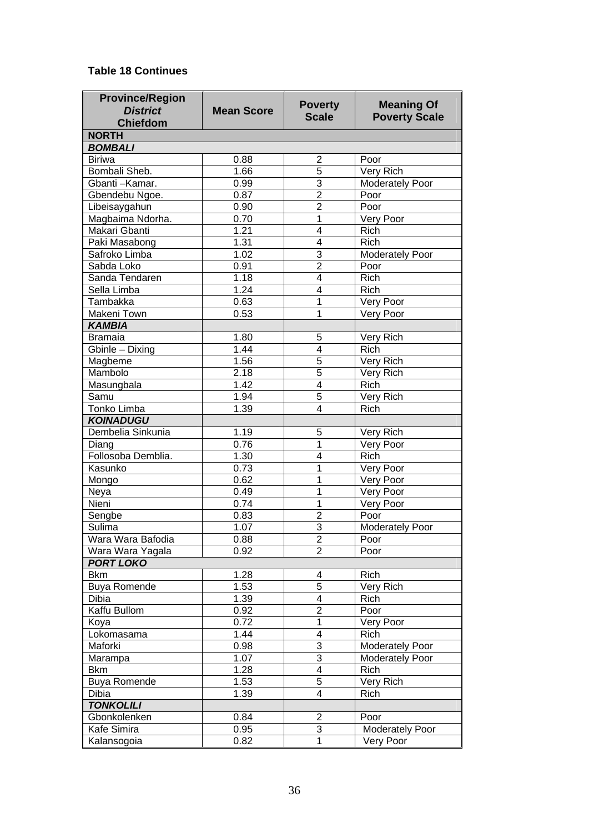#### **Table 18 Continues**

| <b>Province/Region</b>         |                   | <b>Poverty</b>          | <b>Meaning Of</b>      |
|--------------------------------|-------------------|-------------------------|------------------------|
| <b>District</b>                | <b>Mean Score</b> | <b>Scale</b>            | <b>Poverty Scale</b>   |
| <b>Chiefdom</b>                |                   |                         |                        |
| <b>NORTH</b><br><b>BOMBALI</b> |                   |                         |                        |
|                                |                   |                         |                        |
| <b>Biriwa</b><br>Bombali Sheb. | 0.88<br>1.66      | $\overline{2}$          | Poor                   |
|                                |                   | 5                       | Very Rich              |
| Gbanti-Kamar.                  | 0.99              | 3                       | <b>Moderately Poor</b> |
| Gbendebu Ngoe.                 | 0.87              | $\overline{2}$          | Poor                   |
| Libeisaygahun                  | 0.90              | $\overline{2}$          | Poor                   |
| Magbaima Ndorha.               | 0.70              | 1                       | Very Poor              |
| Makari Gbanti                  | 1.21              | 4                       | <b>Rich</b>            |
| Paki Masabong                  | 1.31              | 4                       | <b>Rich</b>            |
| Safroko Limba                  | 1.02              | 3                       | Moderately Poor        |
| Sabda Loko                     | 0.91              | $\overline{2}$          | Poor                   |
| Sanda Tendaren                 | 1.18              | 4                       | Rich                   |
| Sella Limba                    | 1.24              | 4                       | Rich                   |
| <b>Tambakka</b>                | 0.63              | 1                       | Very Poor              |
| Makeni Town                    | 0.53              | 1                       | Very Poor              |
| <b>KAMBIA</b>                  |                   |                         |                        |
| <b>Bramaia</b>                 | 1.80              | 5                       | Very Rich              |
| Gbinle - Dixing                | 1.44              | 4                       | <b>Rich</b>            |
| Magbeme                        | 1.56              | 5                       | Very Rich              |
| Mambolo                        | 2.18              | 5                       | Very Rich              |
| Masungbala                     | 1.42              | 4                       | Rich                   |
| Samu                           | 1.94              | $\overline{5}$          | Very Rich              |
| <b>Tonko Limba</b>             | 1.39              | $\overline{4}$          | Rich                   |
| <b>KOINADUGU</b>               |                   |                         |                        |
| Dembelia Sinkunia              | 1.19              | 5                       | Very Rich              |
| Diang                          | 0.76              | 1                       | Very Poor              |
| Follosoba Demblia.             | 1.30              | 4                       | Rich                   |
| Kasunko                        | 0.73              | 1                       | Very Poor              |
| Mongo                          | 0.62              | 1                       | Very Poor              |
| <b>Neya</b>                    | 0.49              | 1                       | Very Poor              |
| Nieni                          | 0.74              | 1                       | Very Poor              |
| Sengbe                         | 0.83              | $\overline{c}$          | Poor                   |
| Sulima                         | 1.07              | $\overline{3}$          | <b>Moderately Poor</b> |
| Wara Wara Bafodia              | 0.88              | 2                       | Poor                   |
| Wara Wara Yagala               | 0.92              | $\overline{2}$          | Poor                   |
| <b>PORT LOKO</b>               |                   |                         |                        |
| <b>Bkm</b>                     | 1.28              | 4                       | Rich                   |
| <b>Buya Romende</b>            | 1.53              | $\overline{5}$          | Very Rich              |
| Dibia                          | 1.39              | $\overline{\mathbf{4}}$ | Rich                   |
| Kaffu Bullom                   | 0.92              | $\overline{c}$          | Poor                   |
| Koya                           | 0.72              | $\overline{1}$          | Very Poor              |
| Lokomasama                     | 1.44              | $\overline{\mathbf{4}}$ | <b>Rich</b>            |
| Maforki                        | 0.98              | 3                       | Moderately Poor        |
| Marampa                        | 1.07              | 3                       | Moderately Poor        |
| <b>Bkm</b>                     | 1.28              | 4                       | Rich                   |
| <b>Buya Romende</b>            | 1.53              | $\overline{5}$          | Very Rich              |
| Dibia                          | 1.39              | 4                       | Rich                   |
| <b>TONKOLILI</b>               |                   |                         |                        |
| Gbonkolenken                   | 0.84              | $\overline{2}$          | Poor                   |
| Kafe Simira                    | 0.95              | 3                       | <b>Moderately Poor</b> |
| Kalansogoia                    | 0.82              | $\mathbf{1}$            | Very Poor              |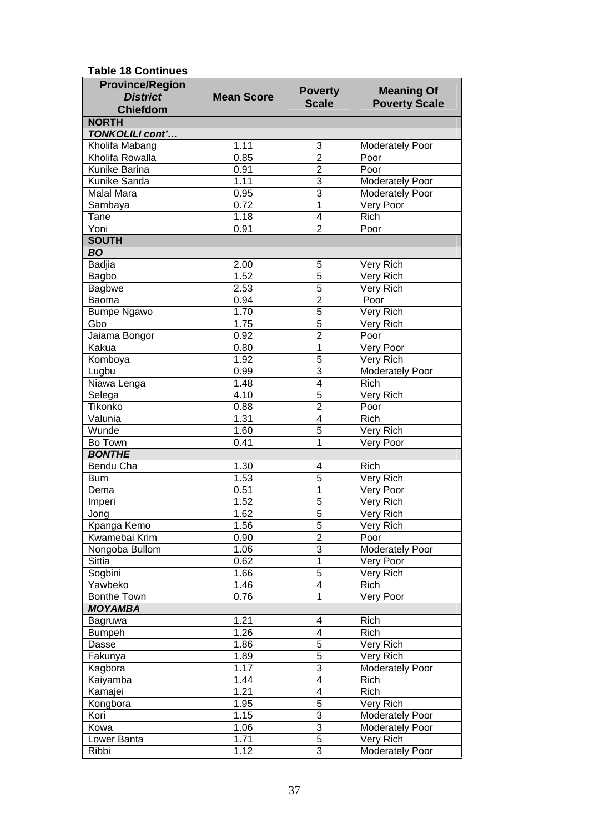**Table 18 Continues** 

| <b>Province/Region</b> |                   |                                |                        |
|------------------------|-------------------|--------------------------------|------------------------|
| <b>District</b>        | <b>Mean Score</b> | <b>Poverty</b><br><b>Scale</b> | <b>Meaning Of</b>      |
| <b>Chiefdom</b>        |                   |                                | <b>Poverty Scale</b>   |
| <b>NORTH</b>           |                   |                                |                        |
| <b>TONKOLILI cont'</b> |                   |                                |                        |
| Kholifa Mabang         | 1.11              | 3                              | Moderately Poor        |
| Kholifa Rowalla        | 0.85              | $\overline{2}$                 | Poor                   |
| Kunike Barina          | 0.91              | $\overline{2}$                 | Poor                   |
| Kunike Sanda           | 1.11              | 3                              | Moderately Poor        |
| Malal Mara             | 0.95              | 3                              | Moderately Poor        |
| Sambaya                | 0.72              | $\mathbf 1$                    | Very Poor              |
| Tane                   | 1.18              | 4                              | <b>Rich</b>            |
| Yoni                   | 0.91              | $\overline{2}$                 | Poor                   |
| <b>SOUTH</b>           |                   |                                |                        |
| <b>BO</b>              |                   |                                |                        |
| <b>Badjia</b>          | 2.00              | 5                              | Very Rich              |
| Bagbo                  | 1.52              | 5                              | Very Rich              |
| <b>Bagbwe</b>          | 2.53              | 5                              | Very Rich              |
| Baoma                  | 0.94              | $\overline{2}$                 | Poor                   |
| <b>Bumpe Ngawo</b>     | 1.70              | 5                              | Very Rich              |
| Gbo                    | 1.75              | $\overline{5}$                 | Very Rich              |
| Jaiama Bongor          | 0.92              | $\overline{2}$                 | Poor                   |
| Kakua                  | 0.80              | 1                              | Very Poor              |
| Komboya                | 1.92              | 5                              | Very Rich              |
| Lugbu                  | 0.99              | 3                              | Moderately Poor        |
| Niawa Lenga            | 1.48              | 4                              | Rich                   |
| Selega                 | 4.10              | 5                              | Very Rich              |
| Tikonko                | 0.88              | $\overline{2}$                 | Poor                   |
| Valunia                | 1.31              | 4                              | Rich                   |
| Wunde                  | 1.60              | 5                              | Very Rich              |
| Bo Town                | 0.41              | 1                              | Very Poor              |
| <b>BONTHE</b>          |                   |                                |                        |
| Bendu Cha              | 1.30              | 4                              | Rich                   |
| <b>Bum</b>             | 1.53              | 5                              | Very Rich              |
| Dema                   | 0.51              | 1                              | Very Poor              |
| Imperi                 | 1.52              | 5                              | Very Rich              |
| Jong                   | 1.62              | $\overline{5}$                 | Very Rich              |
| Kpanga Kemo            | 1.56              | 5                              | Very Rich              |
| Kwamebai Krim          | 0.90              | $\overline{2}$                 | Poor                   |
| Nongoba Bullom         | 1.06              | 3                              | <b>Moderately Poor</b> |
| <b>Sittia</b>          | 0.62              | 1                              | Very Poor              |
| Sogbini                | 1.66              | 5                              | Very Rich              |
| Yawbeko                | 1.46              | 4                              | Rich                   |
| <b>Bonthe Town</b>     | 0.76              | 1                              | Very Poor              |
| <b>MOYAMBA</b>         |                   |                                |                        |
| Bagruwa                | 1.21              | 4                              | Rich                   |
| <b>Bumpeh</b>          | 1.26              | 4                              | Rich                   |
| Dasse                  | 1.86              | 5                              | Very Rich              |
| Fakunya                | 1.89              | 5                              | Very Rich              |
| Kagbora                | 1.17              | 3                              | <b>Moderately Poor</b> |
| Kaiyamba               | 1.44              | 4                              | <b>Rich</b>            |
| Kamajei                | 1.21              | 4                              | <b>Rich</b>            |
| Kongbora               | 1.95              | 5                              | Very Rich              |
| Kori                   | 1.15              | 3                              | <b>Moderately Poor</b> |
| Kowa                   | 1.06              | 3                              | Moderately Poor        |
| Lower Banta            | 1.71              | 5                              | Very Rich              |
| Ribbi                  | 1.12              | 3                              | Moderately Poor        |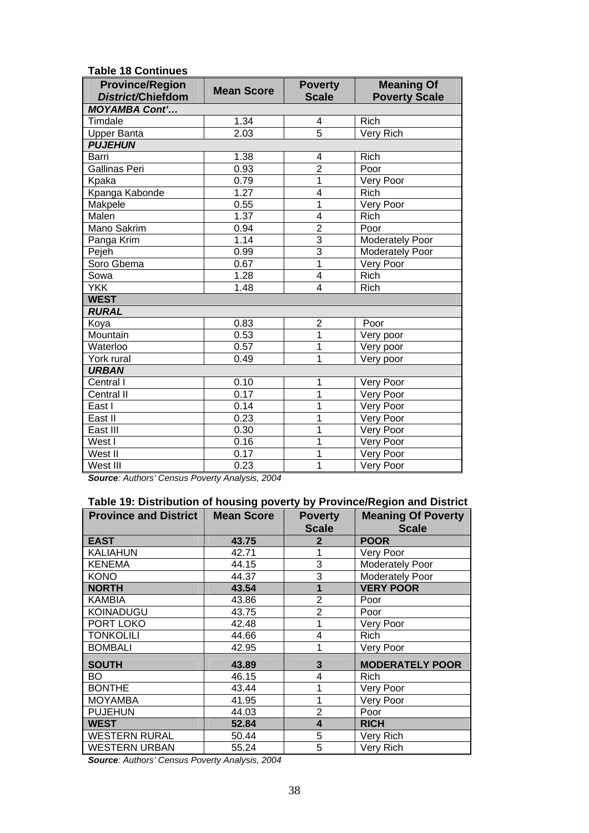| <b>Table 18 Continues</b>                   |                   |                                |                                           |  |  |
|---------------------------------------------|-------------------|--------------------------------|-------------------------------------------|--|--|
| <b>Province/Region</b><br>District/Chiefdom | <b>Mean Score</b> | <b>Poverty</b><br><b>Scale</b> | <b>Meaning Of</b><br><b>Poverty Scale</b> |  |  |
| <b>MOYAMBA Cont'</b>                        |                   |                                |                                           |  |  |
| Timdale                                     | 1.34              | 4                              | <b>Rich</b>                               |  |  |
| <b>Upper Banta</b>                          | $\frac{1}{2.03}$  | 5                              | Very Rich                                 |  |  |
| <b>PUJEHUN</b>                              |                   |                                |                                           |  |  |
| Barri                                       | 1.38              | $\overline{\mathbf{4}}$        | Rich                                      |  |  |
| <b>Gallinas Peri</b>                        | 0.93              | $\overline{2}$                 | Poor                                      |  |  |
| Kpaka                                       | 0.79              | 1                              | Very Poor                                 |  |  |
| Kpanga Kabonde                              | 1.27              | 4                              | <b>Rich</b>                               |  |  |
| Makpele                                     | 0.55              | 1                              | Very Poor                                 |  |  |
| Malen                                       | 1.37              | 4                              | Rich                                      |  |  |
| Mano Sakrim                                 | 0.94              | $\overline{2}$                 | Poor                                      |  |  |
| Panga Krim                                  | 1.14              | $\overline{3}$                 | Moderately Poor                           |  |  |
| Pejeh                                       | 0.99              | $\overline{3}$                 | Moderately Poor                           |  |  |
| Soro Gbema                                  | 0.67              | 1                              | Very Poor                                 |  |  |
| Sowa                                        | 1.28              | $\overline{\mathbf{4}}$        | <b>Rich</b>                               |  |  |
| <b>YKK</b>                                  | 1.48              | 4                              | <b>Rich</b>                               |  |  |
| <b>WEST</b>                                 |                   |                                |                                           |  |  |
| <b>RURAL</b>                                |                   |                                |                                           |  |  |
| Koya                                        | 0.83              | $\overline{2}$                 | Poor                                      |  |  |
| Mountain                                    | 0.53              | 1                              | Very poor                                 |  |  |
| Waterloo                                    | 0.57              | 1                              | Very poor                                 |  |  |
| York rural                                  | 0.49              | 1                              | Very poor                                 |  |  |
| <b>URBAN</b>                                |                   |                                |                                           |  |  |
| Central I                                   | 0.10              | 1                              | Very Poor                                 |  |  |
| <b>Central II</b>                           | 0.17              | 1                              | Very Poor                                 |  |  |
| East I                                      | 0.14              | 1                              | Very Poor                                 |  |  |
| East II                                     | 0.23              | 1                              | Very Poor                                 |  |  |
| East III                                    | 0.30              | 1                              | Very Poor                                 |  |  |
| West I                                      | 0.16              | 1                              | Very Poor                                 |  |  |
| West II                                     | 0.17              | 1                              | Very Poor                                 |  |  |
| West III                                    | 0.23              | $\overline{1}$                 | Very Poor                                 |  |  |

*Source: Authors' Census Poverty Analysis, 2004* 

| Table 19: Distribution of housing poverty by Province/Region and District |                   |                |                           |  |  |
|---------------------------------------------------------------------------|-------------------|----------------|---------------------------|--|--|
| <b>Province and District</b>                                              | <b>Mean Score</b> | <b>Poverty</b> | <b>Meaning Of Poverty</b> |  |  |
|                                                                           |                   | <b>Scale</b>   | <b>Scale</b>              |  |  |
| <b>EAST</b>                                                               | 43.75             | 2              | <b>POOR</b>               |  |  |
| <b>KALIAHUN</b>                                                           | 42.71             |                | Very Poor                 |  |  |
| <b>KENEMA</b>                                                             | 44.15             | 3              | Moderately Poor           |  |  |
| <b>KONO</b>                                                               | 44.37             | 3              | Moderately Poor           |  |  |
| <b>NORTH</b>                                                              | 43.54             | 1              | <b>VERY POOR</b>          |  |  |
| <b>KAMBIA</b>                                                             | 43.86             | $\overline{2}$ | Poor                      |  |  |
| <b>KOINADUGU</b>                                                          | 43.75             | $\overline{2}$ | Poor                      |  |  |
| PORT LOKO                                                                 | 42.48             |                | Very Poor                 |  |  |
| <b>TONKOLILI</b>                                                          | 44.66             | 4              | <b>Rich</b>               |  |  |
| <b>BOMBALI</b>                                                            | 42.95             |                | Very Poor                 |  |  |
| <b>SOUTH</b>                                                              | 43.89             | 3              | <b>MODERATELY POOR</b>    |  |  |
| BO                                                                        | 46.15             | 4              | <b>Rich</b>               |  |  |
| <b>BONTHE</b>                                                             | 43.44             |                | Very Poor                 |  |  |
| <b>MOYAMBA</b>                                                            | 41.95             |                | Very Poor                 |  |  |
| <b>PUJEHUN</b>                                                            | 44.03             | $\overline{2}$ | Poor                      |  |  |
| <b>WEST</b>                                                               | 52.84             | 4              | <b>RICH</b>               |  |  |
| <b>WESTERN RURAL</b>                                                      | 50.44             | 5              | Very Rich                 |  |  |
| <b>WESTERN URBAN</b>                                                      | 55.24             | 5              | Very Rich                 |  |  |

*Source: Authors' Census Poverty Analysis, 2004*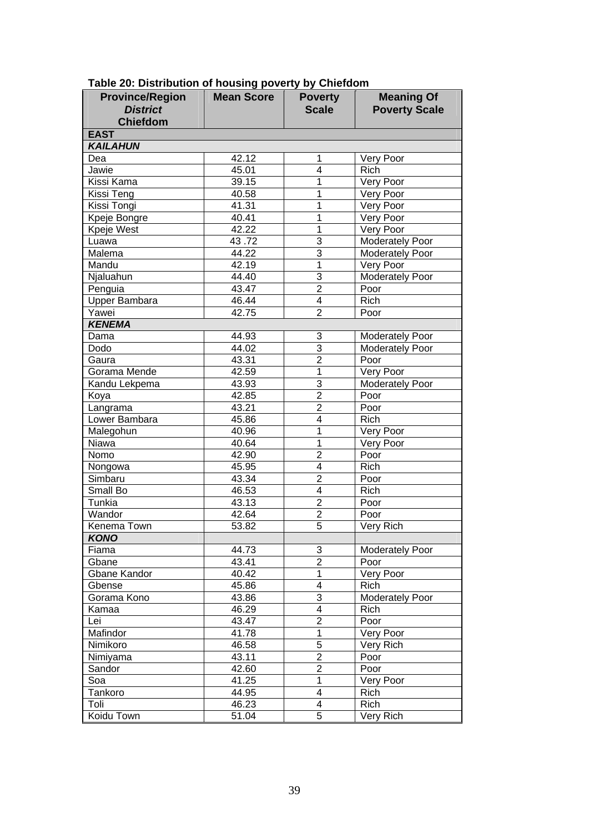| <b>District</b><br><b>Scale</b><br><b>Poverty Scale</b><br><b>Chiefdom</b><br><b>EAST</b><br><b>KAILAHUN</b><br>42.12<br>Dea<br>1<br>Very Poor<br>4<br>Jawie<br>45.01<br>Rich<br>39.15<br>Kissi Kama<br>1<br>Very Poor<br>1<br>40.58<br>Very Poor<br>Kissi Teng<br>1<br>Very Poor<br>Kissi Tongi<br>41.31<br>1<br>Kpeje Bongre<br>40.41<br>Very Poor<br>Kpeje West<br>42.22<br>1<br>Very Poor<br>$\overline{3}$<br>43.72<br>Moderately Poor<br>Luawa<br>$\overline{3}$<br>Malema<br>44.22<br>Moderately Poor<br>$\overline{1}$<br>Mandu<br>42.19<br>Very Poor<br>$\overline{3}$<br>44.40<br>Moderately Poor<br>Njaluahun<br>$\overline{2}$<br>43.47<br>Poor<br>Penguia<br>$\overline{4}$<br><b>Upper Bambara</b><br>46.44<br><b>Rich</b><br>$\overline{2}$<br>Yawei<br>42.75<br>Poor<br><b>KENEMA</b><br>44.93<br>3<br>Dama<br><b>Moderately Poor</b><br>$\overline{3}$<br>Dodo<br>44.02<br>Moderately Poor<br>$\overline{2}$<br>Poor<br>Gaura<br>43.31<br>$\overline{1}$<br>42.59<br>Very Poor<br>Gorama Mende<br>$\overline{3}$<br><b>Moderately Poor</b><br>43.93<br>Kandu Lekpema<br>$\overline{2}$<br>Poor<br>Koya<br>42.85<br>$\overline{2}$<br>Langrama<br>43.21<br>Poor<br>$\overline{4}$<br>Lower Bambara<br>45.86<br>Rich<br>1<br>Malegohun<br>40.96<br>Very Poor<br>1<br>Niawa<br>40.64<br>Very Poor<br>$\overline{2}$<br>Nomo<br>42.90<br>Poor<br>$\overline{4}$<br>45.95<br><b>Rich</b><br>Nongowa<br>$\overline{2}$<br>Simbaru<br>43.34<br>Poor<br>$\overline{4}$<br>Small Bo<br>46.53<br><b>Rich</b><br>$\overline{2}$<br>Tunkia<br>43.13<br>Poor<br>$\overline{2}$<br>Wandor<br>42.64<br>Poor<br>$\overline{5}$<br>Kenema Town<br>53.82<br>Very Rich<br><b>KONO</b><br>44.73<br>3<br>Fiama<br><b>Moderately Poor</b><br>$\overline{2}$<br>43.41<br>Gbane<br>Poor<br>$\overline{1}$<br>Gbane Kandor<br>40.42<br>Very Poor<br>$\overline{4}$<br>45.86<br>Gbense<br>Rich<br>3<br>Gorama Kono<br>43.86<br>Moderately Poor<br>$\overline{4}$<br>46.29<br>Kamaa<br>Rich<br>$\overline{2}$<br>43.47<br>Poor<br>Lei<br>1<br>Mafindor<br>41.78<br>Very Poor<br>$\overline{5}$<br>46.58<br>Very Rich<br>Nimikoro<br>$\overline{2}$<br>43.11<br>Poor<br>Nimiyama<br>$\overline{2}$<br>42.60<br>Sandor<br>Poor<br>1<br>41.25<br>Soa<br>Very Poor<br>$\overline{4}$<br>44.95<br>Tankoro<br>Rich<br>$\overline{\mathbf{4}}$<br>Toli<br>46.23<br>Rich<br>$\overline{5}$<br>Koidu Town<br>51.04<br>Very Rich | <b>Province/Region</b> | <b>Mean Score</b> | <b>Poverty</b> | <b>Meaning Of</b> |
|--------------------------------------------------------------------------------------------------------------------------------------------------------------------------------------------------------------------------------------------------------------------------------------------------------------------------------------------------------------------------------------------------------------------------------------------------------------------------------------------------------------------------------------------------------------------------------------------------------------------------------------------------------------------------------------------------------------------------------------------------------------------------------------------------------------------------------------------------------------------------------------------------------------------------------------------------------------------------------------------------------------------------------------------------------------------------------------------------------------------------------------------------------------------------------------------------------------------------------------------------------------------------------------------------------------------------------------------------------------------------------------------------------------------------------------------------------------------------------------------------------------------------------------------------------------------------------------------------------------------------------------------------------------------------------------------------------------------------------------------------------------------------------------------------------------------------------------------------------------------------------------------------------------------------------------------------------------------------------------------------------------------------------------------------------------------------------------------------------------------------------------------------------------------------------------------------------------------------------------------------------------------------------------------------------------------------------------------------------------------------------------------------------------|------------------------|-------------------|----------------|-------------------|
|                                                                                                                                                                                                                                                                                                                                                                                                                                                                                                                                                                                                                                                                                                                                                                                                                                                                                                                                                                                                                                                                                                                                                                                                                                                                                                                                                                                                                                                                                                                                                                                                                                                                                                                                                                                                                                                                                                                                                                                                                                                                                                                                                                                                                                                                                                                                                                                                              |                        |                   |                |                   |
|                                                                                                                                                                                                                                                                                                                                                                                                                                                                                                                                                                                                                                                                                                                                                                                                                                                                                                                                                                                                                                                                                                                                                                                                                                                                                                                                                                                                                                                                                                                                                                                                                                                                                                                                                                                                                                                                                                                                                                                                                                                                                                                                                                                                                                                                                                                                                                                                              |                        |                   |                |                   |
|                                                                                                                                                                                                                                                                                                                                                                                                                                                                                                                                                                                                                                                                                                                                                                                                                                                                                                                                                                                                                                                                                                                                                                                                                                                                                                                                                                                                                                                                                                                                                                                                                                                                                                                                                                                                                                                                                                                                                                                                                                                                                                                                                                                                                                                                                                                                                                                                              |                        |                   |                |                   |
|                                                                                                                                                                                                                                                                                                                                                                                                                                                                                                                                                                                                                                                                                                                                                                                                                                                                                                                                                                                                                                                                                                                                                                                                                                                                                                                                                                                                                                                                                                                                                                                                                                                                                                                                                                                                                                                                                                                                                                                                                                                                                                                                                                                                                                                                                                                                                                                                              |                        |                   |                |                   |
|                                                                                                                                                                                                                                                                                                                                                                                                                                                                                                                                                                                                                                                                                                                                                                                                                                                                                                                                                                                                                                                                                                                                                                                                                                                                                                                                                                                                                                                                                                                                                                                                                                                                                                                                                                                                                                                                                                                                                                                                                                                                                                                                                                                                                                                                                                                                                                                                              |                        |                   |                |                   |
|                                                                                                                                                                                                                                                                                                                                                                                                                                                                                                                                                                                                                                                                                                                                                                                                                                                                                                                                                                                                                                                                                                                                                                                                                                                                                                                                                                                                                                                                                                                                                                                                                                                                                                                                                                                                                                                                                                                                                                                                                                                                                                                                                                                                                                                                                                                                                                                                              |                        |                   |                |                   |
|                                                                                                                                                                                                                                                                                                                                                                                                                                                                                                                                                                                                                                                                                                                                                                                                                                                                                                                                                                                                                                                                                                                                                                                                                                                                                                                                                                                                                                                                                                                                                                                                                                                                                                                                                                                                                                                                                                                                                                                                                                                                                                                                                                                                                                                                                                                                                                                                              |                        |                   |                |                   |
|                                                                                                                                                                                                                                                                                                                                                                                                                                                                                                                                                                                                                                                                                                                                                                                                                                                                                                                                                                                                                                                                                                                                                                                                                                                                                                                                                                                                                                                                                                                                                                                                                                                                                                                                                                                                                                                                                                                                                                                                                                                                                                                                                                                                                                                                                                                                                                                                              |                        |                   |                |                   |
|                                                                                                                                                                                                                                                                                                                                                                                                                                                                                                                                                                                                                                                                                                                                                                                                                                                                                                                                                                                                                                                                                                                                                                                                                                                                                                                                                                                                                                                                                                                                                                                                                                                                                                                                                                                                                                                                                                                                                                                                                                                                                                                                                                                                                                                                                                                                                                                                              |                        |                   |                |                   |
|                                                                                                                                                                                                                                                                                                                                                                                                                                                                                                                                                                                                                                                                                                                                                                                                                                                                                                                                                                                                                                                                                                                                                                                                                                                                                                                                                                                                                                                                                                                                                                                                                                                                                                                                                                                                                                                                                                                                                                                                                                                                                                                                                                                                                                                                                                                                                                                                              |                        |                   |                |                   |
|                                                                                                                                                                                                                                                                                                                                                                                                                                                                                                                                                                                                                                                                                                                                                                                                                                                                                                                                                                                                                                                                                                                                                                                                                                                                                                                                                                                                                                                                                                                                                                                                                                                                                                                                                                                                                                                                                                                                                                                                                                                                                                                                                                                                                                                                                                                                                                                                              |                        |                   |                |                   |
|                                                                                                                                                                                                                                                                                                                                                                                                                                                                                                                                                                                                                                                                                                                                                                                                                                                                                                                                                                                                                                                                                                                                                                                                                                                                                                                                                                                                                                                                                                                                                                                                                                                                                                                                                                                                                                                                                                                                                                                                                                                                                                                                                                                                                                                                                                                                                                                                              |                        |                   |                |                   |
|                                                                                                                                                                                                                                                                                                                                                                                                                                                                                                                                                                                                                                                                                                                                                                                                                                                                                                                                                                                                                                                                                                                                                                                                                                                                                                                                                                                                                                                                                                                                                                                                                                                                                                                                                                                                                                                                                                                                                                                                                                                                                                                                                                                                                                                                                                                                                                                                              |                        |                   |                |                   |
|                                                                                                                                                                                                                                                                                                                                                                                                                                                                                                                                                                                                                                                                                                                                                                                                                                                                                                                                                                                                                                                                                                                                                                                                                                                                                                                                                                                                                                                                                                                                                                                                                                                                                                                                                                                                                                                                                                                                                                                                                                                                                                                                                                                                                                                                                                                                                                                                              |                        |                   |                |                   |
|                                                                                                                                                                                                                                                                                                                                                                                                                                                                                                                                                                                                                                                                                                                                                                                                                                                                                                                                                                                                                                                                                                                                                                                                                                                                                                                                                                                                                                                                                                                                                                                                                                                                                                                                                                                                                                                                                                                                                                                                                                                                                                                                                                                                                                                                                                                                                                                                              |                        |                   |                |                   |
|                                                                                                                                                                                                                                                                                                                                                                                                                                                                                                                                                                                                                                                                                                                                                                                                                                                                                                                                                                                                                                                                                                                                                                                                                                                                                                                                                                                                                                                                                                                                                                                                                                                                                                                                                                                                                                                                                                                                                                                                                                                                                                                                                                                                                                                                                                                                                                                                              |                        |                   |                |                   |
|                                                                                                                                                                                                                                                                                                                                                                                                                                                                                                                                                                                                                                                                                                                                                                                                                                                                                                                                                                                                                                                                                                                                                                                                                                                                                                                                                                                                                                                                                                                                                                                                                                                                                                                                                                                                                                                                                                                                                                                                                                                                                                                                                                                                                                                                                                                                                                                                              |                        |                   |                |                   |
|                                                                                                                                                                                                                                                                                                                                                                                                                                                                                                                                                                                                                                                                                                                                                                                                                                                                                                                                                                                                                                                                                                                                                                                                                                                                                                                                                                                                                                                                                                                                                                                                                                                                                                                                                                                                                                                                                                                                                                                                                                                                                                                                                                                                                                                                                                                                                                                                              |                        |                   |                |                   |
|                                                                                                                                                                                                                                                                                                                                                                                                                                                                                                                                                                                                                                                                                                                                                                                                                                                                                                                                                                                                                                                                                                                                                                                                                                                                                                                                                                                                                                                                                                                                                                                                                                                                                                                                                                                                                                                                                                                                                                                                                                                                                                                                                                                                                                                                                                                                                                                                              |                        |                   |                |                   |
|                                                                                                                                                                                                                                                                                                                                                                                                                                                                                                                                                                                                                                                                                                                                                                                                                                                                                                                                                                                                                                                                                                                                                                                                                                                                                                                                                                                                                                                                                                                                                                                                                                                                                                                                                                                                                                                                                                                                                                                                                                                                                                                                                                                                                                                                                                                                                                                                              |                        |                   |                |                   |
|                                                                                                                                                                                                                                                                                                                                                                                                                                                                                                                                                                                                                                                                                                                                                                                                                                                                                                                                                                                                                                                                                                                                                                                                                                                                                                                                                                                                                                                                                                                                                                                                                                                                                                                                                                                                                                                                                                                                                                                                                                                                                                                                                                                                                                                                                                                                                                                                              |                        |                   |                |                   |
|                                                                                                                                                                                                                                                                                                                                                                                                                                                                                                                                                                                                                                                                                                                                                                                                                                                                                                                                                                                                                                                                                                                                                                                                                                                                                                                                                                                                                                                                                                                                                                                                                                                                                                                                                                                                                                                                                                                                                                                                                                                                                                                                                                                                                                                                                                                                                                                                              |                        |                   |                |                   |
|                                                                                                                                                                                                                                                                                                                                                                                                                                                                                                                                                                                                                                                                                                                                                                                                                                                                                                                                                                                                                                                                                                                                                                                                                                                                                                                                                                                                                                                                                                                                                                                                                                                                                                                                                                                                                                                                                                                                                                                                                                                                                                                                                                                                                                                                                                                                                                                                              |                        |                   |                |                   |
|                                                                                                                                                                                                                                                                                                                                                                                                                                                                                                                                                                                                                                                                                                                                                                                                                                                                                                                                                                                                                                                                                                                                                                                                                                                                                                                                                                                                                                                                                                                                                                                                                                                                                                                                                                                                                                                                                                                                                                                                                                                                                                                                                                                                                                                                                                                                                                                                              |                        |                   |                |                   |
|                                                                                                                                                                                                                                                                                                                                                                                                                                                                                                                                                                                                                                                                                                                                                                                                                                                                                                                                                                                                                                                                                                                                                                                                                                                                                                                                                                                                                                                                                                                                                                                                                                                                                                                                                                                                                                                                                                                                                                                                                                                                                                                                                                                                                                                                                                                                                                                                              |                        |                   |                |                   |
|                                                                                                                                                                                                                                                                                                                                                                                                                                                                                                                                                                                                                                                                                                                                                                                                                                                                                                                                                                                                                                                                                                                                                                                                                                                                                                                                                                                                                                                                                                                                                                                                                                                                                                                                                                                                                                                                                                                                                                                                                                                                                                                                                                                                                                                                                                                                                                                                              |                        |                   |                |                   |
|                                                                                                                                                                                                                                                                                                                                                                                                                                                                                                                                                                                                                                                                                                                                                                                                                                                                                                                                                                                                                                                                                                                                                                                                                                                                                                                                                                                                                                                                                                                                                                                                                                                                                                                                                                                                                                                                                                                                                                                                                                                                                                                                                                                                                                                                                                                                                                                                              |                        |                   |                |                   |
|                                                                                                                                                                                                                                                                                                                                                                                                                                                                                                                                                                                                                                                                                                                                                                                                                                                                                                                                                                                                                                                                                                                                                                                                                                                                                                                                                                                                                                                                                                                                                                                                                                                                                                                                                                                                                                                                                                                                                                                                                                                                                                                                                                                                                                                                                                                                                                                                              |                        |                   |                |                   |
|                                                                                                                                                                                                                                                                                                                                                                                                                                                                                                                                                                                                                                                                                                                                                                                                                                                                                                                                                                                                                                                                                                                                                                                                                                                                                                                                                                                                                                                                                                                                                                                                                                                                                                                                                                                                                                                                                                                                                                                                                                                                                                                                                                                                                                                                                                                                                                                                              |                        |                   |                |                   |
|                                                                                                                                                                                                                                                                                                                                                                                                                                                                                                                                                                                                                                                                                                                                                                                                                                                                                                                                                                                                                                                                                                                                                                                                                                                                                                                                                                                                                                                                                                                                                                                                                                                                                                                                                                                                                                                                                                                                                                                                                                                                                                                                                                                                                                                                                                                                                                                                              |                        |                   |                |                   |
|                                                                                                                                                                                                                                                                                                                                                                                                                                                                                                                                                                                                                                                                                                                                                                                                                                                                                                                                                                                                                                                                                                                                                                                                                                                                                                                                                                                                                                                                                                                                                                                                                                                                                                                                                                                                                                                                                                                                                                                                                                                                                                                                                                                                                                                                                                                                                                                                              |                        |                   |                |                   |
|                                                                                                                                                                                                                                                                                                                                                                                                                                                                                                                                                                                                                                                                                                                                                                                                                                                                                                                                                                                                                                                                                                                                                                                                                                                                                                                                                                                                                                                                                                                                                                                                                                                                                                                                                                                                                                                                                                                                                                                                                                                                                                                                                                                                                                                                                                                                                                                                              |                        |                   |                |                   |
|                                                                                                                                                                                                                                                                                                                                                                                                                                                                                                                                                                                                                                                                                                                                                                                                                                                                                                                                                                                                                                                                                                                                                                                                                                                                                                                                                                                                                                                                                                                                                                                                                                                                                                                                                                                                                                                                                                                                                                                                                                                                                                                                                                                                                                                                                                                                                                                                              |                        |                   |                |                   |
|                                                                                                                                                                                                                                                                                                                                                                                                                                                                                                                                                                                                                                                                                                                                                                                                                                                                                                                                                                                                                                                                                                                                                                                                                                                                                                                                                                                                                                                                                                                                                                                                                                                                                                                                                                                                                                                                                                                                                                                                                                                                                                                                                                                                                                                                                                                                                                                                              |                        |                   |                |                   |
|                                                                                                                                                                                                                                                                                                                                                                                                                                                                                                                                                                                                                                                                                                                                                                                                                                                                                                                                                                                                                                                                                                                                                                                                                                                                                                                                                                                                                                                                                                                                                                                                                                                                                                                                                                                                                                                                                                                                                                                                                                                                                                                                                                                                                                                                                                                                                                                                              |                        |                   |                |                   |
|                                                                                                                                                                                                                                                                                                                                                                                                                                                                                                                                                                                                                                                                                                                                                                                                                                                                                                                                                                                                                                                                                                                                                                                                                                                                                                                                                                                                                                                                                                                                                                                                                                                                                                                                                                                                                                                                                                                                                                                                                                                                                                                                                                                                                                                                                                                                                                                                              |                        |                   |                |                   |
|                                                                                                                                                                                                                                                                                                                                                                                                                                                                                                                                                                                                                                                                                                                                                                                                                                                                                                                                                                                                                                                                                                                                                                                                                                                                                                                                                                                                                                                                                                                                                                                                                                                                                                                                                                                                                                                                                                                                                                                                                                                                                                                                                                                                                                                                                                                                                                                                              |                        |                   |                |                   |
|                                                                                                                                                                                                                                                                                                                                                                                                                                                                                                                                                                                                                                                                                                                                                                                                                                                                                                                                                                                                                                                                                                                                                                                                                                                                                                                                                                                                                                                                                                                                                                                                                                                                                                                                                                                                                                                                                                                                                                                                                                                                                                                                                                                                                                                                                                                                                                                                              |                        |                   |                |                   |
|                                                                                                                                                                                                                                                                                                                                                                                                                                                                                                                                                                                                                                                                                                                                                                                                                                                                                                                                                                                                                                                                                                                                                                                                                                                                                                                                                                                                                                                                                                                                                                                                                                                                                                                                                                                                                                                                                                                                                                                                                                                                                                                                                                                                                                                                                                                                                                                                              |                        |                   |                |                   |
|                                                                                                                                                                                                                                                                                                                                                                                                                                                                                                                                                                                                                                                                                                                                                                                                                                                                                                                                                                                                                                                                                                                                                                                                                                                                                                                                                                                                                                                                                                                                                                                                                                                                                                                                                                                                                                                                                                                                                                                                                                                                                                                                                                                                                                                                                                                                                                                                              |                        |                   |                |                   |
|                                                                                                                                                                                                                                                                                                                                                                                                                                                                                                                                                                                                                                                                                                                                                                                                                                                                                                                                                                                                                                                                                                                                                                                                                                                                                                                                                                                                                                                                                                                                                                                                                                                                                                                                                                                                                                                                                                                                                                                                                                                                                                                                                                                                                                                                                                                                                                                                              |                        |                   |                |                   |
|                                                                                                                                                                                                                                                                                                                                                                                                                                                                                                                                                                                                                                                                                                                                                                                                                                                                                                                                                                                                                                                                                                                                                                                                                                                                                                                                                                                                                                                                                                                                                                                                                                                                                                                                                                                                                                                                                                                                                                                                                                                                                                                                                                                                                                                                                                                                                                                                              |                        |                   |                |                   |
|                                                                                                                                                                                                                                                                                                                                                                                                                                                                                                                                                                                                                                                                                                                                                                                                                                                                                                                                                                                                                                                                                                                                                                                                                                                                                                                                                                                                                                                                                                                                                                                                                                                                                                                                                                                                                                                                                                                                                                                                                                                                                                                                                                                                                                                                                                                                                                                                              |                        |                   |                |                   |
|                                                                                                                                                                                                                                                                                                                                                                                                                                                                                                                                                                                                                                                                                                                                                                                                                                                                                                                                                                                                                                                                                                                                                                                                                                                                                                                                                                                                                                                                                                                                                                                                                                                                                                                                                                                                                                                                                                                                                                                                                                                                                                                                                                                                                                                                                                                                                                                                              |                        |                   |                |                   |
|                                                                                                                                                                                                                                                                                                                                                                                                                                                                                                                                                                                                                                                                                                                                                                                                                                                                                                                                                                                                                                                                                                                                                                                                                                                                                                                                                                                                                                                                                                                                                                                                                                                                                                                                                                                                                                                                                                                                                                                                                                                                                                                                                                                                                                                                                                                                                                                                              |                        |                   |                |                   |
|                                                                                                                                                                                                                                                                                                                                                                                                                                                                                                                                                                                                                                                                                                                                                                                                                                                                                                                                                                                                                                                                                                                                                                                                                                                                                                                                                                                                                                                                                                                                                                                                                                                                                                                                                                                                                                                                                                                                                                                                                                                                                                                                                                                                                                                                                                                                                                                                              |                        |                   |                |                   |
|                                                                                                                                                                                                                                                                                                                                                                                                                                                                                                                                                                                                                                                                                                                                                                                                                                                                                                                                                                                                                                                                                                                                                                                                                                                                                                                                                                                                                                                                                                                                                                                                                                                                                                                                                                                                                                                                                                                                                                                                                                                                                                                                                                                                                                                                                                                                                                                                              |                        |                   |                |                   |
|                                                                                                                                                                                                                                                                                                                                                                                                                                                                                                                                                                                                                                                                                                                                                                                                                                                                                                                                                                                                                                                                                                                                                                                                                                                                                                                                                                                                                                                                                                                                                                                                                                                                                                                                                                                                                                                                                                                                                                                                                                                                                                                                                                                                                                                                                                                                                                                                              |                        |                   |                |                   |
|                                                                                                                                                                                                                                                                                                                                                                                                                                                                                                                                                                                                                                                                                                                                                                                                                                                                                                                                                                                                                                                                                                                                                                                                                                                                                                                                                                                                                                                                                                                                                                                                                                                                                                                                                                                                                                                                                                                                                                                                                                                                                                                                                                                                                                                                                                                                                                                                              |                        |                   |                |                   |
|                                                                                                                                                                                                                                                                                                                                                                                                                                                                                                                                                                                                                                                                                                                                                                                                                                                                                                                                                                                                                                                                                                                                                                                                                                                                                                                                                                                                                                                                                                                                                                                                                                                                                                                                                                                                                                                                                                                                                                                                                                                                                                                                                                                                                                                                                                                                                                                                              |                        |                   |                |                   |
|                                                                                                                                                                                                                                                                                                                                                                                                                                                                                                                                                                                                                                                                                                                                                                                                                                                                                                                                                                                                                                                                                                                                                                                                                                                                                                                                                                                                                                                                                                                                                                                                                                                                                                                                                                                                                                                                                                                                                                                                                                                                                                                                                                                                                                                                                                                                                                                                              |                        |                   |                |                   |
|                                                                                                                                                                                                                                                                                                                                                                                                                                                                                                                                                                                                                                                                                                                                                                                                                                                                                                                                                                                                                                                                                                                                                                                                                                                                                                                                                                                                                                                                                                                                                                                                                                                                                                                                                                                                                                                                                                                                                                                                                                                                                                                                                                                                                                                                                                                                                                                                              |                        |                   |                |                   |

## **Table 20: Distribution of housing poverty by Chiefdom**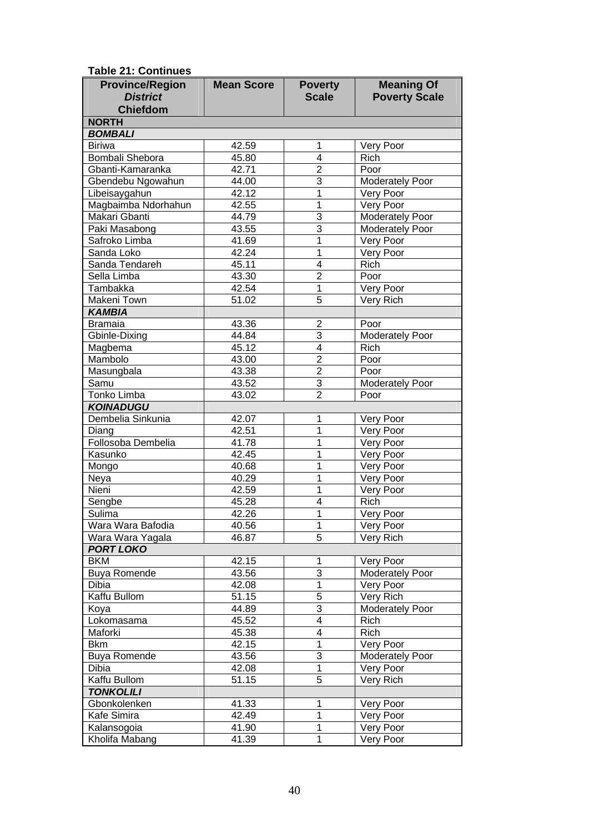| ania 41. Johannaca<br><b>Province/Region</b> | <b>Mean Score</b> | <b>Poverty</b>                            | <b>Meaning Of</b>       |
|----------------------------------------------|-------------------|-------------------------------------------|-------------------------|
| <b>District</b>                              |                   | <b>Scale</b>                              | <b>Poverty Scale</b>    |
|                                              |                   |                                           |                         |
| <b>Chiefdom</b>                              |                   |                                           |                         |
| <b>NORTH</b>                                 |                   |                                           |                         |
| <b>BOMBALI</b><br><b>Biriwa</b>              |                   |                                           |                         |
| Bombali Shebora                              | 42.59             | 1<br>4                                    | Very Poor<br>Rich       |
| Gbanti-Kamaranka                             | 45.80<br>42.71    | $\overline{2}$                            | Poor                    |
| Gbendebu Ngowahun                            | 44.00             | $\overline{3}$                            | <b>Moderately Poor</b>  |
| Libeisaygahun                                | 42.12             | $\overline{1}$                            |                         |
| Magbaimba Ndorhahun                          |                   | 1                                         | Very Poor<br>Very Poor  |
| Makari Gbanti                                | 42.55<br>44.79    | $\overline{3}$                            |                         |
|                                              |                   | $\overline{3}$                            | <b>Moderately Poor</b>  |
| Paki Masabong<br>Safroko Limba               | 43.55             | $\overline{1}$                            | Moderately Poor         |
| Sanda Loko                                   | 41.69<br>42.24    | $\overline{1}$                            | Very Poor<br>Very Poor  |
| Sanda Tendareh                               | 45.11             | 4                                         | Rich                    |
| Sella Limba                                  | 43.30             | $\overline{2}$                            | Poor                    |
| Tambakka                                     | 42.54             | 1                                         |                         |
| Makeni Town                                  | 51.02             | 5                                         | Very Poor               |
|                                              |                   |                                           | Very Rich               |
| <b>KAMBIA</b><br><b>Bramaia</b>              | 43.36             |                                           | Poor                    |
|                                              | 44.84             | $\overline{\mathbf{c}}$<br>$\overline{3}$ | Moderately Poor         |
| Gbinle-Dixing                                | 45.12             | $\overline{4}$                            | Rich                    |
| Magbema<br>Mambolo                           | 43.00             | $\overline{2}$                            | Poor                    |
|                                              | 43.38             | $\overline{2}$                            | Poor                    |
| Masungbala<br>Samu                           |                   | $\overline{3}$                            |                         |
| Tonko Limba                                  | 43.52             | $\overline{2}$                            | Moderately Poor<br>Poor |
| <b>KOINADUGU</b>                             | 43.02             |                                           |                         |
| Dembelia Sinkunia                            | 42.07             | 1                                         |                         |
| Diang                                        | 42.51             | 1                                         | Very Poor<br>Very Poor  |
| Follosoba Dembelia                           | 41.78             | 1                                         | Very Poor               |
| Kasunko                                      | 42.45             | 1                                         | Very Poor               |
| Mongo                                        | 40.68             | 1                                         | Very Poor               |
| Neya                                         | 40.29             | 1                                         | Very Poor               |
| Nieni                                        | 42.59             | 1                                         | Very Poor               |
| Sengbe                                       | 45.28             | 4                                         | Rich                    |
| Sulima                                       | 42.26             | 1                                         | Very Poor               |
| Wara Wara Bafodia                            | 40.56             | 1                                         |                         |
| Wara Wara Yagala                             | 46.87             | 5                                         | Very Poor<br>Very Rich  |
| <b>PORT LOKO</b>                             |                   |                                           |                         |
| <b>BKM</b>                                   | 42.15             | 1                                         | Very Poor               |
| <b>Buya Romende</b>                          | 43.56             | $\overline{3}$                            | <b>Moderately Poor</b>  |
| Dibia                                        | 42.08             | $\mathbf{1}$                              | Very Poor               |
| Kaffu Bullom                                 | 51.15             | 5                                         | Very Rich               |
| Koya                                         | 44.89             | 3                                         | Moderately Poor         |
| Lokomasama                                   | 45.52             | 4                                         | Rich                    |
| Maforki                                      | 45.38             | 4                                         | Rich                    |
| <b>Bkm</b>                                   | 42.15             | 1                                         | Very Poor               |
| <b>Buya Romende</b>                          | 43.56             | 3                                         | <b>Moderately Poor</b>  |
| Dibia                                        | 42.08             | $\mathbf 1$                               | Very Poor               |
| Kaffu Bullom                                 | 51.15             | 5                                         |                         |
| <b>TONKOLILI</b>                             |                   |                                           | Very Rich               |
| Gbonkolenken                                 | 41.33             | 1                                         | Very Poor               |
| Kafe Simira                                  | 42.49             | 1                                         | Very Poor               |
| Kalansogoia                                  | 41.90             | 1                                         | Very Poor               |
| Kholifa Mabang                               | 41.39             | 1                                         |                         |
|                                              |                   |                                           | Very Poor               |

**Table 21: Continues**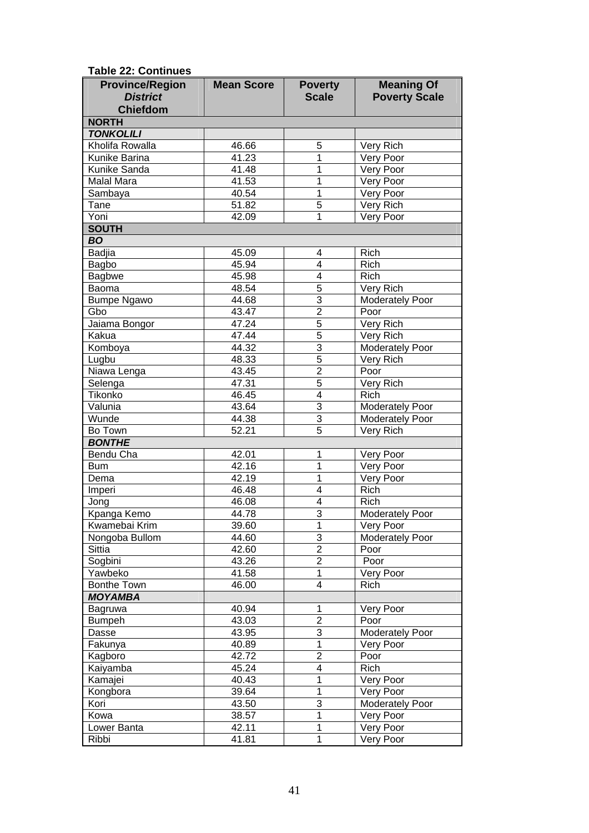| <b>Table 22: Continues</b>                                   |                    |                                  |                                           |
|--------------------------------------------------------------|--------------------|----------------------------------|-------------------------------------------|
| <b>Province/Region</b><br><b>District</b><br><b>Chiefdom</b> | <b>Mean Score</b>  | <b>Poverty</b><br><b>Scale</b>   | <b>Meaning Of</b><br><b>Poverty Scale</b> |
| <b>NORTH</b>                                                 |                    |                                  |                                           |
| <b>TONKOLILI</b>                                             |                    |                                  |                                           |
| Kholifa Rowalla                                              | 46.66              | 5                                | Very Rich                                 |
| Kunike Barina                                                | 41.23              | $\overline{1}$                   | Very Poor                                 |
| Kunike Sanda                                                 | 41.48              | $\overline{1}$                   | Very Poor                                 |
| <b>Malal Mara</b>                                            | 41.53              | $\overline{1}$                   | Very Poor                                 |
| Sambaya                                                      | 40.54              | $\overline{1}$                   | Very Poor                                 |
| Tane                                                         | 51.82              | $\overline{5}$                   | Very Rich                                 |
| Yoni                                                         | 42.09              | 1                                | Very Poor                                 |
| <b>SOUTH</b>                                                 |                    |                                  |                                           |
| <b>BO</b>                                                    |                    |                                  |                                           |
| <b>Badjia</b>                                                | 45.09              | 4                                | Rich                                      |
| Bagbo                                                        | 45.94              | $\overline{4}$                   | Rich                                      |
| <b>Bagbwe</b>                                                | 45.98              | $\overline{\mathbf{4}}$          | Rich                                      |
| Baoma                                                        | 48.54              | $\overline{5}$                   | Very Rich                                 |
| <b>Bumpe Ngawo</b>                                           | 44.68              | $\overline{3}$                   | Moderately Poor                           |
| Gbo                                                          | 43.47              | $\overline{2}$                   | Poor                                      |
| Jaiama Bongor                                                | 47.24              | 5                                | Very Rich                                 |
| Kakua                                                        | 47.44              | 5                                | Very Rich                                 |
| Komboya                                                      | $44.\overline{32}$ | $\overline{3}$                   | Moderately Poor                           |
| Lugbu                                                        | 48.33              | $\overline{5}$                   | Very Rich                                 |
| Niawa Lenga                                                  | 43.45              | $\overline{2}$                   | Poor                                      |
| Selenga                                                      | 47.31              | 5                                | Very Rich                                 |
| Tikonko                                                      | 46.45              | $\overline{4}$                   | <b>Rich</b>                               |
| Valunia                                                      | 43.64              | $\overline{3}$                   | <b>Moderately Poor</b>                    |
| Wunde<br>Bo Town                                             | 44.38<br>52.21     | $\overline{3}$<br>$\overline{5}$ | <b>Moderately Poor</b>                    |
| <b>BONTHE</b>                                                |                    |                                  | Very Rich                                 |
| Bendu Cha                                                    | 42.01              | $\mathbf{1}$                     | Very Poor                                 |
| <b>Bum</b>                                                   | 42.16              | $\overline{1}$                   | Very Poor                                 |
| Dema                                                         | 42.19              | $\overline{1}$                   | Very Poor                                 |
| Imperi                                                       | 46.48              | $\overline{\mathbf{4}}$          | Rich                                      |
| Jong                                                         | 46.08              | $\overline{4}$                   | Rich                                      |
| Kpanga Kemo                                                  | 44.78              | 3                                | <b>Moderately Poor</b>                    |
| Kwamebai Krim                                                | 39.60              | $\overline{1}$                   | Very Poor                                 |
| Nongoba Bullom                                               | 44.60              | $\overline{3}$                   | Moderately Poor                           |
| Sittia                                                       | 42.60              | $\overline{2}$                   | Poor                                      |
| Sogbini                                                      | 43.26              | $\overline{2}$                   | Poor                                      |
| Yawbeko                                                      | 41.58              | $\mathbf 1$                      | Very Poor                                 |
| Bonthe Town                                                  | 46.00              | 4                                | Rich                                      |
| <b>MOYAMBA</b>                                               |                    |                                  |                                           |
| Bagruwa                                                      | 40.94              | $\mathbf 1$                      | Very Poor                                 |
| <b>Bumpeh</b>                                                | 43.03              | $\overline{2}$                   | Poor                                      |
| Dasse                                                        | 43.95              | $\overline{3}$                   | Moderately Poor                           |
| Fakunya                                                      | 40.89              | $\overline{1}$                   | Very Poor                                 |
| Kagboro                                                      | 42.72              | $\overline{2}$                   | Poor                                      |
| Kaiyamba                                                     | 45.24              | 4                                | Rich                                      |
| Kamajei                                                      | 40.43              | $\mathbf{1}$                     | Very Poor                                 |
| Kongbora                                                     | 39.64              | $\mathbf{1}$                     | Very Poor                                 |
| Kori                                                         | 43.50              | 3                                | <b>Moderately Poor</b>                    |
| Kowa                                                         | 38.57              | $\mathbf{1}$                     | Very Poor                                 |
| Lower Banta                                                  | 42.11              | $\mathbf{1}$                     | Very Poor                                 |
| Ribbi                                                        | 41.81              | 1                                | Very Poor                                 |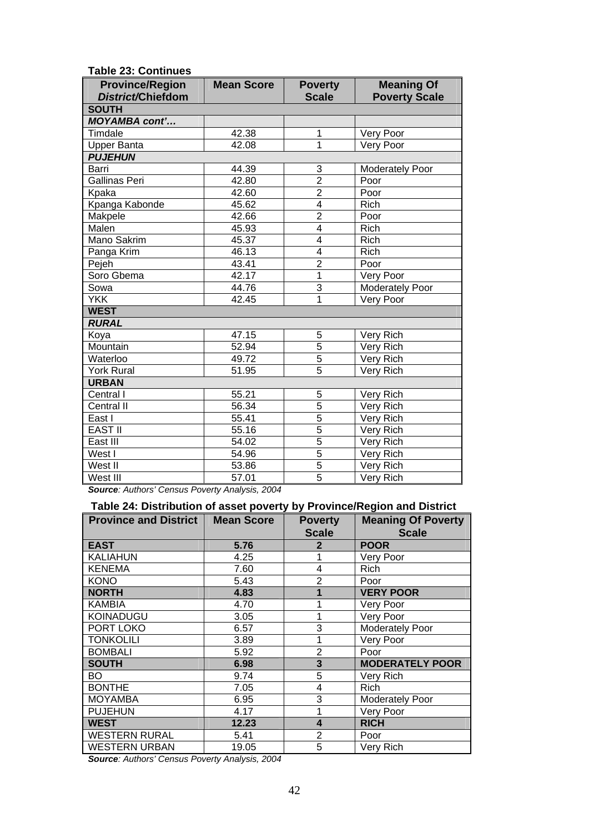| TADIE ZJ. UUIIIIIUES<br><b>Province/Region</b> | <b>Mean Score</b> | <b>Poverty</b>          | <b>Meaning Of</b>       |  |  |
|------------------------------------------------|-------------------|-------------------------|-------------------------|--|--|
| District/Chiefdom                              |                   | <b>Scale</b>            | <b>Poverty Scale</b>    |  |  |
| <b>SOUTH</b>                                   |                   |                         |                         |  |  |
| <b>MOYAMBA cont'</b>                           |                   |                         |                         |  |  |
| Timdale                                        | 42.38             | 1                       | Very Poor               |  |  |
| <b>Upper Banta</b>                             | 42.08             | 1                       | Very Poor               |  |  |
| <b>PUJEHUN</b>                                 |                   |                         |                         |  |  |
| Barri                                          | 44.39             | 3                       | <b>Moderately Poor</b>  |  |  |
| <b>Gallinas Peri</b>                           | 42.80             | $\overline{2}$          | Poor                    |  |  |
| Kpaka                                          | 42.60             | $\overline{2}$          | Poor                    |  |  |
| Kpanga Kabonde                                 | 45.62             | $\overline{\mathbf{4}}$ | Rich                    |  |  |
| Makpele                                        | 42.66             | $\overline{2}$          | Poor                    |  |  |
| Malen                                          | 45.93             | $\overline{\mathbf{4}}$ | Rich                    |  |  |
| Mano Sakrim                                    | 45.37             | $\overline{\mathbf{4}}$ | Rich                    |  |  |
| Panga Krim                                     | 46.13             | 4                       | Rich                    |  |  |
| Pejeh                                          | 43.41             | $\overline{2}$          | Poor                    |  |  |
| Soro Gbema                                     | 42.17             | 1                       | Very Poor               |  |  |
| Sowa                                           | 44.76             | 3                       | <b>Moderately Poor</b>  |  |  |
| <b>YKK</b>                                     | 42.45             | 1                       | Very Poor               |  |  |
| <b>WEST</b>                                    |                   |                         |                         |  |  |
| <b>RURAL</b>                                   |                   |                         |                         |  |  |
| Koya                                           | 47.15             | 5                       | Very Rich               |  |  |
| Mountain                                       | 52.94             | 5                       | Very Rich               |  |  |
| Waterloo                                       | 49.72             | 5                       | $\overline{V}$ ery Rich |  |  |
| <b>York Rural</b>                              | 51.95             | 5                       | Very Rich               |  |  |
| <b>URBAN</b>                                   |                   |                         |                         |  |  |
| Central I                                      | 55.21             | 5                       | Very Rich               |  |  |
| Central II                                     | 56.34             | $\overline{5}$          | Very Rich               |  |  |
| East I                                         | 55.41             | $\overline{5}$          | Very Rich               |  |  |
| <b>EAST II</b>                                 | 55.16             | $\overline{5}$          | Very Rich               |  |  |
| East III                                       | 54.02             | $\overline{5}$          | Very Rich               |  |  |
| West I                                         | 54.96             | $\overline{5}$          | Very Rich               |  |  |
| West II                                        | 53.86             | $\overline{5}$          | Very Rich               |  |  |
| West III                                       | 57.01             | 5                       | Very Rich               |  |  |

**Table 23: Continues** 

*Source: Authors' Census Poverty Analysis, 2004* 

#### **Table 24: Distribution of asset poverty by Province/Region and District**

| <b>Province and District</b> | <b>Mean Score</b> | <b>Poverty</b><br><b>Scale</b> | <b>Meaning Of Poverty</b><br><b>Scale</b> |
|------------------------------|-------------------|--------------------------------|-------------------------------------------|
| <b>EAST</b>                  | 5.76              | 2                              | <b>POOR</b>                               |
| <b>KALIAHUN</b>              | 4.25              |                                | Very Poor                                 |
| <b>KENEMA</b>                | 7.60              | 4                              | Rich                                      |
| <b>KONO</b>                  | 5.43              | 2                              | Poor                                      |
| <b>NORTH</b>                 | 4.83              |                                | <b>VERY POOR</b>                          |
| <b>KAMBIA</b>                | 4.70              | 1                              | Very Poor                                 |
| <b>KOINADUGU</b>             | 3.05              | 1                              | Very Poor                                 |
| PORT LOKO                    | 6.57              | 3                              | <b>Moderately Poor</b>                    |
| <b>TONKOLILI</b>             | 3.89              | 1                              | Very Poor                                 |
| <b>BOMBALI</b>               | 5.92              | 2                              | Poor                                      |
| <b>SOUTH</b>                 | 6.98              | 3                              | <b>MODERATELY POOR</b>                    |
| BO                           | 9.74              | 5                              | Very Rich                                 |
| <b>BONTHE</b>                | 7.05              | 4                              | <b>Rich</b>                               |
| <b>MOYAMBA</b>               | 6.95              | 3                              | <b>Moderately Poor</b>                    |
| <b>PUJEHUN</b>               | 4.17              | 1                              | Very Poor                                 |
| <b>WEST</b>                  | 12.23             | 4                              | <b>RICH</b>                               |
| <b>WESTERN RURAL</b>         | 5.41              | $\overline{2}$                 | Poor                                      |
| <b>WESTERN URBAN</b>         | 19.05             | 5                              | Very Rich                                 |

*Source: Authors' Census Poverty Analysis, 2004*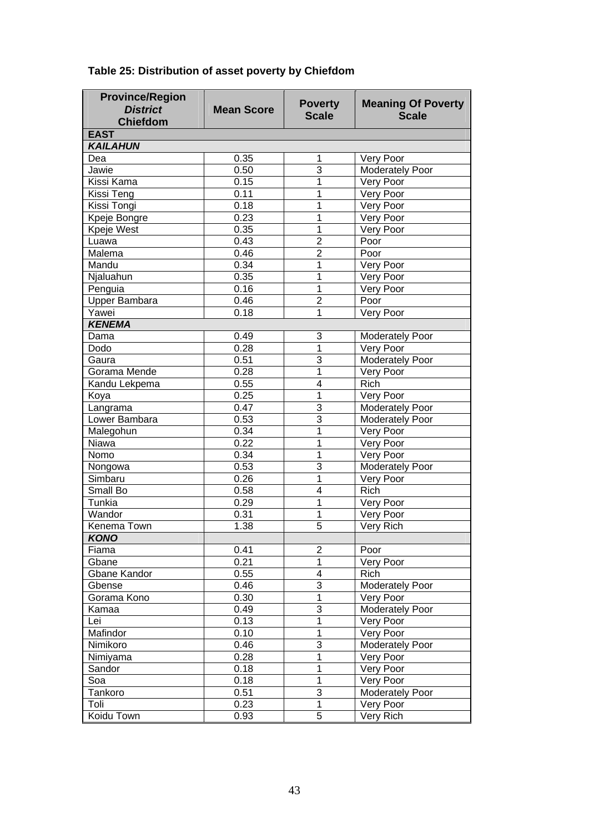| <b>Province/Region</b> |                   |                |                           |
|------------------------|-------------------|----------------|---------------------------|
| <b>District</b>        | <b>Mean Score</b> | <b>Poverty</b> | <b>Meaning Of Poverty</b> |
| <b>Chiefdom</b>        |                   | <b>Scale</b>   | <b>Scale</b>              |
| <b>EAST</b>            |                   |                |                           |
| <b>KAILAHUN</b>        |                   |                |                           |
| Dea                    | 0.35              | 1              | Very Poor                 |
| Jawie                  | 0.50              | 3              | Moderately Poor           |
| Kissi Kama             | 0.15              | 1              | Very Poor                 |
| Kissi Teng             | 0.11              | 1              | Very Poor                 |
| Kissi Tongi            | 0.18              | 1              | Very Poor                 |
| Kpeje Bongre           | 0.23              | 1              | Very Poor                 |
| Kpeje West             | 0.35              | 1              | Very Poor                 |
| Luawa                  | 0.43              | $\overline{2}$ | Poor                      |
| Malema                 | 0.46              | $\overline{2}$ | Poor                      |
| Mandu                  | 0.34              | 1              | Very Poor                 |
| Njaluahun              | 0.35              | 1              | Very Poor                 |
| Penguia                | 0.16              | 1              | Very Poor                 |
| <b>Upper Bambara</b>   | 0.46              | $\overline{2}$ | Poor                      |
| Yawei                  | 0.18              | 1              | Very Poor                 |
| <b>KENEMA</b>          |                   |                |                           |
| Dama                   | 0.49              | 3              | Moderately Poor           |
| Dodo                   | 0.28              | 1              | Very Poor                 |
| Gaura                  | 0.51              | 3              | <b>Moderately Poor</b>    |
| Gorama Mende           | 0.28              | 1              | Very Poor                 |
| Kandu Lekpema          | 0.55              | 4              | Rich                      |
| Koya                   | 0.25              | 1              | Very Poor                 |
| Langrama               | 0.47              | 3              | Moderately Poor           |
| Lower Bambara          | 0.53              | $\overline{3}$ | Moderately Poor           |
| Malegohun              | 0.34              | 1              | Very Poor                 |
| Niawa                  | 0.22              | 1              | Very Poor                 |
| Nomo                   | 0.34              | 1              | Very Poor                 |
| Nongowa                | 0.53              | 3              | Moderately Poor           |
| Simbaru                | 0.26              | 1              | Very Poor                 |
| <b>Small Bo</b>        | 0.58              | 4              | Rich                      |
| Tunkia                 | 0.29              | 1              | Very Poor                 |
| Wandor                 | 0.31              | 1              | Very Poor                 |
| Kenema Town            | 1.38              | $\overline{5}$ | Very Rich                 |
| <b>KONO</b>            |                   |                |                           |
| Fiama                  | 0.41              | 2              | Poor                      |
| Gbane                  | 0.21              | 1              | Very Poor                 |
| Gbane Kandor           | 0.55              | 4              | Rich                      |
| Gbense                 | 0.46              | 3              | <b>Moderately Poor</b>    |
| Gorama Kono            | 0.30              | 1              | Very Poor                 |
| Kamaa                  | 0.49              | 3              | <b>Moderately Poor</b>    |
| Lei                    | 0.13              | 1              | Very Poor                 |
|                        |                   |                |                           |
| Mafindor<br>Nimikoro   | 0.10              | 1<br>3         | Very Poor                 |
|                        | 0.46              |                | <b>Moderately Poor</b>    |
| Nimiyama               | 0.28              | 1              | Very Poor                 |
| Sandor                 | 0.18              | 1              | Very Poor                 |
| Soa                    | 0.18              | 1              | Very Poor                 |
| Tankoro                | 0.51              | $\overline{3}$ | <b>Moderately Poor</b>    |
| Toli                   | 0.23              | 1              | Very Poor                 |
| Koidu Town             | 0.93              | 5              | Very Rich                 |

## **Table 25: Distribution of asset poverty by Chiefdom**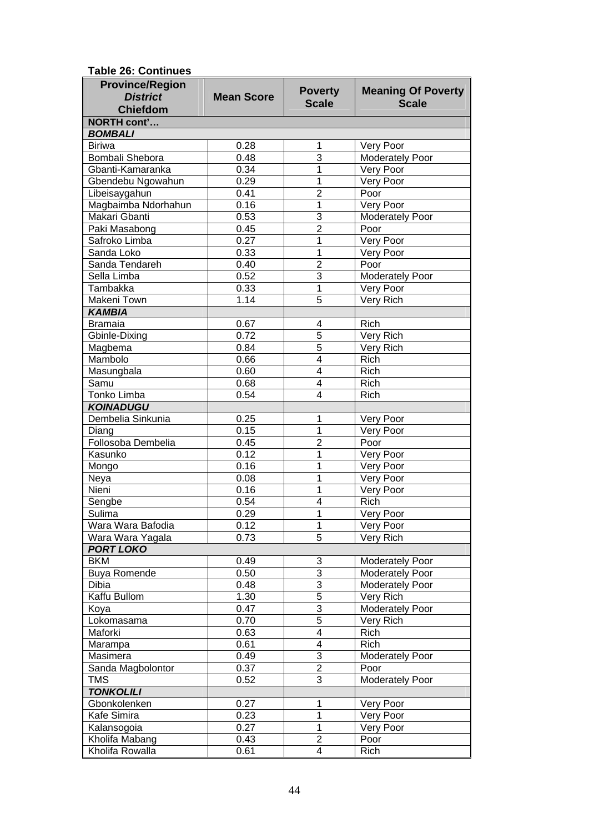| <b>Province/Region</b>        |                   | <b>Poverty</b>          | <b>Meaning Of Poverty</b>      |
|-------------------------------|-------------------|-------------------------|--------------------------------|
| <b>District</b>               | <b>Mean Score</b> | <b>Scale</b>            | <b>Scale</b>                   |
| <b>Chiefdom</b>               |                   |                         |                                |
| <b>NORTH cont'</b>            |                   |                         |                                |
| <b>BOMBALI</b>                |                   |                         |                                |
| <b>Biriwa</b>                 | 0.28              | 1<br>$\overline{3}$     | Very Poor                      |
| Bombali Shebora               | 0.48              |                         | Moderately Poor                |
| Gbanti-Kamaranka              | 0.34              | 1                       | Very Poor                      |
| Gbendebu Ngowahun             | 0.29              | 1                       | Very Poor                      |
| Libeisaygahun                 | 0.41              | $\overline{2}$<br>1     | Poor                           |
| Magbaimba Ndorhahun           | 0.16              | $\overline{3}$          | Very Poor                      |
| Makari Gbanti                 | 0.53<br>0.45      | $\overline{2}$          | <b>Moderately Poor</b><br>Poor |
| Paki Masabong                 | 0.27              |                         |                                |
| Safroko Limba                 |                   | 1                       | Very Poor                      |
| Sanda Loko                    | 0.33              | 1<br>$\overline{2}$     | Very Poor                      |
| Sanda Tendareh<br>Sella Limba | 0.40<br>0.52      | $\overline{3}$          | Poor                           |
|                               |                   | 1                       | <b>Moderately Poor</b>         |
| Tambakka                      | 0.33              | $\overline{5}$          | Very Poor<br>Very Rich         |
| Makeni Town                   | 1.14              |                         |                                |
| <b>KAMBIA</b>                 | 0.67              |                         | Rich                           |
| <b>Bramaia</b>                | 0.72              | 4<br>$\overline{5}$     | Very Rich                      |
| Gbinle-Dixing                 | 0.84              | $\overline{5}$          | Very Rich                      |
| Magbema<br>Mambolo            | 0.66              | $\overline{4}$          | Rich                           |
| Masungbala                    | 0.60              | $\overline{4}$          | Rich                           |
| Samu                          | 0.68              | $\overline{4}$          | Rich                           |
| <b>Tonko Limba</b>            | 0.54              | $\overline{4}$          | Rich                           |
| <b>KOINADUGU</b>              |                   |                         |                                |
| Dembelia Sinkunia             | 0.25              | 1                       | Very Poor                      |
| Diang                         | 0.15              | 1                       | Very Poor                      |
| Follosoba Dembelia            | 0.45              | $\overline{2}$          | Poor                           |
| Kasunko                       | 0.12              | 1                       | Very Poor                      |
| Mongo                         | 0.16              | 1                       | Very Poor                      |
| Neya                          | 0.08              | 1                       | Very Poor                      |
| Nieni                         | 0.16              | 1                       | Very Poor                      |
| Sengbe                        | 0.54              | 4                       | Rich                           |
| Sulima                        | 0.29              | 1                       | Very Poor                      |
| Wara Wara Bafodia             | 0.12              | 1                       | Very Poor                      |
| Wara Wara Yagala              | 0.73              | $\overline{5}$          | Very Rich                      |
| <b>PORT LOKO</b>              |                   |                         |                                |
| <b>BKM</b>                    | 0.49              | 3                       | <b>Moderately Poor</b>         |
| <b>Buya Romende</b>           | 0.50              | $\overline{3}$          | <b>Moderately Poor</b>         |
| Dibia                         | 0.48              | $\overline{3}$          | <b>Moderately Poor</b>         |
| Kaffu Bullom                  | 1.30              | $\overline{5}$          | Very Rich                      |
| Koya                          | 0.47              | $\overline{3}$          | <b>Moderately Poor</b>         |
| Lokomasama                    | 0.70              | $\overline{5}$          | Very Rich                      |
| Maforki                       | 0.63              | $\overline{\mathbf{4}}$ | Rich                           |
| Marampa                       | 0.61              | $\overline{\mathbf{4}}$ | Rich                           |
| Masimera                      | 0.49              | $\overline{3}$          | <b>Moderately Poor</b>         |
| Sanda Magbolontor             | 0.37              | $\overline{2}$          | Poor                           |
| <b>TMS</b>                    | 0.52              | $\overline{3}$          | <b>Moderately Poor</b>         |
| <b>TONKOLILI</b>              |                   |                         |                                |
| Gbonkolenken                  | 0.27              | 1                       | Very Poor                      |
| Kafe Simira                   | 0.23              | 1                       | Very Poor                      |
| Kalansogoia                   | 0.27              | 1                       | Very Poor                      |
| Kholifa Mabang                | 0.43              | $\overline{2}$          | Poor                           |
| Kholifa Rowalla               | 0.61              | 4                       | Rich                           |

**Table 26: Continues**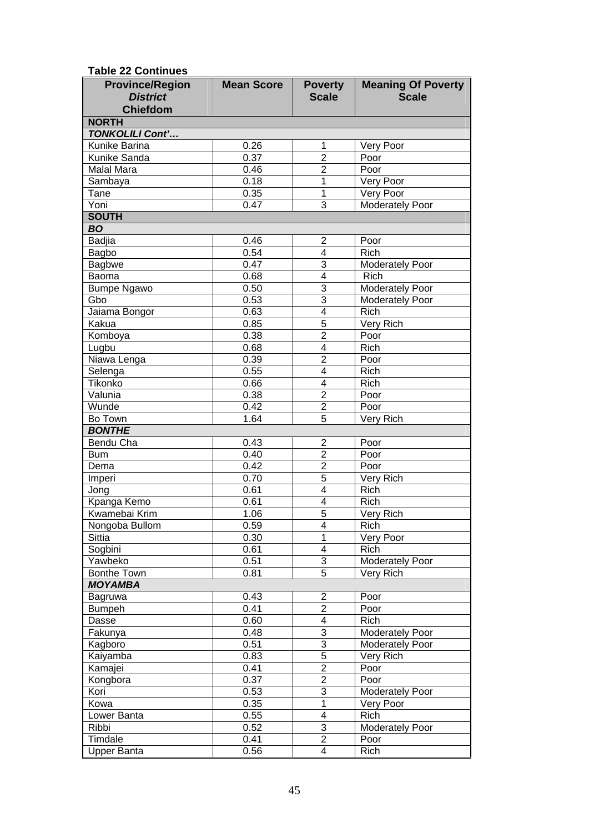**Table 22 Continues** 

| <b>Province/Region</b> | <b>Mean Score</b> | <b>Poverty</b>          | <b>Meaning Of Poverty</b> |
|------------------------|-------------------|-------------------------|---------------------------|
| <b>District</b>        |                   | <b>Scale</b>            | <b>Scale</b>              |
| <b>Chiefdom</b>        |                   |                         |                           |
| <b>NORTH</b>           |                   |                         |                           |
| <b>TONKOLILI Cont'</b> |                   |                         |                           |
| <b>Kunike Barina</b>   | 0.26              | 1                       | Very Poor                 |
| Kunike Sanda           | 0.37              | $\overline{2}$          | Poor                      |
| Malal Mara             | 0.46              | $\overline{2}$          | Poor                      |
| Sambaya                | 0.18              | 1                       | Very Poor                 |
| Tane                   | 0.35              | 1                       | Very Poor                 |
| Yoni                   | 0.47              | 3                       | <b>Moderately Poor</b>    |
| <b>SOUTH</b>           |                   |                         |                           |
| <b>BO</b>              |                   |                         |                           |
| <b>Badjia</b>          | 0.46<br>0.54      | $\overline{2}$<br>4     | Poor<br>Rich              |
| Bagbo                  | 0.47              | 3                       | <b>Moderately Poor</b>    |
| <b>Bagbwe</b><br>Baoma | 0.68              | $\overline{4}$          | Rich                      |
| <b>Bumpe Ngawo</b>     | 0.50              | $\overline{3}$          | Moderately Poor           |
| Gbo                    | 0.53              | $\overline{3}$          | <b>Moderately Poor</b>    |
| Jaiama Bongor          | 0.63              | $\overline{4}$          | <b>Rich</b>               |
| Kakua                  | 0.85              | $\overline{5}$          | Very Rich                 |
| Komboya                | 0.38              | $\overline{2}$          | Poor                      |
| Lugbu                  | 0.68              | $\overline{\mathbf{4}}$ | <b>Rich</b>               |
| Niawa Lenga            | 0.39              | $\overline{2}$          | Poor                      |
| Selenga                | 0.55              | $\overline{\mathbf{4}}$ | Rich                      |
| Tikonko                | 0.66              | $\overline{\mathbf{4}}$ | <b>Rich</b>               |
| Valunia                | 0.38              | $\overline{2}$          | Poor                      |
| Wunde                  | 0.42              | $\overline{2}$          | Poor                      |
| Bo Town                | 1.64              | $\overline{5}$          | Very Rich                 |
| <b>BONTHE</b>          |                   |                         |                           |
| Bendu Cha              | 0.43              | $\overline{2}$          | Poor                      |
| <b>Bum</b>             | 0.40              | $\overline{2}$          | Poor                      |
| Dema                   | 0.42              | $\overline{2}$          | Poor                      |
| Imperi                 | 0.70              | $\overline{5}$          | Very Rich                 |
| Jong                   | 0.61              | $\overline{\mathbf{4}}$ | <b>Rich</b>               |
| Kpanga Kemo            | 0.61              | 4                       | Rich                      |
| Kwamebai Krim          | 1.06              | $\overline{5}$          | Very Rich                 |
| Nongoba Bullom         | 0.59              | 4                       | Rich                      |
| Sittia                 | 0.30              | 1                       | Very Poor                 |
| Sogbini                | 0.61              | 4                       | Rich                      |
| Yawbeko                | 0.51              | 3                       | <b>Moderately Poor</b>    |
| Bonthe Town            | 0.81              | 5                       | Very Rich                 |
| <b>MOYAMBA</b>         |                   |                         |                           |
| Bagruwa                | 0.43              | $\overline{c}$          | Poor                      |
| <b>Bumpeh</b>          | 0.41              | $\overline{2}$          | Poor                      |
| Dasse                  | 0.60              | $\overline{\mathbf{4}}$ | Rich                      |
| Fakunya                | 0.48              | 3                       | Moderately Poor           |
| Kagboro                | 0.51              | 3                       | <b>Moderately Poor</b>    |
| Kaiyamba               | 0.83              | 5                       | Very Rich                 |
| Kamajei                | 0.41              | $\overline{c}$          | Poor                      |
| Kongbora               | 0.37              | $\overline{c}$          | Poor                      |
| Kori                   | 0.53              | 3                       | <b>Moderately Poor</b>    |
| Kowa                   | 0.35              | $\mathbf{1}$            | Very Poor                 |
| Lower Banta            | 0.55              | $\overline{\mathbf{4}}$ | Rich                      |
| Ribbi                  | 0.52              | 3                       | Moderately Poor           |
| Timdale                | 0.41              | $\overline{2}$          | Poor                      |
| <b>Upper Banta</b>     | 0.56              | $\overline{\mathbf{4}}$ | Rich                      |